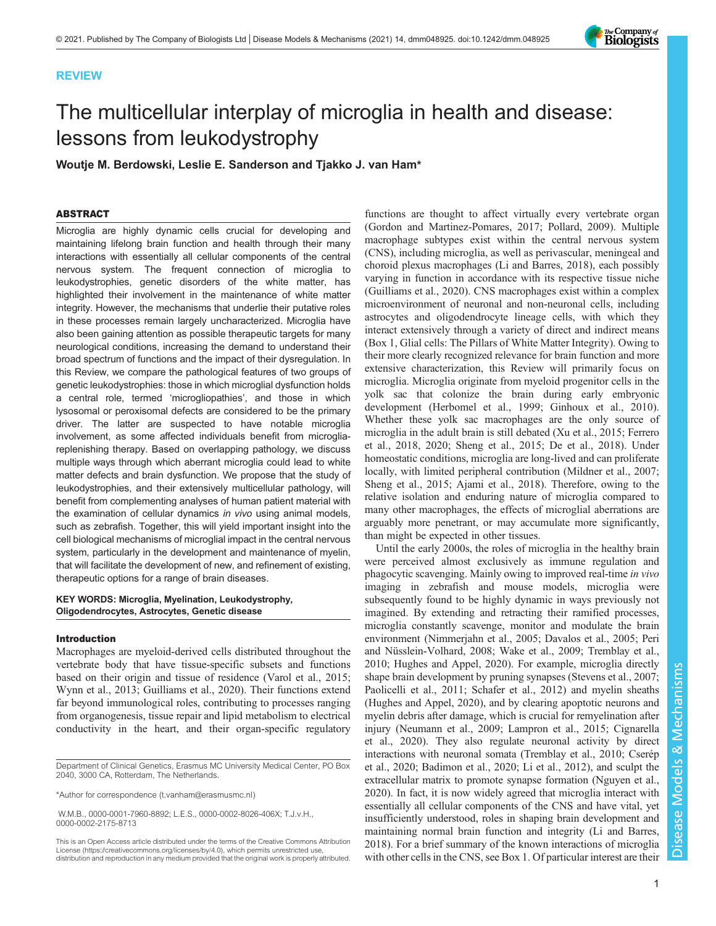# REVIEW



# The multicellular interplay of microglia in health and disease: lessons from leukodystrophy

Woutje M. Berdowski, Leslie E. Sanderson and Tjakko J. van Ham\*

# ABSTRACT

Microglia are highly dynamic cells crucial for developing and maintaining lifelong brain function and health through their many interactions with essentially all cellular components of the central nervous system. The frequent connection of microglia to leukodystrophies, genetic disorders of the white matter, has highlighted their involvement in the maintenance of white matter integrity. However, the mechanisms that underlie their putative roles in these processes remain largely uncharacterized. Microglia have also been gaining attention as possible therapeutic targets for many neurological conditions, increasing the demand to understand their broad spectrum of functions and the impact of their dysregulation. In this Review, we compare the pathological features of two groups of genetic leukodystrophies: those in which microglial dysfunction holds a central role, termed 'microgliopathies', and those in which lysosomal or peroxisomal defects are considered to be the primary driver. The latter are suspected to have notable microglia involvement, as some affected individuals benefit from microgliareplenishing therapy. Based on overlapping pathology, we discuss multiple ways through which aberrant microglia could lead to white matter defects and brain dysfunction. We propose that the study of leukodystrophies, and their extensively multicellular pathology, will benefit from complementing analyses of human patient material with the examination of cellular dynamics in vivo using animal models, such as zebrafish. Together, this will yield important insight into the cell biological mechanisms of microglial impact in the central nervous system, particularly in the development and maintenance of myelin, that will facilitate the development of new, and refinement of existing, therapeutic options for a range of brain diseases.

# KEY WORDS: Microglia, Myelination, Leukodystrophy, Oligodendrocytes, Astrocytes, Genetic disease

#### Introduction

Macrophages are myeloid-derived cells distributed throughout the vertebrate body that have tissue-specific subsets and functions based on their origin and tissue of residence [\(Varol et al., 2015](#page-16-0); [Wynn et al., 2013](#page-17-0); [Guilliams et al., 2020\)](#page-13-0). Their functions extend far beyond immunological roles, contributing to processes ranging from organogenesis, tissue repair and lipid metabolism to electrical conductivity in the heart, and their organ-specific regulatory

Department of Clinical Genetics, Erasmus MC University Medical Center, PO Box 2040, 3000 CA, Rotterdam, The Netherlands.

\*Author for correspondence [\(t.vanham@erasmusmc.nl](mailto:t.vanham@erasmusmc.nl))

W.M.B., [0000-0001-7960-8892;](http://orcid.org/0000-0001-7960-8892) L.E.S., [0000-0002-8026-406X](http://orcid.org/0000-0002-8026-406X); T.J.v.H., [0000-0002-2175-8713](http://orcid.org/0000-0002-2175-8713)

This is an Open Access article distributed under the terms of the Creative Commons Attribution License (https://creativecommons.org/licenses/by/4.0), which permits unrestricted use, distribution and reproduction in any medium provided that the original work is properly attributed.

functions are thought to affect virtually every vertebrate organ [\(Gordon and Martinez-Pomares, 2017;](#page-13-0) [Pollard, 2009\)](#page-15-0). Multiple macrophage subtypes exist within the central nervous system (CNS), including microglia, as well as perivascular, meningeal and choroid plexus macrophages ([Li and Barres, 2018\)](#page-14-0), each possibly varying in function in accordance with its respective tissue niche [\(Guilliams et al., 2020](#page-13-0)). CNS macrophages exist within a complex microenvironment of neuronal and non-neuronal cells, including astrocytes and oligodendrocyte lineage cells, with which they interact extensively through a variety of direct and indirect means [\(Box 1,](#page-1-0) Glial cells: The Pillars of White Matter Integrity). Owing to their more clearly recognized relevance for brain function and more extensive characterization, this Review will primarily focus on microglia. Microglia originate from myeloid progenitor cells in the yolk sac that colonize the brain during early embryonic development ([Herbomel et al., 1999](#page-13-0); [Ginhoux et al., 2010\)](#page-13-0). Whether these yolk sac macrophages are the only source of microglia in the adult brain is still debated ([Xu et al., 2015](#page-17-0); [Ferrero](#page-13-0) [et al., 2018, 2020](#page-13-0); [Sheng et al., 2015](#page-16-0); [De et al., 2018\)](#page-12-0). Under homeostatic conditions, microglia are long-lived and can proliferate locally, with limited peripheral contribution [\(Mildner et al., 2007](#page-14-0); [Sheng et al., 2015](#page-16-0); [Ajami et al., 2018](#page-12-0)). Therefore, owing to the relative isolation and enduring nature of microglia compared to many other macrophages, the effects of microglial aberrations are arguably more penetrant, or may accumulate more significantly, than might be expected in other tissues.

Until the early 2000s, the roles of microglia in the healthy brain were perceived almost exclusively as immune regulation and phagocytic scavenging. Mainly owing to improved real-time in vivo imaging in zebrafish and mouse models, microglia were subsequently found to be highly dynamic in ways previously not imagined. By extending and retracting their ramified processes, microglia constantly scavenge, monitor and modulate the brain environment [\(Nimmerjahn et al., 2005](#page-15-0); [Davalos et al., 2005](#page-12-0); [Peri](#page-15-0) [and Nüsslein-Volhard, 2008](#page-15-0); [Wake et al., 2009; Tremblay et al.,](#page-16-0) [2010;](#page-16-0) [Hughes and Appel, 2020](#page-13-0)). For example, microglia directly shape brain development by pruning synapses ([Stevens et al., 2007](#page-16-0); [Paolicelli et al., 2011;](#page-15-0) [Schafer et al., 2012](#page-16-0)) and myelin sheaths [\(Hughes and Appel, 2020](#page-13-0)), and by clearing apoptotic neurons and myelin debris after damage, which is crucial for remyelination after injury ([Neumann et al., 2009;](#page-15-0) [Lampron et al., 2015](#page-14-0); [Cignarella](#page-12-0) [et al., 2020](#page-12-0)). They also regulate neuronal activity by direct interactions with neuronal somata [\(Tremblay et al., 2010;](#page-16-0) [Cserép](#page-12-0) [et al., 2020](#page-12-0); [Badimon et al., 2020;](#page-12-0) [Li et al., 2012\)](#page-14-0), and sculpt the extracellular matrix to promote synapse formation ([Nguyen et al.,](#page-15-0) [2020\)](#page-15-0). In fact, it is now widely agreed that microglia interact with essentially all cellular components of the CNS and have vital, yet insufficiently understood, roles in shaping brain development and maintaining normal brain function and integrity [\(Li and Barres,](#page-14-0) [2018\)](#page-14-0). For a brief summary of the known interactions of microglia with other cells in the CNS, see [Box 1](#page-1-0). Of particular interest are their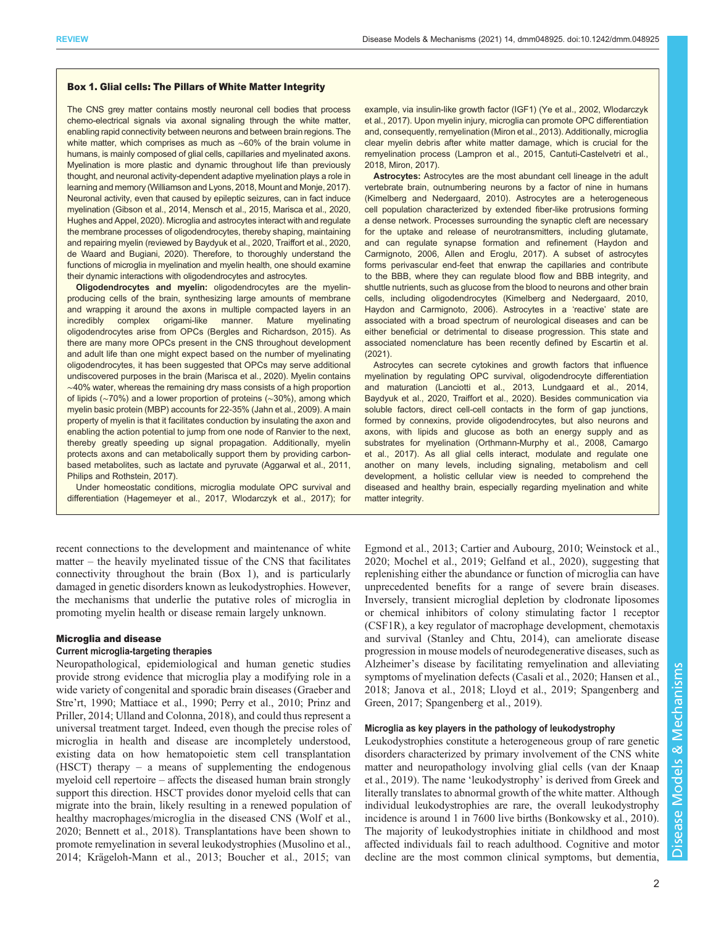## <span id="page-1-0"></span>Box 1. Glial cells: The Pillars of White Matter Integrity

The CNS grey matter contains mostly neuronal cell bodies that process chemo-electrical signals via axonal signaling through the white matter, enabling rapid connectivity between neurons and between brain regions. The white matter, which comprises as much as ~60% of the brain volume in humans, is mainly composed of glial cells, capillaries and myelinated axons. Myelination is more plastic and dynamic throughout life than previously thought, and neuronal activity-dependent adaptive myelination plays a role in learning and memory [\(Williamson and Lyons, 2018,](#page-16-0) [Mount and Monje, 2017\)](#page-15-0). Neuronal activity, even that caused by epileptic seizures, can in fact induce myelination ([Gibson et al., 2014,](#page-13-0) [Mensch et al., 2015](#page-14-0), [Marisca et al., 2020](#page-14-0), [Hughes and Appel, 2020\)](#page-13-0). Microglia and astrocytes interact with and regulate the membrane processes of oligodendrocytes, thereby shaping, maintaining and repairing myelin (reviewed by [Baydyuk et al., 2020](#page-12-0), [Traiffort et al., 2020](#page-16-0), [de Waard and Bugiani, 2020](#page-12-0)). Therefore, to thoroughly understand the functions of microglia in myelination and myelin health, one should examine their dynamic interactions with oligodendrocytes and astrocytes.

Oligodendrocytes and myelin: oligodendrocytes are the myelinproducing cells of the brain, synthesizing large amounts of membrane and wrapping it around the axons in multiple compacted layers in an incredibly complex origami-like manner. Mature myelinating oligodendrocytes arise from OPCs ([Bergles and Richardson, 2015\)](#page-12-0). As there are many more OPCs present in the CNS throughout development and adult life than one might expect based on the number of myelinating oligodendrocytes, it has been suggested that OPCs may serve additional undiscovered purposes in the brain [\(Marisca et al., 2020](#page-14-0)). Myelin contains ∼40% water, whereas the remaining dry mass consists of a high proportion of lipids (∼70%) and a lower proportion of proteins (∼30%), among which myelin basic protein (MBP) accounts for 22-35% ([Jahn et al., 2009](#page-13-0)). A main property of myelin is that it facilitates conduction by insulating the axon and enabling the action potential to jump from one node of Ranvier to the next, thereby greatly speeding up signal propagation. Additionally, myelin protects axons and can metabolically support them by providing carbonbased metabolites, such as lactate and pyruvate [\(Aggarwal et al., 2011,](#page-12-0) [Philips and Rothstein, 2017\)](#page-15-0).

Under homeostatic conditions, microglia modulate OPC survival and differentiation [\(Hagemeyer et al., 2017](#page-13-0), [Wlodarczyk et al., 2017\)](#page-16-0); for

recent connections to the development and maintenance of white matter – the heavily myelinated tissue of the CNS that facilitates connectivity throughout the brain (Box 1), and is particularly damaged in genetic disorders known as leukodystrophies. However, the mechanisms that underlie the putative roles of microglia in promoting myelin health or disease remain largely unknown.

## Microglia and disease

# Current microglia-targeting therapies

Neuropathological, epidemiological and human genetic studies provide strong evidence that microglia play a modifying role in a wide variety of congenital and sporadic brain diseases [\(Graeber and](#page-13-0) Stre'[rt, 1990;](#page-13-0) [Mattiace et al., 1990;](#page-14-0) [Perry et al., 2010; Prinz and](#page-15-0) [Priller, 2014;](#page-15-0) [Ulland and Colonna, 2018\)](#page-16-0), and could thus represent a universal treatment target. Indeed, even though the precise roles of microglia in health and disease are incompletely understood, existing data on how hematopoietic stem cell transplantation (HSCT) therapy – a means of supplementing the endogenous myeloid cell repertoire – affects the diseased human brain strongly support this direction. HSCT provides donor myeloid cells that can migrate into the brain, likely resulting in a renewed population of healthy macrophages/microglia in the diseased CNS [\(Wolf et al.,](#page-16-0) [2020](#page-16-0); [Bennett et al., 2018](#page-12-0)). Transplantations have been shown to promote remyelination in several leukodystrophies [\(Musolino et al.,](#page-15-0) [2014](#page-15-0); [Krägeloh-Mann et al., 2013](#page-14-0); [Boucher et al., 2015;](#page-12-0) [van](#page-16-0)

example, via insulin-like growth factor (IGF1) ([Ye et al., 2002,](#page-17-0) [Wlodarczyk](#page-16-0) [et al., 2017](#page-16-0)). Upon myelin injury, microglia can promote OPC differentiation and, consequently, remyelination ([Miron et al., 2013\)](#page-14-0). Additionally, microglia clear myelin debris after white matter damage, which is crucial for the remyelination process ([Lampron et al., 2015](#page-14-0), [Cantuti-Castelvetri et al.,](#page-12-0) [2018,](#page-12-0) [Miron, 2017\)](#page-14-0).

Astrocytes: Astrocytes are the most abundant cell lineage in the adult vertebrate brain, outnumbering neurons by a factor of nine in humans [\(Kimelberg and Nedergaard, 2010](#page-14-0)). Astrocytes are a heterogeneous cell population characterized by extended fiber-like protrusions forming a dense network. Processes surrounding the synaptic cleft are necessary for the uptake and release of neurotransmitters, including glutamate, and can regulate synapse formation and refinement ([Haydon and](#page-13-0) [Carmignoto, 2006,](#page-13-0) [Allen and Eroglu, 2017](#page-12-0)). A subset of astrocytes forms perivascular end-feet that enwrap the capillaries and contribute to the BBB, where they can regulate blood flow and BBB integrity, and shuttle nutrients, such as glucose from the blood to neurons and other brain cells, including oligodendrocytes ([Kimelberg and Nedergaard, 2010](#page-14-0), [Haydon and Carmignoto, 2006](#page-13-0)). Astrocytes in a 'reactive' state are associated with a broad spectrum of neurological diseases and can be either beneficial or detrimental to disease progression. This state and associated nomenclature has been recently defined by [Escartin et al.](#page-13-0) [\(2021\)](#page-13-0).

Astrocytes can secrete cytokines and growth factors that influence myelination by regulating OPC survival, oligodendrocyte differentiation and maturation ([Lanciotti et al., 2013](#page-14-0), [Lundgaard et al., 2014](#page-14-0), [Baydyuk et al., 2020](#page-12-0), [Traiffort et al., 2020\)](#page-16-0). Besides communication via soluble factors, direct cell-cell contacts in the form of gap junctions, formed by connexins, provide oligodendrocytes, but also neurons and axons, with lipids and glucose as both an energy supply and as substrates for myelination [\(Orthmann-Murphy et al., 2008,](#page-15-0) [Camargo](#page-12-0) [et al., 2017](#page-12-0)). As all glial cells interact, modulate and regulate one another on many levels, including signaling, metabolism and cell development, a holistic cellular view is needed to comprehend the diseased and healthy brain, especially regarding myelination and white matter integrity.

[Egmond et al., 2013;](#page-16-0) [Cartier and Aubourg, 2010](#page-12-0); [Weinstock et al.,](#page-16-0) [2020;](#page-16-0) [Mochel et al., 2019;](#page-14-0) [Gelfand et al., 2020\)](#page-13-0), suggesting that replenishing either the abundance or function of microglia can have unprecedented benefits for a range of severe brain diseases. Inversely, transient microglial depletion by clodronate liposomes or chemical inhibitors of colony stimulating factor 1 receptor (CSF1R), a key regulator of macrophage development, chemotaxis and survival ([Stanley and Chtu, 2014\)](#page-16-0), can ameliorate disease progression in mouse models of neurodegenerative diseases, such as Alzheimer's disease by facilitating remyelination and alleviating symptoms of myelination defects [\(Casali et al., 2020](#page-12-0); [Hansen et al.,](#page-13-0) [2018; Janova et al., 2018;](#page-13-0) [Lloyd et al., 2019;](#page-14-0) [Spangenberg and](#page-16-0) [Green, 2017; Spangenberg et al., 2019\)](#page-16-0).

# Microglia as key players in the pathology of leukodystrophy

Leukodystrophies constitute a heterogeneous group of rare genetic disorders characterized by primary involvement of the CNS white matter and neuropathology involving glial cells ([van der Knaap](#page-16-0) [et al., 2019](#page-16-0)). The name 'leukodystrophy' is derived from Greek and literally translates to abnormal growth of the white matter. Although individual leukodystrophies are rare, the overall leukodystrophy incidence is around 1 in 7600 live births [\(Bonkowsky et al., 2010\)](#page-12-0). The majority of leukodystrophies initiate in childhood and most affected individuals fail to reach adulthood. Cognitive and motor decline are the most common clinical symptoms, but dementia,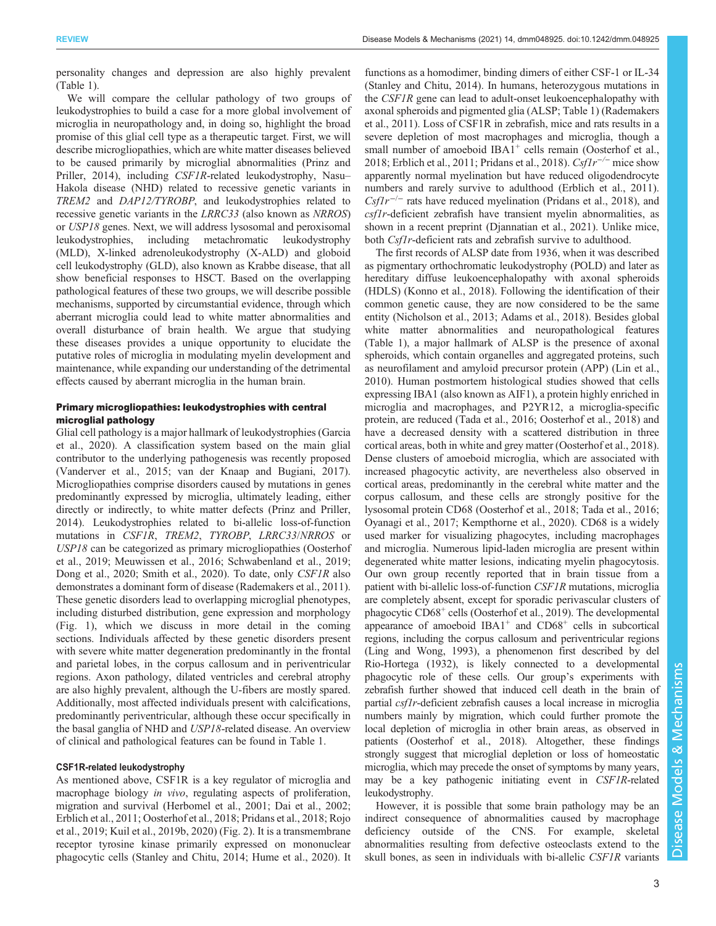personality changes and depression are also highly prevalent [\(Table 1\)](#page-3-0).

We will compare the cellular pathology of two groups of leukodystrophies to build a case for a more global involvement of microglia in neuropathology and, in doing so, highlight the broad promise of this glial cell type as a therapeutic target. First, we will describe microgliopathies, which are white matter diseases believed to be caused primarily by microglial abnormalities ([Prinz and](#page-15-0) [Priller, 2014\)](#page-15-0), including CSF1R-related leukodystrophy, Nasu– Hakola disease (NHD) related to recessive genetic variants in TREM2 and DAP12/TYROBP, and leukodystrophies related to recessive genetic variants in the LRRC33 (also known as NRROS) or USP18 genes. Next, we will address lysosomal and peroxisomal leukodystrophies, including metachromatic leukodystrophy (MLD), X-linked adrenoleukodystrophy (X-ALD) and globoid cell leukodystrophy (GLD), also known as Krabbe disease, that all show beneficial responses to HSCT. Based on the overlapping pathological features of these two groups, we will describe possible mechanisms, supported by circumstantial evidence, through which aberrant microglia could lead to white matter abnormalities and overall disturbance of brain health. We argue that studying these diseases provides a unique opportunity to elucidate the putative roles of microglia in modulating myelin development and maintenance, while expanding our understanding of the detrimental effects caused by aberrant microglia in the human brain.

# Primary microgliopathies: leukodystrophies with central microglial pathology

Glial cell pathology is a major hallmark of leukodystrophies [\(Garcia](#page-13-0) [et al., 2020](#page-13-0)). A classification system based on the main glial contributor to the underlying pathogenesis was recently proposed [\(Vanderver et al., 2015; van der Knaap and Bugiani, 2017\)](#page-16-0). Microgliopathies comprise disorders caused by mutations in genes predominantly expressed by microglia, ultimately leading, either directly or indirectly, to white matter defects [\(Prinz and Priller,](#page-15-0) [2014](#page-15-0)). Leukodystrophies related to bi-allelic loss-of-function mutations in CSF1R, TREM2, TYROBP, LRRC33/NRROS or USP18 can be categorized as primary microgliopathies ([Oosterhof](#page-15-0) [et al., 2019](#page-15-0); [Meuwissen et al., 2016;](#page-14-0) [Schwabenland et al., 2019](#page-16-0); [Dong et al., 2020;](#page-13-0) [Smith et al., 2020](#page-16-0)). To date, only CSF1R also demonstrates a dominant form of disease [\(Rademakers et al., 2011\)](#page-15-0). These genetic disorders lead to overlapping microglial phenotypes, including disturbed distribution, gene expression and morphology [\(Fig. 1\)](#page-5-0), which we discuss in more detail in the coming sections. Individuals affected by these genetic disorders present with severe white matter degeneration predominantly in the frontal and parietal lobes, in the corpus callosum and in periventricular regions. Axon pathology, dilated ventricles and cerebral atrophy are also highly prevalent, although the U-fibers are mostly spared. Additionally, most affected individuals present with calcifications, predominantly periventricular, although these occur specifically in the basal ganglia of NHD and USP18-related disease. An overview of clinical and pathological features can be found in [Table 1.](#page-3-0)

## CSF1R-related leukodystrophy

As mentioned above, CSF1R is a key regulator of microglia and macrophage biology *in vivo*, regulating aspects of proliferation, migration and survival ([Herbomel et al., 2001;](#page-13-0) [Dai et al., 2002](#page-12-0); [Erblich et al., 2011](#page-13-0); [Oosterhof et al., 2018](#page-15-0); [Pridans et al., 2018](#page-15-0); [Rojo](#page-15-0) [et al., 2019](#page-15-0); [Kuil et al., 2019b](#page-14-0), [2020\)](#page-14-0) ([Fig. 2\)](#page-6-0). It is a transmembrane receptor tyrosine kinase primarily expressed on mononuclear phagocytic cells [\(Stanley and Chitu, 2014;](#page-16-0) [Hume et al., 2020\)](#page-13-0). It functions as a homodimer, binding dimers of either CSF-1 or IL-34 [\(Stanley and Chitu, 2014\)](#page-16-0). In humans, heterozygous mutations in the CSF1R gene can lead to adult-onset leukoencephalopathy with axonal spheroids and pigmented glia (ALSP; [Table 1](#page-3-0)) ([Rademakers](#page-15-0) [et al., 2011](#page-15-0)). Loss of CSF1R in zebrafish, mice and rats results in a severe depletion of most macrophages and microglia, though a small number of amoeboid  $IBA1<sup>+</sup>$  cells remain [\(Oosterhof et al.,](#page-15-0) [2018;](#page-15-0) [Erblich et al., 2011](#page-13-0); [Pridans et al., 2018](#page-15-0)). Csflr<sup>-/−</sup> mice show apparently normal myelination but have reduced oligodendrocyte numbers and rarely survive to adulthood ([Erblich et al., 2011\)](#page-13-0).  $Csflr^{-/-}$  rats have reduced myelination ([Pridans et al., 2018\)](#page-15-0), and csf1r-deficient zebrafish have transient myelin abnormalities, as shown in a recent preprint ([Djannatian et al., 2021](#page-13-0)). Unlike mice, both *Csf1r*-deficient rats and zebrafish survive to adulthood.

The first records of ALSP date from 1936, when it was described as pigmentary orthochromatic leukodystrophy (POLD) and later as hereditary diffuse leukoencephalopathy with axonal spheroids (HDLS) ([Konno et al., 2018\)](#page-14-0). Following the identification of their common genetic cause, they are now considered to be the same entity [\(Nicholson et al., 2013](#page-15-0); [Adams et al., 2018](#page-11-0)). Besides global white matter abnormalities and neuropathological features [\(Table 1](#page-3-0)), a major hallmark of ALSP is the presence of axonal spheroids, which contain organelles and aggregated proteins, such as neurofilament and amyloid precursor protein (APP) ([Lin et al.,](#page-14-0) [2010\)](#page-14-0). Human postmortem histological studies showed that cells expressing IBA1 (also known as AIF1), a protein highly enriched in microglia and macrophages, and P2YR12, a microglia-specific protein, are reduced ([Tada et al., 2016;](#page-16-0) [Oosterhof et al., 2018\)](#page-15-0) and have a decreased density with a scattered distribution in three cortical areas, both in white and grey matter [\(Oosterhof et al., 2018\)](#page-15-0). Dense clusters of amoeboid microglia, which are associated with increased phagocytic activity, are nevertheless also observed in cortical areas, predominantly in the cerebral white matter and the corpus callosum, and these cells are strongly positive for the lysosomal protein CD68 [\(Oosterhof et al., 2018;](#page-15-0) [Tada et al., 2016](#page-16-0); [Oyanagi et al., 2017;](#page-15-0) [Kempthorne et al., 2020](#page-14-0)). CD68 is a widely used marker for visualizing phagocytes, including macrophages and microglia. Numerous lipid-laden microglia are present within degenerated white matter lesions, indicating myelin phagocytosis. Our own group recently reported that in brain tissue from a patient with bi-allelic loss-of-function CSF1R mutations, microglia are completely absent, except for sporadic perivascular clusters of phagocytic CD68+ cells [\(Oosterhof et al., 2019](#page-15-0)). The developmental appearance of amoeboid  $IBA1<sup>+</sup>$  and  $CD68<sup>+</sup>$  cells in subcortical regions, including the corpus callosum and periventricular regions [\(Ling and Wong, 1993\)](#page-14-0), a phenomenon first described by del Rio-Hortega (1932), is likely connected to a developmental phagocytic role of these cells. Our group's experiments with zebrafish further showed that induced cell death in the brain of partial csf1r-deficient zebrafish causes a local increase in microglia numbers mainly by migration, which could further promote the local depletion of microglia in other brain areas, as observed in patients ([Oosterhof et al., 2018\)](#page-15-0). Altogether, these findings strongly suggest that microglial depletion or loss of homeostatic microglia, which may precede the onset of symptoms by many years, may be a key pathogenic initiating event in CSF1R-related leukodystrophy.

However, it is possible that some brain pathology may be an indirect consequence of abnormalities caused by macrophage deficiency outside of the CNS. For example, skeletal abnormalities resulting from defective osteoclasts extend to the skull bones, as seen in individuals with bi-allelic CSF1R variants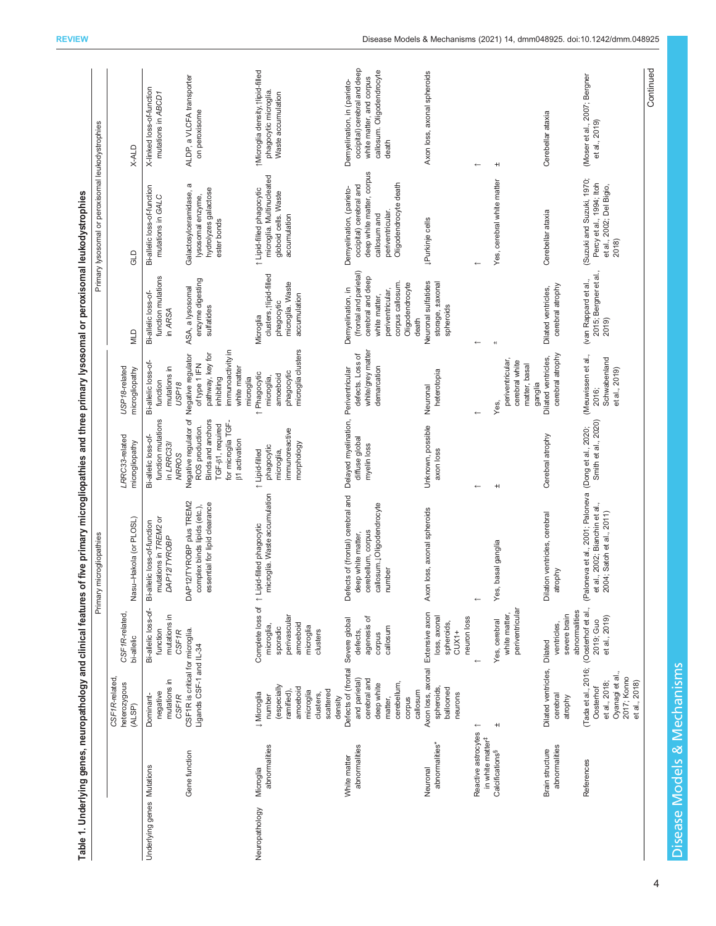<span id="page-3-0"></span>

|                            |                                                                                    |                                                                                                                                  |                                                                             | Primary microgliopathies                                                                                             |                                                                                                                                         |                                                                                                                         |                                                                                                                                                       | Primary lysosomal or peroxisomal leukodystrophies                                                                                             |                                                                                                                               |
|----------------------------|------------------------------------------------------------------------------------|----------------------------------------------------------------------------------------------------------------------------------|-----------------------------------------------------------------------------|----------------------------------------------------------------------------------------------------------------------|-----------------------------------------------------------------------------------------------------------------------------------------|-------------------------------------------------------------------------------------------------------------------------|-------------------------------------------------------------------------------------------------------------------------------------------------------|-----------------------------------------------------------------------------------------------------------------------------------------------|-------------------------------------------------------------------------------------------------------------------------------|
|                            |                                                                                    | CSF1R-related<br>heterozygous<br>(ALSP)                                                                                          | CSF1R-related,<br>bi-allelic                                                | Nasu-Hakola (or PLOSL)                                                                                               | LRRC33-related<br>microgliopathy                                                                                                        | USP18-related<br>microgliopathy                                                                                         | <b>NILD</b>                                                                                                                                           | GLD                                                                                                                                           | <b>X-ALD</b>                                                                                                                  |
| Underlying genes Mutations |                                                                                    | mutations in<br>negative<br><b>CSF1R</b><br>Dominant-                                                                            | Bi-allelic loss-of-<br>mutations in<br>function<br><b>CSF1R</b>             | mutations in TREM2 or<br>Bi-allelic loss-of-function<br>DAP12/TYROBP                                                 | function mutations<br>Bi-allelic loss-of-<br>in LRRC33/<br><b>NRROS</b>                                                                 | Bi-allelic loss-of-<br>mutations in<br>function<br>USP <sub>18</sub>                                                    | function mutations<br>Bi-allelic loss-of-<br>in ARSA                                                                                                  | Bi-allelic loss-of-function<br>mutations in GALC                                                                                              | X-linked loss-of-function<br>mutations in ABCD1                                                                               |
|                            | Gene function                                                                      | CSF1R is critical for microglia.<br>Ligands CSF-1 and IL-34                                                                      |                                                                             | DAP12/TYROBP plus TREM2<br>essential for lipid clearance<br>complex binds lipids (etc.),                             | Negative regulator of<br>Binds and anchors<br>for microglia TGF-<br>TGF- $\beta$ 1, required<br>ROS production.<br><b>B1</b> activation | immunoactivity in<br>pathway, key for<br>Negative regulator<br>of type 1 IFN<br>white matter<br>microglia<br>inhibiting | enzyme digesting<br>ASA, a lysosomal<br>sulfatides                                                                                                    | a<br>hydrolyzes galactose<br>Galactosylceramidase,<br>lysosomal enzyme,<br>ester bonds                                                        | ALDP, a VLCFA transporter<br>on peroxisome                                                                                    |
| Neuropathology             | abnormalities<br>Microglia                                                         | (especially<br>amoeboid<br>scattered<br>ramified),<br>microglia<br>↓ Microglia<br>clusters,<br>number<br>density                 | perivascular<br>amoeboid<br>microglia,<br>microglia<br>sporadic<br>clusters | microglia. Waste accumulation<br>Complete loss of 1 Lipid-filled phagocytic                                          | immunoreactive<br>morphology<br>phagocytic<br>microglia,<br>1 Lipid-filled                                                              | microglia clusters<br>phagocytic<br>Phagocytic<br>amoeboid<br>microglia,                                                | clusters, tlipid-filled<br>microglia. Waste<br>accumulation<br>phagocytic<br>Microglia                                                                | microglia. Multinucleated<br>1 Lipid-filled phagocytic<br>globoid cells. Waste<br>accumulation                                                | tMicroglia density, tlipid-filled<br>phagocytic microglia.<br>Waste accumulation                                              |
|                            | abnormalities<br>White matter                                                      | Defects of (frontal Severe global<br>and parietal)<br>cerebral and<br>cerebellum,<br>deep white<br>callosum<br>matter,<br>corpus | agenesis of<br>callosum<br>defects,<br>corpus                               | Defects of (frontal) cerebral and<br>callosum.1Oligodendrocyte<br>cerebellum, corpus<br>deep white matter,<br>number | Delayed myelination,<br>diffuse global<br>myelin loss                                                                                   | white/grey matter<br>defects. Loss of<br>demarcation<br>Periventricular                                                 | (frontal and parietal)<br>cerebral and deep<br>corpus callosum.<br>Oligodendrocyte<br>Demyelination, in<br>periventricular,<br>white matter,<br>death | deep white matter, corpus<br>Oligodendrocyte death<br>occipital) cerebral and<br>Demyelination, (parieto-<br>periventricular.<br>callosum and | occipital) cerebral and deep<br>callosum. Oligodendrocyte<br>white matter, and corpus<br>Demyelination, in (parieto-<br>death |
|                            | abnormalities*<br>Neuronal                                                         | Axon loss, axonal Extensive axon<br>spheroids,<br>ballooned<br>neurons                                                           | loss, axonal<br>neuron loss<br>spheroids,<br>$CUX1+$                        | Axon loss, axonal spheroids                                                                                          | Unknown, possible<br>axon loss                                                                                                          | heterotopia<br>Neuronal                                                                                                 | Neuronal sulfatides<br>storage, ±axonal<br>spheroids                                                                                                  | JPurkinje cells                                                                                                                               | Axon loss, axonal spheroids                                                                                                   |
|                            | Reactive astrocytes<br>in white matter <sup>#</sup><br>Calcifications <sup>§</sup> | $+1$<br>$\leftarrow$                                                                                                             | periventricular<br>white matter,<br>Yes, cerebral                           | basal ganglia<br>Yes,                                                                                                | $+1$                                                                                                                                    | periventricular,<br>cerebral white<br>matter, basal<br>ganglia<br>Yes,                                                  | $+1$                                                                                                                                                  | Yes, cerebral white matter                                                                                                                    | $+1$                                                                                                                          |
|                            | abnormalities<br>Brain structure                                                   | Dilated ventricles, Dilated<br>cerebral<br>atrophy                                                                               | abnormalities<br>severe brain<br>ventricles,                                | Dilation ventricles, cerebral<br>atrophy                                                                             | Cerebral atrophy                                                                                                                        | cerebral atrophy<br>Dilated ventricles,                                                                                 | cerebral atrophy<br>Dilated ventricles,                                                                                                               | Cerebellar ataxia                                                                                                                             | Cerebellar ataxia                                                                                                             |
|                            | References                                                                         | (Tada et al., 2016; (Oosterhof et al.,<br>Oyanagi et al.,<br>2017; Konno<br>et al., 2018;<br>et al., 2018)<br>Oosterhof          | et al., 2019)<br>2019; Guo                                                  | (Paloneva et al., 2001; Paloneva (Dong et al., 2020;<br>et al., 2002; Bianchin et al.,<br>2004; Satoh et al., 2011)  | Smith et al., 2020)                                                                                                                     | (Meuwissen et al.,<br>Schwabenland<br>et al., 2019)<br>2016;                                                            | 2015; Bergner et al.,<br>(van Rappard et al.,<br>2019)                                                                                                | (Suzuki and Suzuki, 1970;<br>Percy et al., 1994; Itch<br>et al., 2002; Del Bigio,<br>2018)                                                    | (Moser et al., 2007; Bergner<br>et al., 2019)                                                                                 |
|                            |                                                                                    |                                                                                                                                  |                                                                             |                                                                                                                      |                                                                                                                                         |                                                                                                                         |                                                                                                                                                       |                                                                                                                                               | Continued                                                                                                                     |

Table 1. Underlying genes, neuropathology and clinical features of five primary microgliopathies and three primary lysosomal or peroxisomal leukodystrophies Table 1. Underlying genes, neuropathology and clinical features of five primary microgliopathies and three primary lysosomal or peroxisomal leukodystrophies

Disease Models & Mechanisms Disease Models & Mechanisms

4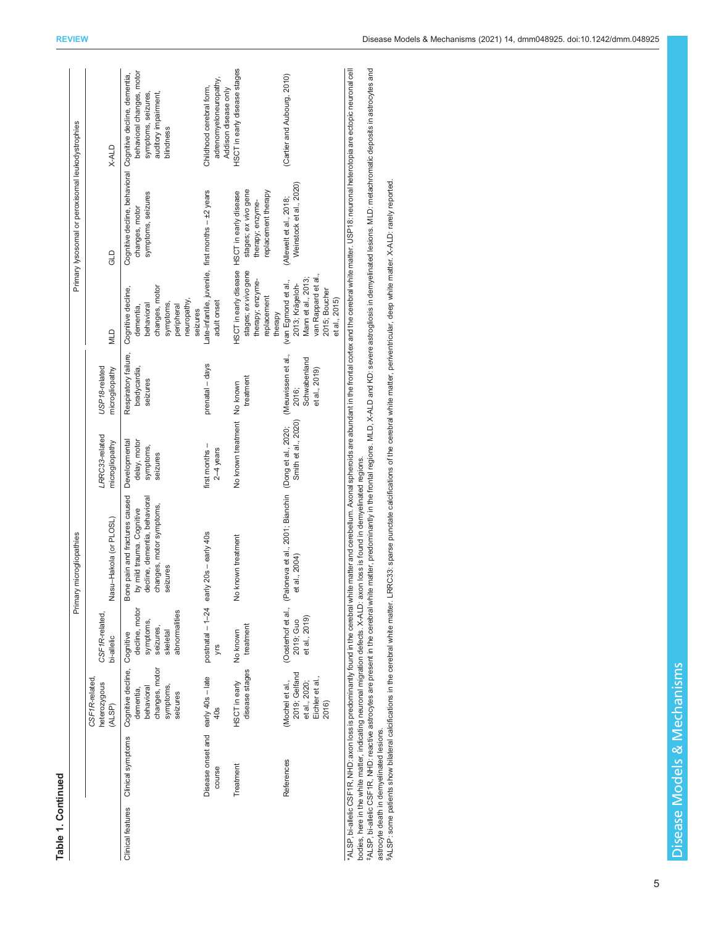| t |
|---|
|   |
|   |
|   |
|   |
|   |

|                                                                  |                                                                               |                                                                       | Primary microgliopathies                                                                                                                                                                                                       |                                       |                                                              |                                                                                                                       | Primary lysosomal or peroxisomal leukodystrophies               |                                                                                                                                                     |
|------------------------------------------------------------------|-------------------------------------------------------------------------------|-----------------------------------------------------------------------|--------------------------------------------------------------------------------------------------------------------------------------------------------------------------------------------------------------------------------|---------------------------------------|--------------------------------------------------------------|-----------------------------------------------------------------------------------------------------------------------|-----------------------------------------------------------------|-----------------------------------------------------------------------------------------------------------------------------------------------------|
|                                                                  | CSF1R-related<br>heterozygous<br>(ALSP)                                       | CSF1R-related,<br>bi-allelic                                          | Nasu-Hakola (or PLOSL)                                                                                                                                                                                                         | LRRC33-related<br>microgliopathy      | USP18-related<br>microgliopathy                              | <b>MLD</b>                                                                                                            | GLD                                                             | X-ALD                                                                                                                                               |
| Clinical features Clinical symptoms Cognitive decline, Cognitive | changes, motor<br>symptoms,<br>behavioral<br>dementia,<br>seizures            | decline, motor<br>abnormalities<br>symptoms,<br>seizures,<br>skeletal | Bone pain and fractures caused Developmental<br>by mild trauma. Cognitive<br>decline, dementia, behavioral<br>changes, motor symptoms,<br>seizures                                                                             | delay, motor<br>symptoms,<br>seizures | Respiratory failure,<br>bradycardia,<br>seizures             | Cognitive decline,<br>changes, motor<br>neuropathy,<br>symptoms,<br>behavioral<br>peripheral<br>dementia,<br>seizures | symptoms, seizures<br>changes, motor                            | behavioral changes, motor<br>Cognitive decline, behavioral Cognitive decline, dementia,<br>auditory impairment,<br>symptoms, seizures,<br>blindness |
| Disease onset and early 40s - late<br>course                     | 40s                                                                           | postnatal $-1-24$ early<br>yrs                                        | $20s -$ early 40s                                                                                                                                                                                                              | first months -<br>$2-4$ years         | prenatal - days                                              | Late-infantile, juvenile, first months - ±2 years<br>adult onset                                                      |                                                                 | adrenomyeloneuropathy,<br>Childhood cerebral form,<br>Addison disease only                                                                          |
| Treatment                                                        | disease stages<br>HSCT in early                                               | treatment<br>No known                                                 | No known treatment                                                                                                                                                                                                             | No known treatment No known           | treatment                                                    | HSCT in early disease HSCT in early disease<br>stages; ex vivo gene<br>therapy; enzyme-<br>replacement<br>therapy     | stages; ex vivo gene<br>replacement therapy<br>therapy; enzyme- | HSCT in early disease stages                                                                                                                        |
| References                                                       | 2019; Gelfand<br>Eichler et al.,<br>et al., 2020;<br>(Mochel et al.,<br>2016) | et al., 2019)<br>2019; Guo                                            | (Oosterhof et al., (Paloneva et al., 2001; Bianchin (Dong et al., 2020;<br>al., 2004)<br>$\vec{e}$                                                                                                                             | Smith et al., 2020)                   | (Meuwissen et al.,<br>Schwabenland<br>et al., 2019)<br>2016; | van Rappard et al.,<br>Mann et al., 2013;<br>(van Egmond et al.,<br>2013; Krägeloh-<br>2015; Boucher<br>et al., 2015) | Weinstock et al., 2020)<br>(Allewelt et al., 2018;              | (Cartier and Aubourg, 2010)                                                                                                                         |
|                                                                  |                                                                               |                                                                       | "ALSP, bi-allelic CSF1R, NHD: axon loss is predominantly found in the cerebral white matter and cerebellum. Axonal spheroids are abundant in the frontal cortex and the cerebral white matter. USP18: neuronal heterotopia are |                                       |                                                              |                                                                                                                       |                                                                 |                                                                                                                                                     |

bodies, here in the white matter, indicating neuronal migration defects. X-ALD: axon loss is found in demyelinated regions.<br>\*ALSP, bi-allelic CSF1R, NHD: reactive astrocytes are present in the cerebral white matter, predom 74LSP, bi-allelic CSF1R, NHD: reactive astrocytes are present in the cerebral white matter, predominantly in the frontal regions. MLD, X-ALD and KD: severe astrogliosis in demyelinated lesions. MLD: metachromatic deposits bodies, here in the white matter, indicating neuronal migration defects. X-ALD: axon loss is found in demyelinated regions. \*ALSP, bi-

astrocyte death in demyelinated lesions.<br><sup>\$ALSP:</sup> some patients show bilateral calcifications in the cerebral white matter. LRRC33: sparse punctate calcifications of the cerebral white matter, periventricular, deep white m §ALSP: some patients show bilateral calcifications in the cerebral white matter. LRRC33: sparse punctate calcifications of the cerebral white matter, periventricular, deep white matter. X-ALD: rarely reported. astrocyte death in demyelinated lesions.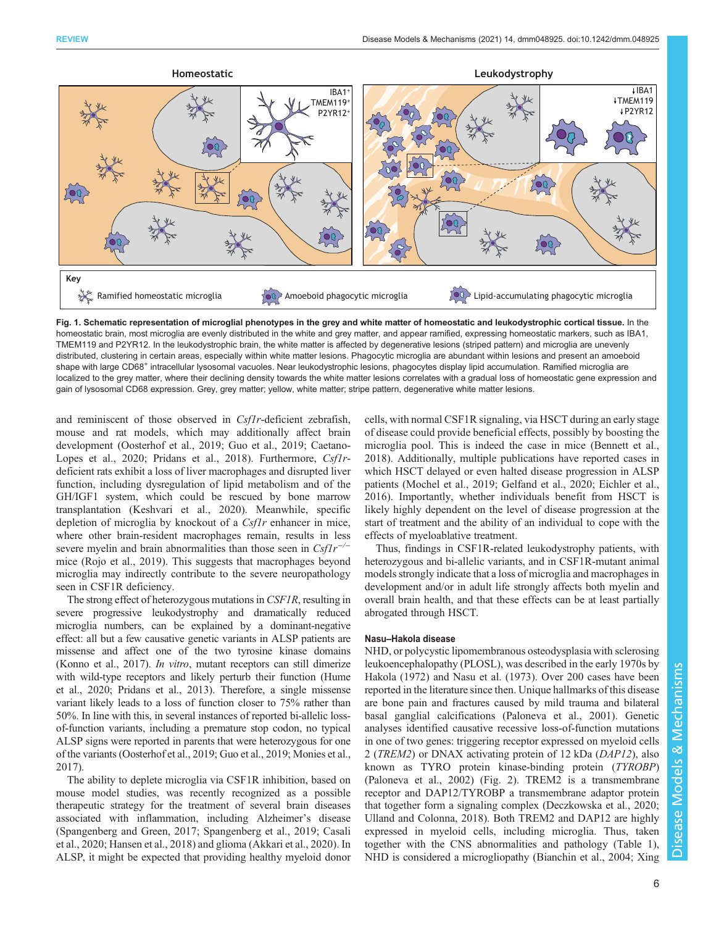<span id="page-5-0"></span>

Fig. 1. Schematic representation of microglial phenotypes in the grey and white matter of homeostatic and leukodystrophic cortical tissue. In the homeostatic brain, most microglia are evenly distributed in the white and grey matter, and appear ramified, expressing homeostatic markers, such as IBA1, TMEM119 and P2YR12. In the leukodystrophic brain, the white matter is affected by degenerative lesions (striped pattern) and microglia are unevenly distributed, clustering in certain areas, especially within white matter lesions. Phagocytic microglia are abundant within lesions and present an amoeboid shape with large CD68<sup>+</sup> intracellular lysosomal vacuoles. Near leukodystrophic lesions, phagocytes display lipid accumulation. Ramified microglia are localized to the grey matter, where their declining density towards the white matter lesions correlates with a gradual loss of homeostatic gene expression and gain of lysosomal CD68 expression. Grey, grey matter; yellow, white matter; stripe pattern, degenerative white matter lesions.

and reminiscent of those observed in *Csf1r*-deficient zebrafish, mouse and rat models, which may additionally affect brain development ([Oosterhof et al., 2019](#page-15-0); [Guo et al., 2019;](#page-13-0) [Caetano-](#page-12-0)[Lopes et al., 2020](#page-12-0); [Pridans et al., 2018](#page-15-0)). Furthermore, Csf1rdeficient rats exhibit a loss of liver macrophages and disrupted liver function, including dysregulation of lipid metabolism and of the GH/IGF1 system, which could be rescued by bone marrow transplantation ([Keshvari et al., 2020](#page-14-0)). Meanwhile, specific depletion of microglia by knockout of a  $Csflr$  enhancer in mice, where other brain-resident macrophages remain, results in less severe myelin and brain abnormalities than those seen in  $Csflr^{-/-}$ mice ([Rojo et al., 2019](#page-15-0)). This suggests that macrophages beyond microglia may indirectly contribute to the severe neuropathology seen in CSF1R deficiency.

The strong effect of heterozygous mutations in CSF1R, resulting in severe progressive leukodystrophy and dramatically reduced microglia numbers, can be explained by a dominant-negative effect: all but a few causative genetic variants in ALSP patients are missense and affect one of the two tyrosine kinase domains [\(Konno et al., 2017](#page-14-0)). In vitro, mutant receptors can still dimerize with wild-type receptors and likely perturb their function [\(Hume](#page-13-0) [et al., 2020;](#page-13-0) [Pridans et al., 2013\)](#page-15-0). Therefore, a single missense variant likely leads to a loss of function closer to 75% rather than 50%. In line with this, in several instances of reported bi-allelic lossof-function variants, including a premature stop codon, no typical ALSP signs were reported in parents that were heterozygous for one of the variants ([Oosterhof et al., 2019](#page-15-0); [Guo et al., 2019](#page-13-0); [Monies et al.,](#page-14-0) [2017\)](#page-14-0).

The ability to deplete microglia via CSF1R inhibition, based on mouse model studies, was recently recognized as a possible therapeutic strategy for the treatment of several brain diseases associated with inflammation, including Alzheimer's disease [\(Spangenberg and Green, 2017](#page-16-0); [Spangenberg et al., 2019;](#page-16-0) [Casali](#page-12-0) [et al., 2020;](#page-12-0) [Hansen et al., 2018](#page-13-0)) and glioma ([Akkari et al., 2020\)](#page-12-0). In ALSP, it might be expected that providing healthy myeloid donor cells, with normal CSF1R signaling, via HSCT during an early stage of disease could provide beneficial effects, possibly by boosting the microglia pool. This is indeed the case in mice [\(Bennett et al.,](#page-12-0) [2018\)](#page-12-0). Additionally, multiple publications have reported cases in which HSCT delayed or even halted disease progression in ALSP patients [\(Mochel et al., 2019](#page-14-0); [Gelfand et al., 2020; Eichler et al.,](#page-13-0) [2016\)](#page-13-0). Importantly, whether individuals benefit from HSCT is likely highly dependent on the level of disease progression at the start of treatment and the ability of an individual to cope with the effects of myeloablative treatment.

Thus, findings in CSF1R-related leukodystrophy patients, with heterozygous and bi-allelic variants, and in CSF1R-mutant animal models strongly indicate that a loss of microglia and macrophages in development and/or in adult life strongly affects both myelin and overall brain health, and that these effects can be at least partially abrogated through HSCT.

## Nasu–Hakola disease

NHD, or polycystic lipomembranous osteodysplasia with sclerosing leukoencephalopathy (PLOSL), was described in the early 1970s by [Hakola \(1972\)](#page-13-0) and Nasu et al. ([1973\)](#page-15-0). Over 200 cases have been reported in the literature since then. Unique hallmarks of this disease are bone pain and fractures caused by mild trauma and bilateral basal ganglial calcifications ([Paloneva et al., 2001](#page-15-0)). Genetic analyses identified causative recessive loss-of-function mutations in one of two genes: triggering receptor expressed on myeloid cells 2 (TREM2) or DNAX activating protein of 12 kDa (DAP12), also known as TYRO protein kinase-binding protein (TYROBP) [\(Paloneva et al., 2002](#page-15-0)) ([Fig. 2\)](#page-6-0). TREM2 is a transmembrane receptor and DAP12/TYROBP a transmembrane adaptor protein that together form a signaling complex [\(Deczkowska et al., 2020](#page-12-0); [Ulland and Colonna, 2018\)](#page-16-0). Both TREM2 and DAP12 are highly expressed in myeloid cells, including microglia. Thus, taken together with the CNS abnormalities and pathology ([Table 1\)](#page-3-0), NHD is considered a microgliopathy ([Bianchin et al., 2004](#page-12-0); [Xing](#page-17-0)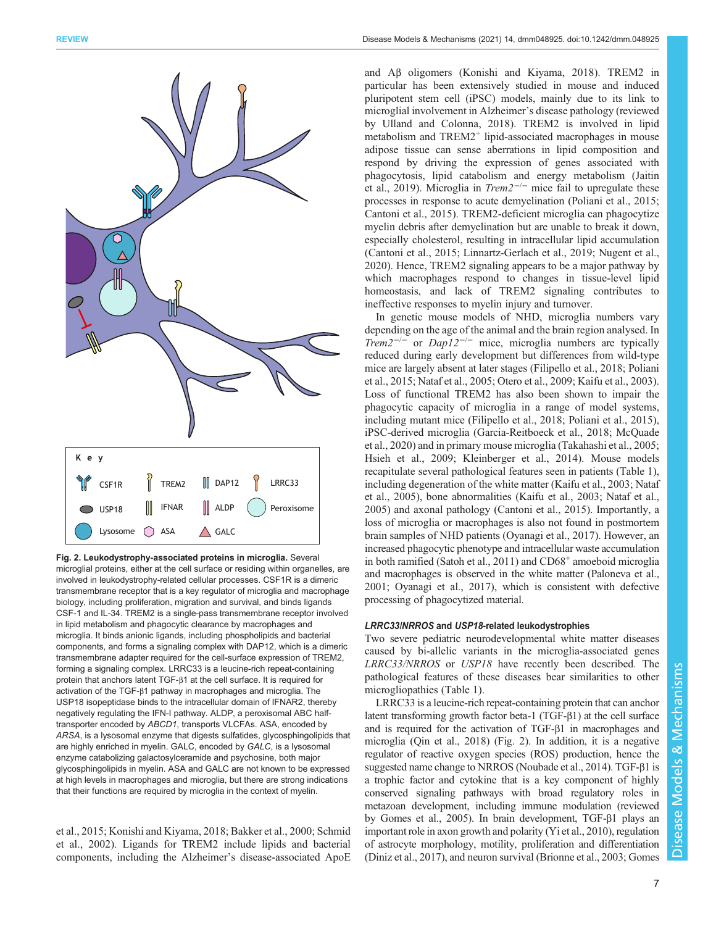<span id="page-6-0"></span>

Fig. 2. Leukodystrophy-associated proteins in microglia. Several microglial proteins, either at the cell surface or residing within organelles, are involved in leukodystrophy-related cellular processes. CSF1R is a dimeric transmembrane receptor that is a key regulator of microglia and macrophage biology, including proliferation, migration and survival, and binds ligands CSF-1 and IL-34. TREM2 is a single-pass transmembrane receptor involved in lipid metabolism and phagocytic clearance by macrophages and microglia. It binds anionic ligands, including phospholipids and bacterial components, and forms a signaling complex with DAP12, which is a dimeric transmembrane adapter required for the cell-surface expression of TREM2, forming a signaling complex. LRRC33 is a leucine-rich repeat-containing protein that anchors latent TGF-β1 at the cell surface. It is required for activation of the TGF-β1 pathway in macrophages and microglia. The USP18 isopeptidase binds to the intracellular domain of IFNAR2, thereby negatively regulating the IFN-I pathway. ALDP, a peroxisomal ABC halftransporter encoded by ABCD1, transports VLCFAs. ASA, encoded by ARSA, is a lysosomal enzyme that digests sulfatides, glycosphingolipids that are highly enriched in myelin. GALC, encoded by GALC, is a lysosomal enzyme catabolizing galactosylceramide and psychosine, both major glycosphingolipids in myelin. ASA and GALC are not known to be expressed at high levels in macrophages and microglia, but there are strong indications that their functions are required by microglia in the context of myelin.

[et al., 2015;](#page-17-0) [Konishi and Kiyama, 2018](#page-14-0); [Bakker et al., 2000;](#page-12-0) [Schmid](#page-16-0) [et al., 2002\)](#page-16-0). Ligands for TREM2 include lipids and bacterial components, including the Alzheimer's disease-associated ApoE and Aβ oligomers ([Konishi and Kiyama, 2018](#page-14-0)). TREM2 in particular has been extensively studied in mouse and induced pluripotent stem cell (iPSC) models, mainly due to its link to microglial involvement in Alzheimer's disease pathology (reviewed by [Ulland and Colonna, 2018](#page-16-0)). TREM2 is involved in lipid metabolism and TREM2<sup>+</sup> lipid-associated macrophages in mouse adipose tissue can sense aberrations in lipid composition and respond by driving the expression of genes associated with phagocytosis, lipid catabolism and energy metabolism ([Jaitin](#page-13-0) [et al., 2019\)](#page-13-0). Microglia in  $Trem2^{-/-}$  mice fail to upregulate these processes in response to acute demyelination ([Poliani et al., 2015](#page-15-0); [Cantoni et al., 2015\)](#page-12-0). TREM2-deficient microglia can phagocytize myelin debris after demyelination but are unable to break it down, especially cholesterol, resulting in intracellular lipid accumulation [\(Cantoni et al., 2015;](#page-12-0) [Linnartz-Gerlach et al., 2019;](#page-14-0) [Nugent et al.,](#page-15-0) [2020\)](#page-15-0). Hence, TREM2 signaling appears to be a major pathway by which macrophages respond to changes in tissue-level lipid homeostasis, and lack of TREM2 signaling contributes to ineffective responses to myelin injury and turnover.

In genetic mouse models of NHD, microglia numbers vary depending on the age of the animal and the brain region analysed. In  $Trem2^{-/-}$  or  $Dap12^{-/-}$  mice, microglia numbers are typically reduced during early development but differences from wild-type mice are largely absent at later stages ([Filipello et al., 2018;](#page-13-0) [Poliani](#page-15-0) [et al., 2015](#page-15-0); [Nataf et al., 2005; Otero et al., 2009;](#page-15-0) [Kaifu et al., 2003\)](#page-13-0). Loss of functional TREM2 has also been shown to impair the phagocytic capacity of microglia in a range of model systems, including mutant mice ([Filipello et al., 2018;](#page-13-0) [Poliani et al., 2015\)](#page-15-0), iPSC-derived microglia [\(Garcia-Reitboeck et al., 2018](#page-13-0); [McQuade](#page-14-0) [et al., 2020\)](#page-14-0) and in primary mouse microglia [\(Takahashi et al., 2005](#page-16-0); [Hsieh et al., 2009;](#page-13-0) [Kleinberger et al., 2014](#page-14-0)). Mouse models recapitulate several pathological features seen in patients [\(Table 1\)](#page-3-0), including degeneration of the white matter ([Kaifu et al., 2003](#page-13-0); [Nataf](#page-15-0) [et al., 2005\)](#page-15-0), bone abnormalities [\(Kaifu et al., 2003;](#page-13-0) [Nataf et al.,](#page-15-0) [2005\)](#page-15-0) and axonal pathology ([Cantoni et al., 2015\)](#page-12-0). Importantly, a loss of microglia or macrophages is also not found in postmortem brain samples of NHD patients [\(Oyanagi et al., 2017\)](#page-15-0). However, an increased phagocytic phenotype and intracellular waste accumulation in both ramified (Satoh et al.,  $2011$ ) and  $CD68<sup>+</sup>$  amoeboid microglia and macrophages is observed in the white matter ([Paloneva et al.,](#page-15-0) [2001; Oyanagi et al., 2017\)](#page-15-0), which is consistent with defective processing of phagocytized material.

#### LRRC33/NRROS and USP18-related leukodystrophies

Two severe pediatric neurodevelopmental white matter diseases caused by bi-allelic variants in the microglia-associated genes LRRC33/NRROS or USP18 have recently been described. The pathological features of these diseases bear similarities to other microgliopathies ([Table 1](#page-3-0)).

LRRC33 is a leucine-rich repeat-containing protein that can anchor latent transforming growth factor beta-1 (TGF-β1) at the cell surface and is required for the activation of TGF-β1 in macrophages and microglia ([Qin et al., 2018\)](#page-15-0) (Fig. 2). In addition, it is a negative regulator of reactive oxygen species (ROS) production, hence the suggested name change to NRROS [\(Noubade et al., 2014](#page-15-0)). TGF-β1 is a trophic factor and cytokine that is a key component of highly conserved signaling pathways with broad regulatory roles in metazoan development, including immune modulation (reviewed by [Gomes et al., 2005](#page-13-0)). In brain development, TGF-β1 plays an important role in axon growth and polarity [\(Yi et al., 2010](#page-17-0)), regulation of astrocyte morphology, motility, proliferation and differentiation [\(Diniz et al., 2017](#page-12-0)), and neuron survival ([Brionne et al., 2003](#page-12-0); [Gomes](#page-13-0)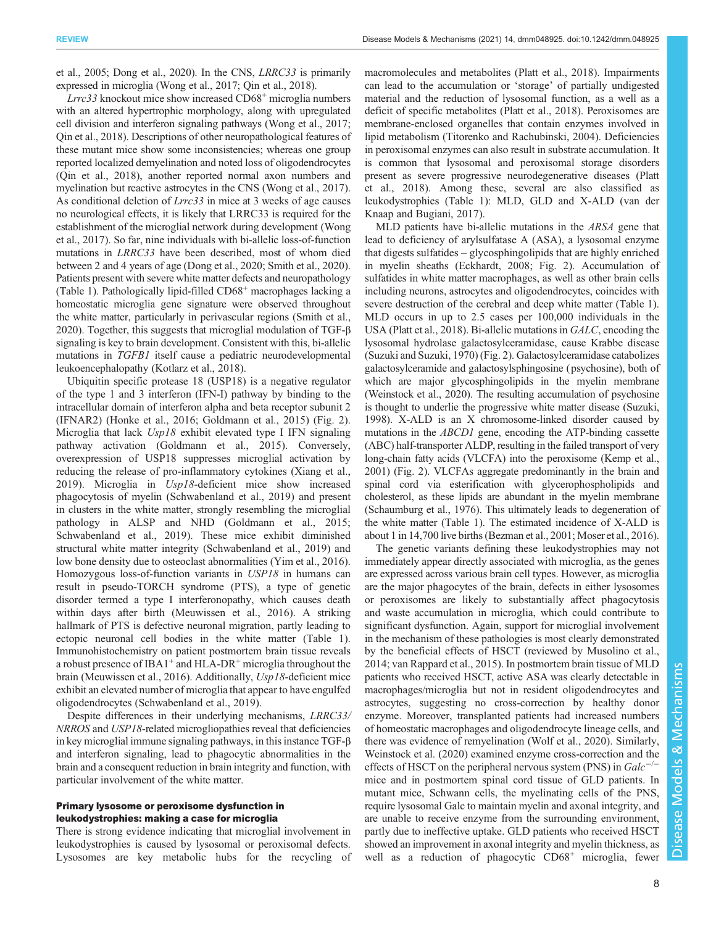[et al., 2005; Dong et al., 2020\)](#page-13-0). In the CNS, LRRC33 is primarily expressed in microglia ([Wong et al., 2017;](#page-17-0) [Qin et al., 2018](#page-15-0)).

 $Lrrc33$  knockout mice show increased  $CD68<sup>+</sup>$  microglia numbers with an altered hypertrophic morphology, along with upregulated cell division and interferon signaling pathways ([Wong et al., 2017](#page-17-0); [Qin et al., 2018\)](#page-15-0). Descriptions of other neuropathological features of these mutant mice show some inconsistencies; whereas one group reported localized demyelination and noted loss of oligodendrocytes [\(Qin et al., 2018](#page-15-0)), another reported normal axon numbers and myelination but reactive astrocytes in the CNS [\(Wong et al., 2017\)](#page-17-0). As conditional deletion of Lrrc33 in mice at 3 weeks of age causes no neurological effects, it is likely that LRRC33 is required for the establishment of the microglial network during development [\(Wong](#page-17-0) [et al., 2017\)](#page-17-0). So far, nine individuals with bi-allelic loss-of-function mutations in LRRC33 have been described, most of whom died between 2 and 4 years of age [\(Dong et al., 2020](#page-13-0); [Smith et al., 2020\)](#page-16-0). Patients present with severe white matter defects and neuropathology [\(Table 1](#page-3-0)). Pathologically lipid-filled  $CD68<sup>+</sup>$  macrophages lacking a homeostatic microglia gene signature were observed throughout the white matter, particularly in perivascular regions [\(Smith et al.,](#page-16-0) [2020\)](#page-16-0). Together, this suggests that microglial modulation of TGF-β signaling is key to brain development. Consistent with this, bi-allelic mutations in TGFB1 itself cause a pediatric neurodevelopmental leukoencephalopathy ([Kotlarz et al., 2018](#page-14-0)).

Ubiquitin specific protease 18 (USP18) is a negative regulator of the type 1 and 3 interferon (IFN-I) pathway by binding to the intracellular domain of interferon alpha and beta receptor subunit 2 (IFNAR2) ([Honke et al., 2016](#page-13-0); [Goldmann et al., 2015](#page-13-0)) [\(Fig. 2\)](#page-6-0). Microglia that lack Usp18 exhibit elevated type I IFN signaling pathway activation ([Goldmann et al., 2015\)](#page-13-0). Conversely, overexpression of USP18 suppresses microglial activation by reducing the release of pro-inflammatory cytokines ([Xiang et al.,](#page-17-0) [2019](#page-17-0)). Microglia in Usp18-deficient mice show increased phagocytosis of myelin [\(Schwabenland et al., 2019\)](#page-16-0) and present in clusters in the white matter, strongly resembling the microglial pathology in ALSP and NHD [\(Goldmann et al., 2015](#page-13-0); [Schwabenland et al., 2019\)](#page-16-0). These mice exhibit diminished structural white matter integrity ([Schwabenland et al., 2019\)](#page-16-0) and low bone density due to osteoclast abnormalities [\(Yim et al., 2016\)](#page-17-0). Homozygous loss-of-function variants in USP18 in humans can result in pseudo-TORCH syndrome (PTS), a type of genetic disorder termed a type I interferonopathy, which causes death within days after birth ([Meuwissen et al., 2016\)](#page-14-0). A striking hallmark of PTS is defective neuronal migration, partly leading to ectopic neuronal cell bodies in the white matter [\(Table 1\)](#page-3-0). Immunohistochemistry on patient postmortem brain tissue reveals a robust presence of IBA1<sup>+</sup> and HLA-DR<sup>+</sup> microglia throughout the brain [\(Meuwissen et al., 2016](#page-14-0)). Additionally, Usp18-deficient mice exhibit an elevated number of microglia that appear to have engulfed oligodendrocytes ([Schwabenland et al., 2019\)](#page-16-0).

Despite differences in their underlying mechanisms, LRRC33/ NRROS and USP18-related microgliopathies reveal that deficiencies in key microglial immune signaling pathways, in this instance TGF-β and interferon signaling, lead to phagocytic abnormalities in the brain and a consequent reduction in brain integrity and function, with particular involvement of the white matter.

# Primary lysosome or peroxisome dysfunction in leukodystrophies: making a case for microglia

There is strong evidence indicating that microglial involvement in leukodystrophies is caused by lysosomal or peroxisomal defects. Lysosomes are key metabolic hubs for the recycling of macromolecules and metabolites [\(Platt et al., 2018\)](#page-15-0). Impairments can lead to the accumulation or 'storage' of partially undigested material and the reduction of lysosomal function, as a well as a deficit of specific metabolites ([Platt et al., 2018\)](#page-15-0). Peroxisomes are membrane-enclosed organelles that contain enzymes involved in lipid metabolism ([Titorenko and Rachubinski, 2004\)](#page-16-0). Deficiencies in peroxisomal enzymes can also result in substrate accumulation. It is common that lysosomal and peroxisomal storage disorders present as severe progressive neurodegenerative diseases [\(Platt](#page-15-0) [et al., 2018](#page-15-0)). Among these, several are also classified as leukodystrophies ([Table 1\)](#page-3-0): MLD, GLD and X-ALD [\(van der](#page-16-0) [Knaap and Bugiani, 2017\)](#page-16-0).

MLD patients have bi-allelic mutations in the ARSA gene that lead to deficiency of arylsulfatase A (ASA), a lysosomal enzyme that digests sulfatides – glycosphingolipids that are highly enriched in myelin sheaths [\(Eckhardt, 2008](#page-13-0); [Fig. 2\)](#page-6-0). Accumulation of sulfatides in white matter macrophages, as well as other brain cells including neurons, astrocytes and oligodendrocytes, coincides with severe destruction of the cerebral and deep white matter ([Table 1\)](#page-3-0). MLD occurs in up to 2.5 cases per 100,000 individuals in the USA ([Platt et al., 2018\)](#page-15-0). Bi-allelic mutations in GALC, encoding the lysosomal hydrolase galactosylceramidase, cause Krabbe disease [\(Suzuki and Suzuki, 1970\)](#page-16-0) ([Fig. 2\)](#page-6-0). Galactosylceramidase catabolizes galactosylceramide and galactosylsphingosine (psychosine), both of which are major glycosphingolipids in the myelin membrane [\(Weinstock et al., 2020](#page-16-0)). The resulting accumulation of psychosine is thought to underlie the progressive white matter disease [\(Suzuki,](#page-16-0) [1998\)](#page-16-0). X-ALD is an X chromosome-linked disorder caused by mutations in the ABCD1 gene, encoding the ATP-binding cassette (ABC) half-transporter ALDP, resulting in the failed transport of very long-chain fatty acids (VLCFA) into the peroxisome [\(Kemp et al.,](#page-13-0) [2001\)](#page-13-0) ([Fig. 2](#page-6-0)). VLCFAs aggregate predominantly in the brain and spinal cord via esterification with glycerophospholipids and cholesterol, as these lipids are abundant in the myelin membrane [\(Schaumburg et al., 1976](#page-16-0)). This ultimately leads to degeneration of the white matter ([Table 1\)](#page-3-0). The estimated incidence of X-ALD is about 1 in 14,700 live births ([Bezman et al., 2001](#page-12-0); [Moser et al., 2016\)](#page-14-0).

The genetic variants defining these leukodystrophies may not immediately appear directly associated with microglia, as the genes are expressed across various brain cell types. However, as microglia are the major phagocytes of the brain, defects in either lysosomes or peroxisomes are likely to substantially affect phagocytosis and waste accumulation in microglia, which could contribute to significant dysfunction. Again, support for microglial involvement in the mechanism of these pathologies is most clearly demonstrated by the beneficial effects of HSCT (reviewed by [Musolino et al.,](#page-15-0) [2014;](#page-15-0) [van Rappard et al., 2015\)](#page-16-0). In postmortem brain tissue of MLD patients who received HSCT, active ASA was clearly detectable in macrophages/microglia but not in resident oligodendrocytes and astrocytes, suggesting no cross-correction by healthy donor enzyme. Moreover, transplanted patients had increased numbers of homeostatic macrophages and oligodendrocyte lineage cells, and there was evidence of remyelination [\(Wolf et al., 2020\)](#page-16-0). Similarly, [Weinstock et al. \(2020\)](#page-16-0) examined enzyme cross-correction and the effects of HSCT on the peripheral nervous system (PNS) in Galc<sup>−</sup> mice and in postmortem spinal cord tissue of GLD patients. In mutant mice, Schwann cells, the myelinating cells of the PNS, require lysosomal Galc to maintain myelin and axonal integrity, and are unable to receive enzyme from the surrounding environment, partly due to ineffective uptake. GLD patients who received HSCT showed an improvement in axonal integrity and myelin thickness, as well as a reduction of phagocytic CD68<sup>+</sup> microglia, fewer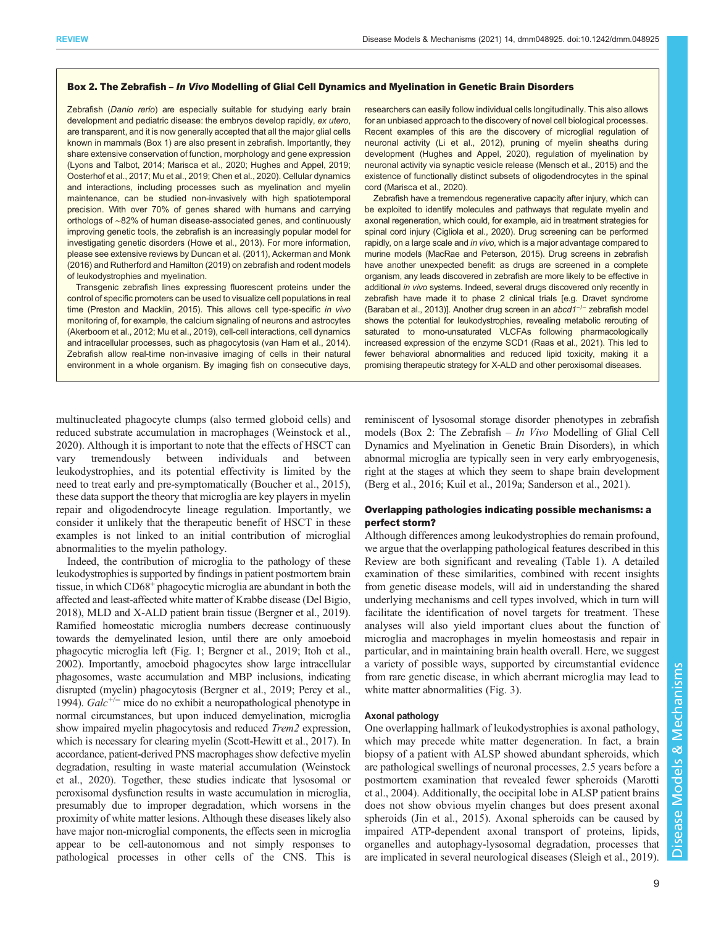#### <span id="page-8-0"></span>Box 2. The Zebrafish – In Vivo Modelling of Glial Cell Dynamics and Myelination in Genetic Brain Disorders

Zebrafish (Danio rerio) are especially suitable for studying early brain development and pediatric disease: the embryos develop rapidly, ex utero, are transparent, and it is now generally accepted that all the major glial cells known in mammals [\(Box 1](#page-1-0)) are also present in zebrafish. Importantly, they share extensive conservation of function, morphology and gene expression ([Lyons and Talbot, 2014; Marisca et al., 2020;](#page-14-0) [Hughes and Appel, 2019;](#page-13-0) [Oosterhof et al., 2017; Mu et al., 2019;](#page-15-0) [Chen et al., 2020](#page-12-0)). Cellular dynamics and interactions, including processes such as myelination and myelin maintenance, can be studied non-invasively with high spatiotemporal precision. With over 70% of genes shared with humans and carrying orthologs of ∼82% of human disease-associated genes, and continuously improving genetic tools, the zebrafish is an increasingly popular model for investigating genetic disorders ([Howe et al., 2013\)](#page-13-0). For more information, please see extensive reviews by [Duncan et al. \(2011\)](#page-13-0), [Ackerman and Monk](#page-11-0) [\(2016\)](#page-11-0) and [Rutherford and Hamilton \(2019\)](#page-15-0) on zebrafish and rodent models of leukodystrophies and myelination.

Transgenic zebrafish lines expressing fluorescent proteins under the control of specific promoters can be used to visualize cell populations in real time [\(Preston and Macklin, 2015\)](#page-15-0). This allows cell type-specific in vivo monitoring of, for example, the calcium signaling of neurons and astrocytes ([Akerboom et al., 2012;](#page-12-0) [Mu et al., 2019](#page-15-0)), cell-cell interactions, cell dynamics and intracellular processes, such as phagocytosis [\(van Ham et al., 2014\)](#page-16-0). Zebrafish allow real-time non-invasive imaging of cells in their natural environment in a whole organism. By imaging fish on consecutive days,

multinucleated phagocyte clumps (also termed globoid cells) and reduced substrate accumulation in macrophages [\(Weinstock et al.,](#page-16-0) [2020](#page-16-0)). Although it is important to note that the effects of HSCT can vary tremendously between individuals and between leukodystrophies, and its potential effectivity is limited by the need to treat early and pre-symptomatically ([Boucher et al., 2015\)](#page-12-0), these data support the theory that microglia are key players in myelin repair and oligodendrocyte lineage regulation. Importantly, we consider it unlikely that the therapeutic benefit of HSCT in these examples is not linked to an initial contribution of microglial abnormalities to the myelin pathology.

Indeed, the contribution of microglia to the pathology of these leukodystrophies is supported by findings in patient postmortem brain tissue, in which CD68+ phagocytic microglia are abundant in both the affected and least-affected white matter of Krabbe disease [\(Del Bigio,](#page-12-0) [2018\)](#page-12-0), MLD and X-ALD patient brain tissue ([Bergner et al., 2019\)](#page-12-0). Ramified homeostatic microglia numbers decrease continuously towards the demyelinated lesion, until there are only amoeboid phagocytic microglia left [\(Fig. 1](#page-5-0); [Bergner et al., 2019](#page-12-0); [Itoh et al.,](#page-13-0) [2002\)](#page-13-0). Importantly, amoeboid phagocytes show large intracellular phagosomes, waste accumulation and MBP inclusions, indicating disrupted (myelin) phagocytosis [\(Bergner et al., 2019;](#page-12-0) [Percy et al.,](#page-15-0) [1994\)](#page-15-0). Galc+/<sup>−</sup> mice do no exhibit a neuropathological phenotype in normal circumstances, but upon induced demyelination, microglia show impaired myelin phagocytosis and reduced *Trem2* expression, which is necessary for clearing myelin ([Scott-Hewitt et al., 2017\)](#page-16-0). In accordance, patient-derived PNS macrophages show defective myelin degradation, resulting in waste material accumulation [\(Weinstock](#page-16-0) [et al., 2020](#page-16-0)). Together, these studies indicate that lysosomal or peroxisomal dysfunction results in waste accumulation in microglia, presumably due to improper degradation, which worsens in the proximity of white matter lesions. Although these diseases likely also have major non-microglial components, the effects seen in microglia appear to be cell-autonomous and not simply responses to pathological processes in other cells of the CNS. This is

researchers can easily follow individual cells longitudinally. This also allows for an unbiased approach to the discovery of novel cell biological processes. Recent examples of this are the discovery of microglial regulation of neuronal activity [\(Li et al., 2012\)](#page-14-0), pruning of myelin sheaths during development [\(Hughes and Appel, 2020\)](#page-13-0), regulation of myelination by neuronal activity via synaptic vesicle release ([Mensch et al., 2015](#page-14-0)) and the existence of functionally distinct subsets of oligodendrocytes in the spinal cord [\(Marisca et al., 2020\)](#page-14-0).

Zebrafish have a tremendous regenerative capacity after injury, which can be exploited to identify molecules and pathways that regulate myelin and axonal regeneration, which could, for example, aid in treatment strategies for spinal cord injury ([Cigliola et al., 2020](#page-12-0)). Drug screening can be performed rapidly, on a large scale and in vivo, which is a major advantage compared to murine models [\(MacRae and Peterson, 2015\)](#page-14-0). Drug screens in zebrafish have another unexpected benefit: as drugs are screened in a complete organism, any leads discovered in zebrafish are more likely to be effective in additional in vivo systems. Indeed, several drugs discovered only recently in zebrafish have made it to phase 2 clinical trials [e.g. Dravet syndrome [\(Baraban et al., 2013](#page-12-0))]. Another drug screen in an abcd1−/<sup>−</sup> zebrafish model shows the potential for leukodystrophies, revealing metabolic rerouting of saturated to mono-unsaturated VLCFAs following pharmacologically increased expression of the enzyme SCD1 ([Raas et al., 2021](#page-15-0)). This led to fewer behavioral abnormalities and reduced lipid toxicity, making it a promising therapeutic strategy for X-ALD and other peroxisomal diseases.

reminiscent of lysosomal storage disorder phenotypes in zebrafish models (Box 2: The Zebrafish  $- In$  Vivo Modelling of Glial Cell Dynamics and Myelination in Genetic Brain Disorders), in which abnormal microglia are typically seen in very early embryogenesis, right at the stages at which they seem to shape brain development [\(Berg et al., 2016;](#page-12-0) [Kuil et al., 2019a;](#page-14-0) [Sanderson et al., 2021](#page-16-0)).

# Overlapping pathologies indicating possible mechanisms: a perfect storm?

Although differences among leukodystrophies do remain profound, we argue that the overlapping pathological features described in this Review are both significant and revealing ([Table 1\)](#page-3-0). A detailed examination of these similarities, combined with recent insights from genetic disease models, will aid in understanding the shared underlying mechanisms and cell types involved, which in turn will facilitate the identification of novel targets for treatment. These analyses will also yield important clues about the function of microglia and macrophages in myelin homeostasis and repair in particular, and in maintaining brain health overall. Here, we suggest a variety of possible ways, supported by circumstantial evidence from rare genetic disease, in which aberrant microglia may lead to white matter abnormalities ([Fig. 3\)](#page-9-0).

#### Axonal pathology

One overlapping hallmark of leukodystrophies is axonal pathology, which may precede white matter degeneration. In fact, a brain biopsy of a patient with ALSP showed abundant spheroids, which are pathological swellings of neuronal processes, 2.5 years before a postmortem examination that revealed fewer spheroids [\(Marotti](#page-14-0) [et al., 2004](#page-14-0)). Additionally, the occipital lobe in ALSP patient brains does not show obvious myelin changes but does present axonal spheroids ([Jin et al., 2015\)](#page-13-0). Axonal spheroids can be caused by impaired ATP-dependent axonal transport of proteins, lipids, organelles and autophagy-lysosomal degradation, processes that are implicated in several neurological diseases [\(Sleigh et al., 2019\)](#page-16-0).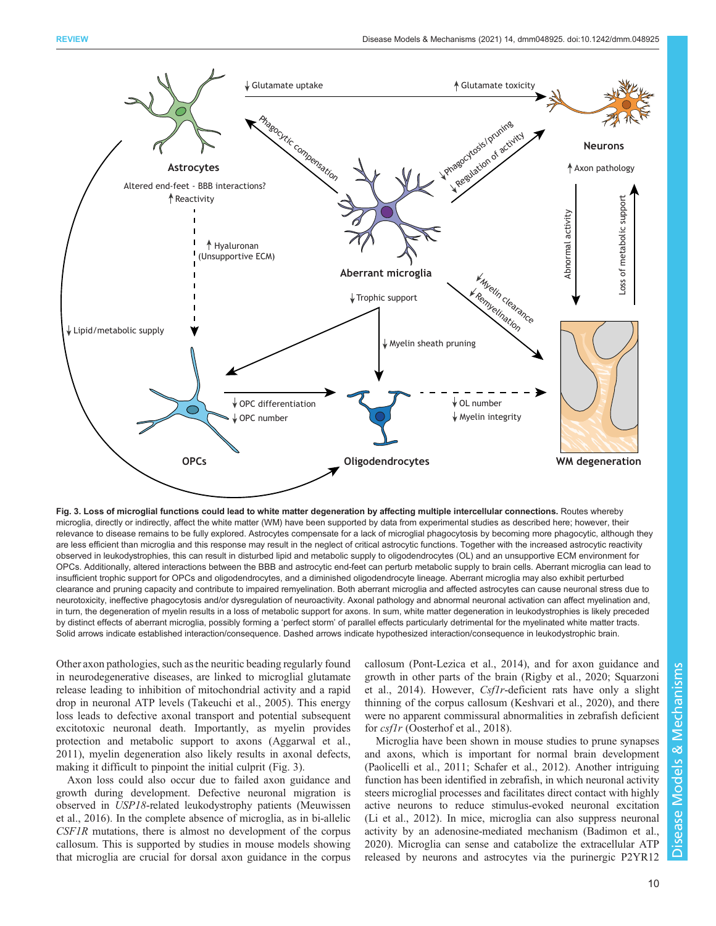<span id="page-9-0"></span>

Fig. 3. Loss of microglial functions could lead to white matter degeneration by affecting multiple intercellular connections. Routes whereby microglia, directly or indirectly, affect the white matter (WM) have been supported by data from experimental studies as described here; however, their relevance to disease remains to be fully explored. Astrocytes compensate for a lack of microglial phagocytosis by becoming more phagocytic, although they are less efficient than microglia and this response may result in the neglect of critical astrocytic functions. Together with the increased astrocytic reactivity observed in leukodystrophies, this can result in disturbed lipid and metabolic supply to oligodendrocytes (OL) and an unsupportive ECM environment for OPCs. Additionally, altered interactions between the BBB and astrocytic end-feet can perturb metabolic supply to brain cells. Aberrant microglia can lead to insufficient trophic support for OPCs and oligodendrocytes, and a diminished oligodendrocyte lineage. Aberrant microglia may also exhibit perturbed clearance and pruning capacity and contribute to impaired remyelination. Both aberrant microglia and affected astrocytes can cause neuronal stress due to neurotoxicity, ineffective phagocytosis and/or dysregulation of neuroactivity. Axonal pathology and abnormal neuronal activation can affect myelination and, in turn, the degeneration of myelin results in a loss of metabolic support for axons. In sum, white matter degeneration in leukodystrophies is likely preceded by distinct effects of aberrant microglia, possibly forming a 'perfect storm' of parallel effects particularly detrimental for the myelinated white matter tracts. Solid arrows indicate established interaction/consequence. Dashed arrows indicate hypothesized interaction/consequence in leukodystrophic brain.

Other axon pathologies, such as the neuritic beading regularly found in neurodegenerative diseases, are linked to microglial glutamate release leading to inhibition of mitochondrial activity and a rapid drop in neuronal ATP levels ([Takeuchi et al., 2005\)](#page-16-0). This energy loss leads to defective axonal transport and potential subsequent excitotoxic neuronal death. Importantly, as myelin provides protection and metabolic support to axons ([Aggarwal et al.,](#page-12-0) [2011](#page-12-0)), myelin degeneration also likely results in axonal defects, making it difficult to pinpoint the initial culprit (Fig. 3).

Axon loss could also occur due to failed axon guidance and growth during development. Defective neuronal migration is observed in USP18-related leukodystrophy patients ([Meuwissen](#page-14-0) [et al., 2016\)](#page-14-0). In the complete absence of microglia, as in bi-allelic CSF1R mutations, there is almost no development of the corpus callosum. This is supported by studies in mouse models showing that microglia are crucial for dorsal axon guidance in the corpus callosum [\(Pont-Lezica et al., 2014\)](#page-15-0), and for axon guidance and growth in other parts of the brain [\(Rigby et al., 2020;](#page-15-0) [Squarzoni](#page-16-0) [et al., 2014\)](#page-16-0). However, Csf1r-deficient rats have only a slight thinning of the corpus callosum [\(Keshvari et al., 2020](#page-14-0)), and there were no apparent commissural abnormalities in zebrafish deficient for *csflr* ([Oosterhof et al., 2018\)](#page-15-0).

Microglia have been shown in mouse studies to prune synapses and axons, which is important for normal brain development [\(Paolicelli et al., 2011](#page-15-0); [Schafer et al., 2012\)](#page-16-0). Another intriguing function has been identified in zebrafish, in which neuronal activity steers microglial processes and facilitates direct contact with highly active neurons to reduce stimulus-evoked neuronal excitation [\(Li et al., 2012\)](#page-14-0). In mice, microglia can also suppress neuronal activity by an adenosine-mediated mechanism ([Badimon et al.,](#page-12-0) [2020\)](#page-12-0). Microglia can sense and catabolize the extracellular ATP released by neurons and astrocytes via the purinergic P2YR12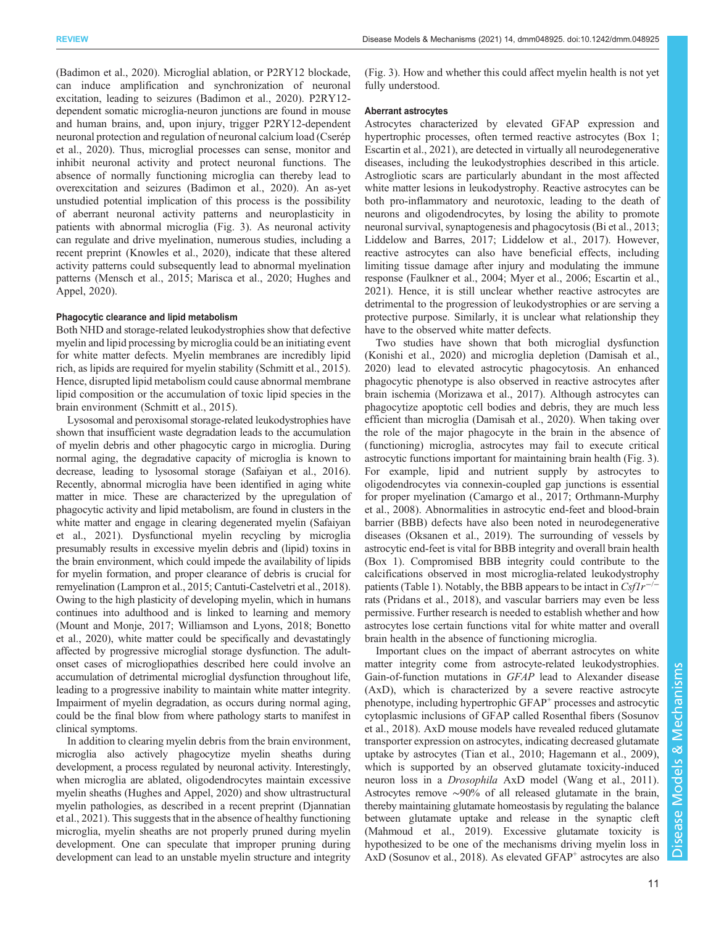[\(Badimon et al., 2020\)](#page-12-0). Microglial ablation, or P2RY12 blockade, can induce amplification and synchronization of neuronal excitation, leading to seizures [\(Badimon et al., 2020\)](#page-12-0). P2RY12 dependent somatic microglia-neuron junctions are found in mouse and human brains, and, upon injury, trigger P2RY12-dependent neuronal protection and regulation of neuronal calcium load ([Cserép](#page-12-0) [et al., 2020\)](#page-12-0). Thus, microglial processes can sense, monitor and inhibit neuronal activity and protect neuronal functions. The absence of normally functioning microglia can thereby lead to overexcitation and seizures [\(Badimon et al., 2020](#page-12-0)). An as-yet unstudied potential implication of this process is the possibility of aberrant neuronal activity patterns and neuroplasticity in patients with abnormal microglia ([Fig. 3](#page-9-0)). As neuronal activity can regulate and drive myelination, numerous studies, including a recent preprint ([Knowles et al., 2020](#page-14-0)), indicate that these altered activity patterns could subsequently lead to abnormal myelination patterns [\(Mensch et al., 2015; Marisca et al., 2020](#page-14-0); [Hughes and](#page-13-0) [Appel, 2020](#page-13-0)).

## Phagocytic clearance and lipid metabolism

Both NHD and storage-related leukodystrophies show that defective myelin and lipid processing by microglia could be an initiating event for white matter defects. Myelin membranes are incredibly lipid rich, as lipids are required for myelin stability ([Schmitt et al., 2015\)](#page-16-0). Hence, disrupted lipid metabolism could cause abnormal membrane lipid composition or the accumulation of toxic lipid species in the brain environment [\(Schmitt et al., 2015\)](#page-16-0).

Lysosomal and peroxisomal storage-related leukodystrophies have shown that insufficient waste degradation leads to the accumulation of myelin debris and other phagocytic cargo in microglia. During normal aging, the degradative capacity of microglia is known to decrease, leading to lysosomal storage ([Safaiyan et al., 2016\)](#page-15-0). Recently, abnormal microglia have been identified in aging white matter in mice. These are characterized by the upregulation of phagocytic activity and lipid metabolism, are found in clusters in the white matter and engage in clearing degenerated myelin [\(Safaiyan](#page-16-0) [et al., 2021\)](#page-16-0). Dysfunctional myelin recycling by microglia presumably results in excessive myelin debris and (lipid) toxins in the brain environment, which could impede the availability of lipids for myelin formation, and proper clearance of debris is crucial for remyelination [\(Lampron et al., 2015;](#page-14-0) [Cantuti-Castelvetri et al., 2018\)](#page-12-0). Owing to the high plasticity of developing myelin, which in humans continues into adulthood and is linked to learning and memory [\(Mount and Monje, 2017](#page-15-0); [Williamson and Lyons, 2018](#page-16-0); [Bonetto](#page-12-0) [et al., 2020\)](#page-12-0), white matter could be specifically and devastatingly affected by progressive microglial storage dysfunction. The adultonset cases of microgliopathies described here could involve an accumulation of detrimental microglial dysfunction throughout life, leading to a progressive inability to maintain white matter integrity. Impairment of myelin degradation, as occurs during normal aging, could be the final blow from where pathology starts to manifest in clinical symptoms.

In addition to clearing myelin debris from the brain environment, microglia also actively phagocytize myelin sheaths during development, a process regulated by neuronal activity. Interestingly, when microglia are ablated, oligodendrocytes maintain excessive myelin sheaths ([Hughes and Appel, 2020](#page-13-0)) and show ultrastructural myelin pathologies, as described in a recent preprint ([Djannatian](#page-13-0) [et al., 2021\)](#page-13-0). This suggests that in the absence of healthy functioning microglia, myelin sheaths are not properly pruned during myelin development. One can speculate that improper pruning during development can lead to an unstable myelin structure and integrity

[\(Fig. 3](#page-9-0)). How and whether this could affect myelin health is not yet fully understood.

# Aberrant astrocytes

Astrocytes characterized by elevated GFAP expression and hypertrophic processes, often termed reactive astrocytes ([Box 1](#page-1-0); [Escartin et al., 2021](#page-13-0)), are detected in virtually all neurodegenerative diseases, including the leukodystrophies described in this article. Astrogliotic scars are particularly abundant in the most affected white matter lesions in leukodystrophy. Reactive astrocytes can be both pro-inflammatory and neurotoxic, leading to the death of neurons and oligodendrocytes, by losing the ability to promote neuronal survival, synaptogenesis and phagocytosis ([Bi et al., 2013](#page-12-0); [Liddelow and Barres, 2017; Liddelow et al., 2017](#page-14-0)). However, reactive astrocytes can also have beneficial effects, including limiting tissue damage after injury and modulating the immune response ([Faulkner et al., 2004;](#page-13-0) [Myer et al., 2006](#page-15-0); [Escartin et al.,](#page-13-0) [2021\)](#page-13-0). Hence, it is still unclear whether reactive astrocytes are detrimental to the progression of leukodystrophies or are serving a protective purpose. Similarly, it is unclear what relationship they have to the observed white matter defects.

Two studies have shown that both microglial dysfunction [\(Konishi et al., 2020](#page-14-0)) and microglia depletion ([Damisah et al.,](#page-12-0) [2020\)](#page-12-0) lead to elevated astrocytic phagocytosis. An enhanced phagocytic phenotype is also observed in reactive astrocytes after brain ischemia [\(Morizawa et al., 2017](#page-14-0)). Although astrocytes can phagocytize apoptotic cell bodies and debris, they are much less efficient than microglia [\(Damisah et al., 2020](#page-12-0)). When taking over the role of the major phagocyte in the brain in the absence of (functioning) microglia, astrocytes may fail to execute critical astrocytic functions important for maintaining brain health ([Fig. 3\)](#page-9-0). For example, lipid and nutrient supply by astrocytes to oligodendrocytes via connexin-coupled gap junctions is essential for proper myelination ([Camargo et al., 2017](#page-12-0); [Orthmann-Murphy](#page-15-0) [et al., 2008](#page-15-0)). Abnormalities in astrocytic end-feet and blood-brain barrier (BBB) defects have also been noted in neurodegenerative diseases [\(Oksanen et al., 2019](#page-15-0)). The surrounding of vessels by astrocytic end-feet is vital for BBB integrity and overall brain health [\(Box 1\)](#page-1-0). Compromised BBB integrity could contribute to the calcifications observed in most microglia-related leukodystrophy patients ([Table 1\)](#page-3-0). Notably, the BBB appears to be intact in  $Csflr^{-/}$ rats [\(Pridans et al., 2018](#page-15-0)), and vascular barriers may even be less permissive. Further research is needed to establish whether and how astrocytes lose certain functions vital for white matter and overall brain health in the absence of functioning microglia.

Important clues on the impact of aberrant astrocytes on white matter integrity come from astrocyte-related leukodystrophies. Gain-of-function mutations in GFAP lead to Alexander disease (AxD), which is characterized by a severe reactive astrocyte phenotype, including hypertrophic GFAP<sup>+</sup> processes and astrocytic cytoplasmic inclusions of GFAP called Rosenthal fibers [\(Sosunov](#page-16-0) [et al., 2018\)](#page-16-0). AxD mouse models have revealed reduced glutamate transporter expression on astrocytes, indicating decreased glutamate uptake by astrocytes ([Tian et al., 2010](#page-16-0); [Hagemann et al., 2009\)](#page-13-0), which is supported by an observed glutamate toxicity-induced neuron loss in a Drosophila AxD model [\(Wang et al., 2011\)](#page-16-0). Astrocytes remove ∼90% of all released glutamate in the brain, thereby maintaining glutamate homeostasis by regulating the balance between glutamate uptake and release in the synaptic cleft [\(Mahmoud et al., 2019](#page-14-0)). Excessive glutamate toxicity is hypothesized to be one of the mechanisms driving myelin loss in AxD ([Sosunov et al., 2018](#page-16-0)). As elevated GFAP<sup>+</sup> astrocytes are also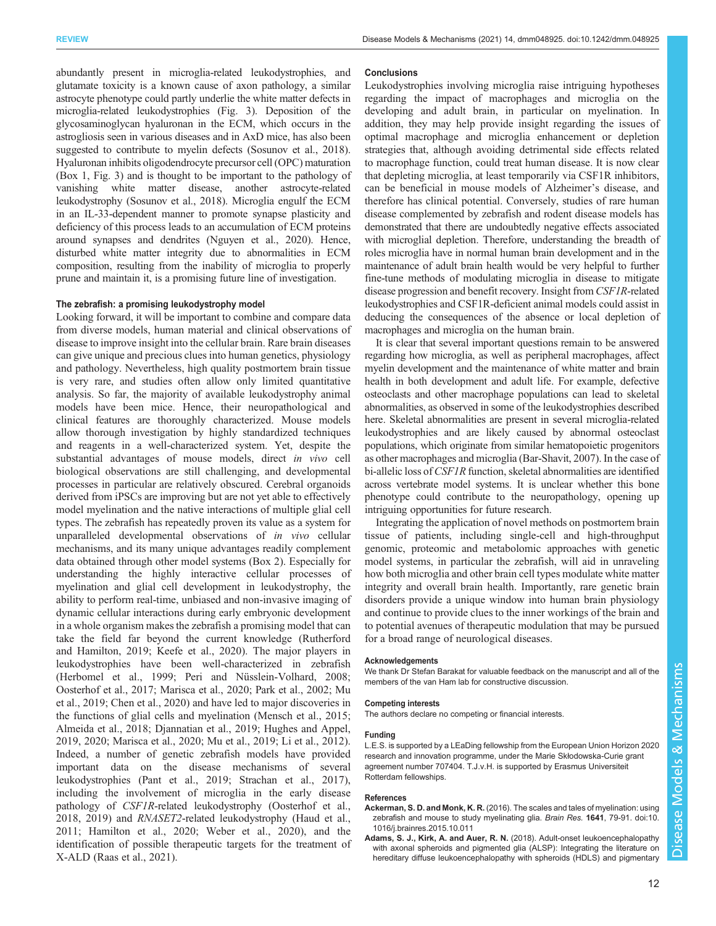<span id="page-11-0"></span>abundantly present in microglia-related leukodystrophies, and glutamate toxicity is a known cause of axon pathology, a similar astrocyte phenotype could partly underlie the white matter defects in microglia-related leukodystrophies [\(Fig. 3](#page-9-0)). Deposition of the glycosaminoglycan hyaluronan in the ECM, which occurs in the astrogliosis seen in various diseases and in AxD mice, has also been suggested to contribute to myelin defects [\(Sosunov et al., 2018\)](#page-16-0). Hyaluronan inhibits oligodendrocyte precursor cell (OPC) maturation [\(Box 1](#page-1-0), [Fig. 3\)](#page-9-0) and is thought to be important to the pathology of vanishing white matter disease, another astrocyte-related leukodystrophy [\(Sosunov et al., 2018\)](#page-16-0). Microglia engulf the ECM in an IL-33-dependent manner to promote synapse plasticity and deficiency of this process leads to an accumulation of ECM proteins around synapses and dendrites ([Nguyen et al., 2020\)](#page-15-0). Hence, disturbed white matter integrity due to abnormalities in ECM composition, resulting from the inability of microglia to properly prune and maintain it, is a promising future line of investigation.

## The zebrafish: a promising leukodystrophy model

Looking forward, it will be important to combine and compare data from diverse models, human material and clinical observations of disease to improve insight into the cellular brain. Rare brain diseases can give unique and precious clues into human genetics, physiology and pathology. Nevertheless, high quality postmortem brain tissue is very rare, and studies often allow only limited quantitative analysis. So far, the majority of available leukodystrophy animal models have been mice. Hence, their neuropathological and clinical features are thoroughly characterized. Mouse models allow thorough investigation by highly standardized techniques and reagents in a well-characterized system. Yet, despite the substantial advantages of mouse models, direct in vivo cell biological observations are still challenging, and developmental processes in particular are relatively obscured. Cerebral organoids derived from iPSCs are improving but are not yet able to effectively model myelination and the native interactions of multiple glial cell types. The zebrafish has repeatedly proven its value as a system for unparalleled developmental observations of in vivo cellular mechanisms, and its many unique advantages readily complement data obtained through other model systems [\(Box 2](#page-8-0)). Especially for understanding the highly interactive cellular processes of myelination and glial cell development in leukodystrophy, the ability to perform real-time, unbiased and non-invasive imaging of dynamic cellular interactions during early embryonic development in a whole organism makes the zebrafish a promising model that can take the field far beyond the current knowledge ([Rutherford](#page-15-0) [and Hamilton, 2019](#page-15-0); [Keefe et al., 2020\)](#page-13-0). The major players in leukodystrophies have been well-characterized in zebrafish [\(Herbomel et al., 1999](#page-13-0); [Peri and Nüsslein-Volhard, 2008](#page-15-0); [Oosterhof et al., 2017](#page-15-0); [Marisca et al., 2020](#page-14-0); [Park et al., 2002](#page-15-0); [Mu](#page-15-0) [et al., 2019;](#page-15-0) [Chen et al., 2020](#page-12-0)) and have led to major discoveries in the functions of glial cells and myelination [\(Mensch et al., 2015](#page-14-0); [Almeida et al., 2018; Djannatian et al., 2019](#page-12-0); [Hughes and Appel,](#page-13-0) [2019](#page-13-0), [2020](#page-13-0); [Marisca et al., 2020;](#page-14-0) [Mu et al., 2019;](#page-15-0) [Li et al., 2012\)](#page-14-0). Indeed, a number of genetic zebrafish models have provided important data on the disease mechanisms of several leukodystrophies [\(Pant et al., 2019](#page-15-0); [Strachan et al., 2017\)](#page-16-0), including the involvement of microglia in the early disease pathology of CSF1R-related leukodystrophy ([Oosterhof et al.,](#page-15-0) [2018](#page-15-0), [2019\)](#page-15-0) and RNASET2-related leukodystrophy [\(Haud et al.,](#page-13-0) [2011](#page-13-0); [Hamilton et al., 2020](#page-13-0); [Weber et al., 2020\)](#page-16-0), and the identification of possible therapeutic targets for the treatment of X-ALD [\(Raas et al., 2021\)](#page-15-0).

#### **Conclusions**

Leukodystrophies involving microglia raise intriguing hypotheses regarding the impact of macrophages and microglia on the developing and adult brain, in particular on myelination. In addition, they may help provide insight regarding the issues of optimal macrophage and microglia enhancement or depletion strategies that, although avoiding detrimental side effects related to macrophage function, could treat human disease. It is now clear that depleting microglia, at least temporarily via CSF1R inhibitors, can be beneficial in mouse models of Alzheimer's disease, and therefore has clinical potential. Conversely, studies of rare human disease complemented by zebrafish and rodent disease models has demonstrated that there are undoubtedly negative effects associated with microglial depletion. Therefore, understanding the breadth of roles microglia have in normal human brain development and in the maintenance of adult brain health would be very helpful to further fine-tune methods of modulating microglia in disease to mitigate disease progression and benefit recovery. Insight from CSF1R-related leukodystrophies and CSF1R-deficient animal models could assist in deducing the consequences of the absence or local depletion of macrophages and microglia on the human brain.

It is clear that several important questions remain to be answered regarding how microglia, as well as peripheral macrophages, affect myelin development and the maintenance of white matter and brain health in both development and adult life. For example, defective osteoclasts and other macrophage populations can lead to skeletal abnormalities, as observed in some of the leukodystrophies described here. Skeletal abnormalities are present in several microglia-related leukodystrophies and are likely caused by abnormal osteoclast populations, which originate from similar hematopoietic progenitors as other macrophages and microglia [\(Bar-Shavit, 2007](#page-12-0)). In the case of bi-allelic loss of CSF1R function, skeletal abnormalities are identified across vertebrate model systems. It is unclear whether this bone phenotype could contribute to the neuropathology, opening up intriguing opportunities for future research.

Integrating the application of novel methods on postmortem brain tissue of patients, including single-cell and high-throughput genomic, proteomic and metabolomic approaches with genetic model systems, in particular the zebrafish, will aid in unraveling how both microglia and other brain cell types modulate white matter integrity and overall brain health. Importantly, rare genetic brain disorders provide a unique window into human brain physiology and continue to provide clues to the inner workings of the brain and to potential avenues of therapeutic modulation that may be pursued for a broad range of neurological diseases.

#### Acknowledgements

We thank Dr Stefan Barakat for valuable feedback on the manuscript and all of the members of the van Ham lab for constructive discussion.

#### Competing interests

The authors declare no competing or financial interests.

#### Funding

L.E.S. is supported by a LEaDing fellowship from the European Union Horizon 2020 research and innovation programme, under the Marie Skłodowska-Curie grant agreement number 707404. T.J.v.H. is supported by Erasmus Universiteit Rotterdam fellowships.

#### References

- Ackerman, S. D. and Monk, K. R. [\(2016\). The scales and tales of myelination: using](https://doi.org/10.1016/j.brainres.2015.10.011) [zebrafish and mouse to study myelinating glia.](https://doi.org/10.1016/j.brainres.2015.10.011) Brain Res. 1641, 79-91. doi:10. [1016/j.brainres.2015.10.011](https://doi.org/10.1016/j.brainres.2015.10.011)
- Adams, S. J., Kirk, A. and Auer, R. N. [\(2018\). Adult-onset leukoencephalopathy](https://doi.org/10.1016/j.jocn.2017.10.060) [with axonal spheroids and pigmented glia \(ALSP\): Integrating the literature on](https://doi.org/10.1016/j.jocn.2017.10.060) [hereditary diffuse leukoencephalopathy with spheroids \(HDLS\) and pigmentary](https://doi.org/10.1016/j.jocn.2017.10.060)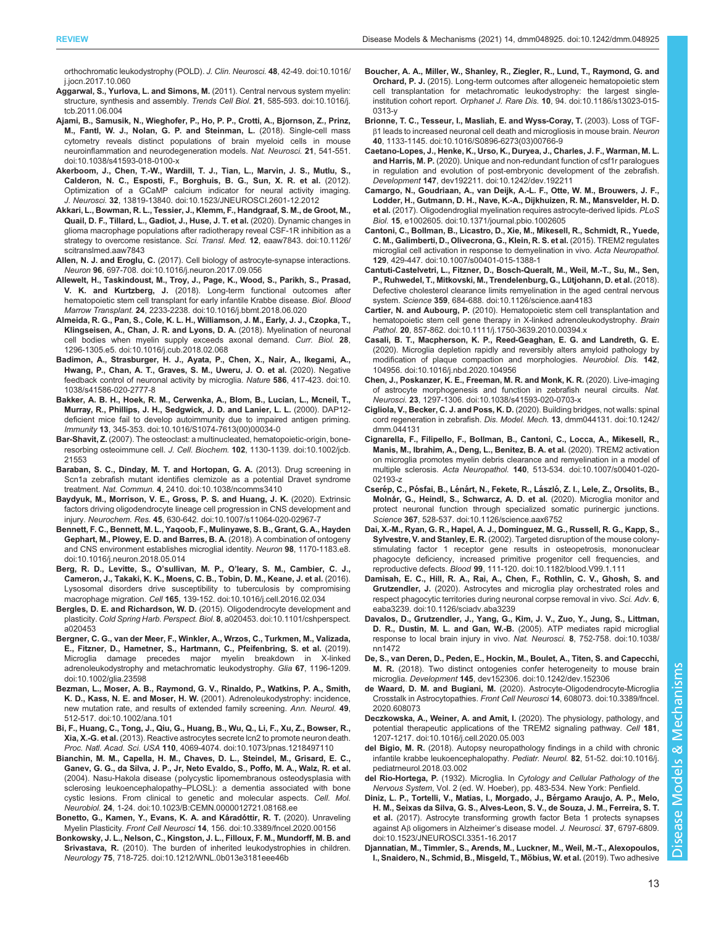<span id="page-12-0"></span>[orthochromatic leukodystrophy \(POLD\).](https://doi.org/10.1016/j.jocn.2017.10.060) J. Clin. Neurosci. 48, 42-49. doi:10.1016/ [j.jocn.2017.10.060](https://doi.org/10.1016/j.jocn.2017.10.060)

- [Aggarwal, S., Yurlova, L. and Simons, M.](https://doi.org/10.1016/j.tcb.2011.06.004) (2011). Central nervous system myelin: [structure, synthesis and assembly.](https://doi.org/10.1016/j.tcb.2011.06.004) Trends Cell Biol. 21, 585-593. doi:10.1016/j. [tcb.2011.06.004](https://doi.org/10.1016/j.tcb.2011.06.004)
- [Ajami, B., Samusik, N., Wieghofer, P., Ho, P. P., Crotti, A., Bjornson, Z., Prinz,](https://doi.org/10.1038/s41593-018-0100-x) [M., Fantl, W. J., Nolan, G. P. and Steinman, L.](https://doi.org/10.1038/s41593-018-0100-x) (2018). Single-cell mass [cytometry reveals distinct populations of brain myeloid cells in mouse](https://doi.org/10.1038/s41593-018-0100-x) [neuroinflammation and neurodegeneration models.](https://doi.org/10.1038/s41593-018-0100-x) Nat. Neurosci. 21, 541-551. [doi:10.1038/s41593-018-0100-x](https://doi.org/10.1038/s41593-018-0100-x)
- [Akerboom, J., Chen, T.-W., Wardill, T. J., Tian, L., Marvin, J. S., Mutlu, S.,](https://doi.org/10.1523/JNEUROSCI.2601-12.2012) [Calderon, N. C., Esposti, F., Borghuis, B. G., Sun, X. R. et al.](https://doi.org/10.1523/JNEUROSCI.2601-12.2012) (2012). [Optimization of a GCaMP calcium indicator for neural activity imaging.](https://doi.org/10.1523/JNEUROSCI.2601-12.2012) J. Neurosci. 32[, 13819-13840. doi:10.1523/JNEUROSCI.2601-12.2012](https://doi.org/10.1523/JNEUROSCI.2601-12.2012)
- [Akkari, L., Bowman, R. L., Tessier, J., Klemm, F., Handgraaf, S. M., de Groot, M.,](https://doi.org/10.1126/scitranslmed.aaw7843) [Quail, D. F., Tillard, L., Gadiot, J., Huse, J. T. et al.](https://doi.org/10.1126/scitranslmed.aaw7843) (2020). Dynamic changes in [glioma macrophage populations after radiotherapy reveal CSF-1R inhibition as a](https://doi.org/10.1126/scitranslmed.aaw7843) [strategy to overcome resistance.](https://doi.org/10.1126/scitranslmed.aaw7843) Sci. Transl. Med. 12, eaaw7843. doi:10.1126/ [scitranslmed.aaw7843](https://doi.org/10.1126/scitranslmed.aaw7843)
- Allen, N. J. and Eroglu, C. [\(2017\). Cell biology of astrocyte-synapse interactions.](https://doi.org/10.1016/j.neuron.2017.09.056) Neuron 96[, 697-708. doi:10.1016/j.neuron.2017.09.056](https://doi.org/10.1016/j.neuron.2017.09.056)
- [Allewelt, H., Taskindoust, M., Troy, J., Page, K., Wood, S., Parikh, S., Prasad,](https://doi.org/10.1016/j.bbmt.2018.06.020) V. K. and Kurtzberg, J. [\(2018\). Long-term functional outcomes after](https://doi.org/10.1016/j.bbmt.2018.06.020) [hematopoietic stem cell transplant for early infantile Krabbe disease.](https://doi.org/10.1016/j.bbmt.2018.06.020) Biol. Blood Marrow Transplant. 24[, 2233-2238. doi:10.1016/j.bbmt.2018.06.020](https://doi.org/10.1016/j.bbmt.2018.06.020)
- [Almeida, R. G., Pan, S., Cole, K. L. H., Williamson, J. M., Early, J. J., Czopka, T.,](https://doi.org/10.1016/j.cub.2018.02.068) [Klingseisen, A., Chan, J. R. and Lyons, D. A.](https://doi.org/10.1016/j.cub.2018.02.068) (2018). Myelination of neuronal [cell bodies when myelin supply exceeds axonal demand.](https://doi.org/10.1016/j.cub.2018.02.068) Curr. Biol. 28. [1296-1305.e5. doi:10.1016/j.cub.2018.02.068](https://doi.org/10.1016/j.cub.2018.02.068)
- [Badimon, A., Strasburger, H. J., Ayata, P., Chen, X., Nair, A., Ikegami, A.,](https://doi.org/10.1038/s41586-020-2777-8) [Hwang, P., Chan, A. T., Graves, S. M., Uweru, J. O. et al.](https://doi.org/10.1038/s41586-020-2777-8) (2020). Negative [feedback control of neuronal activity by microglia.](https://doi.org/10.1038/s41586-020-2777-8) Nature 586, 417-423. doi:10. [1038/s41586-020-2777-8](https://doi.org/10.1038/s41586-020-2777-8)
- [Bakker, A. B. H., Hoek, R. M., Cerwenka, A., Blom, B., Lucian, L., Mcneil, T.,](https://doi.org/10.1016/S1074-7613(00)00034-0) [Murray, R., Phillips, J. H., Sedgwick, J. D. and Lanier, L. L.](https://doi.org/10.1016/S1074-7613(00)00034-0) (2000). DAP12 [deficient mice fail to develop autoimmunity due to impaired antigen priming.](https://doi.org/10.1016/S1074-7613(00)00034-0) Immunity 13[, 345-353. doi:10.1016/S1074-7613\(00\)00034-0](https://doi.org/10.1016/S1074-7613(00)00034-0)
- Bar-Shavit, Z. [\(2007\). The osteoclast: a multinucleated, hematopoietic-origin, bone-](https://doi.org/10.1002/jcb.21553)resorbing osteoimmune cell. J. Cell. Biochem. 102[, 1130-1139. doi:10.1002/jcb.](https://doi.org/10.1002/jcb.21553) [21553](https://doi.org/10.1002/jcb.21553)
- [Baraban, S. C., Dinday, M. T. and Hortopan, G. A.](https://doi.org/10.1038/ncomms3410) (2013). Drug screening in [Scn1a zebrafish mutant identifies clemizole as a potential Dravet syndrome](https://doi.org/10.1038/ncomms3410) treatment. Nat. Commun. 4[, 2410. doi:10.1038/ncomms3410](https://doi.org/10.1038/ncomms3410)
- [Baydyuk, M., Morrison, V. E., Gross, P. S. and Huang, J. K.](https://doi.org/10.1007/s11064-020-02967-7) (2020). Extrinsic [factors driving oligodendrocyte lineage cell progression in CNS development and](https://doi.org/10.1007/s11064-020-02967-7) injury. Neurochem. Res. 45[, 630-642. doi:10.1007/s11064-020-02967-7](https://doi.org/10.1007/s11064-020-02967-7)
- [Bennett, F. C., Bennett, M. L., Yaqoob, F., Mulinyawe, S. B., Grant, G. A., Hayden](https://doi.org/10.1016/j.neuron.2018.05.014) [Gephart, M., Plowey, E. D. and Barres, B. A.](https://doi.org/10.1016/j.neuron.2018.05.014) (2018). A combination of ontogeny [and CNS environment establishes microglial identity.](https://doi.org/10.1016/j.neuron.2018.05.014) Neuron 98, 1170-1183.e8. [doi:10.1016/j.neuron.2018.05.014](https://doi.org/10.1016/j.neuron.2018.05.014)
- Berg, R. D., Levitte, S., O'sullivan, M. P., O'[leary, S. M., Cambier, C. J.,](https://doi.org/10.1016/j.cell.2016.02.034) [Cameron, J., Takaki, K. K., Moens, C. B., Tobin, D. M., Keane, J. et al.](https://doi.org/10.1016/j.cell.2016.02.034) (2016). [Lysosomal disorders drive susceptibility to tuberculosis by compromising](https://doi.org/10.1016/j.cell.2016.02.034) macrophage migration. Cell 165[, 139-152. doi:10.1016/j.cell.2016.02.034](https://doi.org/10.1016/j.cell.2016.02.034)
- Bergles, D. E. and Richardson, W. D. [\(2015\). Oligodendrocyte development and](https://doi.org/10.1101/cshperspect.a020453) plasticity. Cold Spring Harb. Perspect. Biol. 8[, a020453. doi:10.1101/cshperspect.](https://doi.org/10.1101/cshperspect.a020453) [a020453](https://doi.org/10.1101/cshperspect.a020453)
- [Bergner, C. G., van der Meer, F., Winkler, A., Wrzos, C., Turkmen, M., Valizada,](https://doi.org/10.1002/glia.23598) [E., Fitzner, D., Hametner, S., Hartmann, C., Pfeifenbring, S. et al.](https://doi.org/10.1002/glia.23598) (2019). [Microglia damage precedes major myelin breakdown in X-linked](https://doi.org/10.1002/glia.23598) [adrenoleukodystrophy and metachromatic leukodystrophy.](https://doi.org/10.1002/glia.23598) Glia 67, 1196-1209. [doi:10.1002/glia.23598](https://doi.org/10.1002/glia.23598)
- [Bezman, L., Moser, A. B., Raymond, G. V., Rinaldo, P., Watkins, P. A., Smith,](https://doi.org/10.1002/ana.101) K. D., Kass, N. E. and Moser, H. W. [\(2001\). Adrenoleukodystrophy: incidence,](https://doi.org/10.1002/ana.101) [new mutation rate, and results of extended family screening.](https://doi.org/10.1002/ana.101) Ann. Neurol. 49, [512-517. doi:10.1002/ana.101](https://doi.org/10.1002/ana.101)
- [Bi, F., Huang, C., Tong, J., Qiu, G., Huang, B., Wu, Q., Li, F., Xu, Z., Bowser, R.,](https://doi.org/10.1073/pnas.1218497110) Xia, X.-G. et al. [\(2013\). Reactive astrocytes secrete lcn2 to promote neuron death.](https://doi.org/10.1073/pnas.1218497110) Proc. Natl. Acad. Sci. USA 110[, 4069-4074. doi:10.1073/pnas.1218497110](https://doi.org/10.1073/pnas.1218497110)
- [Bianchin, M. M., Capella, H. M., Chaves, D. L., Steindel, M., Grisard, E. C.,](https://doi.org/10.1023/B:CEMN.0000012721.08168.ee) [Ganev, G. G., da Silva, J. P., Jr, Neto Evaldo, S., Poffo, M. A., Walz, R. et al.](https://doi.org/10.1023/B:CEMN.0000012721.08168.ee) [\(2004\). Nasu-Hakola disease \(polycystic lipomembranous osteodysplasia with](https://doi.org/10.1023/B:CEMN.0000012721.08168.ee) sclerosing leukoencephalopathy–[PLOSL\): a dementia associated with bone](https://doi.org/10.1023/B:CEMN.0000012721.08168.ee) [cystic lesions. From clinical to genetic and molecular aspects.](https://doi.org/10.1023/B:CEMN.0000012721.08168.ee) Cell. Mol. Neurobiol. 24[, 1-24. doi:10.1023/B:CEMN.0000012721.08168.ee](https://doi.org/10.1023/B:CEMN.0000012721.08168.ee)
- Bonetto, G., Kamen, Y., Evans, K. A. and Káradóttir, R. T. (2020). Unraveling Myelin Plasticity. Front Cell Neurosci 14[, 156. doi:10.3389/fncel.2020.00156](https://doi.org/10.3389/fncel.2020.00156)
- [Bonkowsky, J. L., Nelson, C., Kingston, J. L., Filloux, F. M., Mundorff, M. B. and](https://doi.org/10.1212/WNL.0b013e3181eee46b) Srivastava, R. [\(2010\). The burden of inherited leukodystrophies in children.](https://doi.org/10.1212/WNL.0b013e3181eee46b) Neurology 75[, 718-725. doi:10.1212/WNL.0b013e3181eee46b](https://doi.org/10.1212/WNL.0b013e3181eee46b)
- [Boucher, A. A., Miller, W., Shanley, R., Ziegler, R., Lund, T., Raymond, G. and](https://doi.org/10.1186/s13023-015-0313-y) Orchard, P. J. [\(2015\). Long-term outcomes after allogeneic hematopoietic stem](https://doi.org/10.1186/s13023-015-0313-y) [cell transplantation for metachromatic leukodystrophy: the largest single-](https://doi.org/10.1186/s13023-015-0313-y)institution cohort report. Orphanet J. Rare Dis. 10[, 94. doi:10.1186/s13023-015-](https://doi.org/10.1186/s13023-015-0313-y) [0313-y](https://doi.org/10.1186/s13023-015-0313-y)
- [Brionne, T. C., Tesseur, I., Masliah, E. and Wyss-Coray, T.](https://doi.org/10.1016/S0896-6273(03)00766-9) (2003). Loss of TGFβ[1 leads to increased neuronal cell death and microgliosis in mouse brain.](https://doi.org/10.1016/S0896-6273(03)00766-9) Neuron 40[, 1133-1145. doi:10.1016/S0896-6273\(03\)00766-9](https://doi.org/10.1016/S0896-6273(03)00766-9)
- [Caetano-Lopes, J., Henke, K., Urso, K., Duryea, J., Charles, J. F., Warman, M. L.](https://doi.org/10.1242/dev.192211) and Harris, M. P. [\(2020\). Unique and non-redundant function of csf1r paralogues](https://doi.org/10.1242/dev.192211) [in regulation and evolution of post-embryonic development of the zebrafish.](https://doi.org/10.1242/dev.192211) Development 147[, dev192211. doi:10.1242/dev.192211](https://doi.org/10.1242/dev.192211)
- [Camargo, N., Goudriaan, A., van Deijk, A.-L. F., Otte, W. M., Brouwers, J. F.,](https://doi.org/10.1371/journal.pbio.1002605) [Lodder, H., Gutmann, D. H., Nave, K.-A., Dijkhuizen, R. M., Mansvelder, H. D.](https://doi.org/10.1371/journal.pbio.1002605) et al. [\(2017\). Oligodendroglial myelination requires astrocyte-derived lipids.](https://doi.org/10.1371/journal.pbio.1002605) PLoS Biol. 15[, e1002605. doi:10.1371/journal.pbio.1002605](https://doi.org/10.1371/journal.pbio.1002605)
- [Cantoni, C., Bollman, B., Licastro, D., Xie, M., Mikesell, R., Schmidt, R., Yuede,](https://doi.org/10.1007/s00401-015-1388-1) [C. M., Galimberti, D., Olivecrona, G., Klein, R. S. et al.](https://doi.org/10.1007/s00401-015-1388-1) (2015). TREM2 regulates [microglial cell activation in response to demyelination in vivo.](https://doi.org/10.1007/s00401-015-1388-1) Acta Neuropathol. 129[, 429-447. doi:10.1007/s00401-015-1388-1](https://doi.org/10.1007/s00401-015-1388-1)
- [Cantuti-Castelvetri, L., Fitzner, D., Bosch-Queralt, M., Weil, M.-T., Su, M., Sen,](https://doi.org/10.1126/science.aan4183) [P., Ruhwedel, T., Mitkovski, M., Trendelenburg, G., Lu](https://doi.org/10.1126/science.aan4183)̈tjohann, D. et al. (2018). [Defective cholesterol clearance limits remyelination in the aged central nervous](https://doi.org/10.1126/science.aan4183) system. Science 359[, 684-688. doi:10.1126/science.aan4183](https://doi.org/10.1126/science.aan4183)
- Cartier, N. and Aubourg, P. [\(2010\). Hematopoietic stem cell transplantation and](https://doi.org/10.1111/j.1750-3639.2010.00394.x) [hematopoietic stem cell gene therapy in X-linked adrenoleukodystrophy.](https://doi.org/10.1111/j.1750-3639.2010.00394.x) Brain Pathol. 20[, 857-862. doi:10.1111/j.1750-3639.2010.00394.x](https://doi.org/10.1111/j.1750-3639.2010.00394.x)
- [Casali, B. T., Macpherson, K. P., Reed-Geaghan, E. G. and Landreth, G. E.](https://doi.org/10.1016/j.nbd.2020.104956) [\(2020\). Microglia depletion rapidly and reversibly alters amyloid pathology by](https://doi.org/10.1016/j.nbd.2020.104956) [modification of plaque compaction and morphologies.](https://doi.org/10.1016/j.nbd.2020.104956) Neurobiol. Dis. 142, [104956. doi:10.1016/j.nbd.2020.104956](https://doi.org/10.1016/j.nbd.2020.104956)
- [Chen, J., Poskanzer, K. E., Freeman, M. R. and Monk, K. R.](https://doi.org/10.1038/s41593-020-0703-x) (2020). Live-imaging [of astrocyte morphogenesis and function in zebrafish neural circuits.](https://doi.org/10.1038/s41593-020-0703-x) Nat. Neurosci. 23[, 1297-1306. doi:10.1038/s41593-020-0703-x](https://doi.org/10.1038/s41593-020-0703-x)
- [Cigliola, V., Becker, C. J. and Poss, K. D.](https://doi.org/10.1242/dmm.044131) (2020). Building bridges, not walls: spinal [cord regeneration in zebrafish.](https://doi.org/10.1242/dmm.044131) Dis. Model. Mech. 13, dmm044131. doi:10.1242/ [dmm.044131](https://doi.org/10.1242/dmm.044131)
- [Cignarella, F., Filipello, F., Bollman, B., Cantoni, C., Locca, A., Mikesell, R.,](https://doi.org/10.1007/s00401-020-02193-z) [Manis, M., Ibrahim, A., Deng, L., Benitez, B. A. et al.](https://doi.org/10.1007/s00401-020-02193-z) (2020). TREM2 activation [on microglia promotes myelin debris clearance and remyelination in a model of](https://doi.org/10.1007/s00401-020-02193-z) multiple sclerosis. Acta Neuropathol. 140[, 513-534. doi:10.1007/s00401-020-](https://doi.org/10.1007/s00401-020-02193-z) [02193-z](https://doi.org/10.1007/s00401-020-02193-z)
- Cserép, C., Pósfai, B., Lénárt, N., Fekete, R., László[, Z. I., Lele, Z., Orsolits, B.,](https://doi.org/10.1126/science.aax6752) Molná[r, G., Heindl, S., Schwarcz, A. D. et al.](https://doi.org/10.1126/science.aax6752) (2020). Microglia monitor and [protect neuronal function through specialized somatic purinergic junctions.](https://doi.org/10.1126/science.aax6752) Science 367[, 528-537. doi:10.1126/science.aax6752](https://doi.org/10.1126/science.aax6752)
- [Dai, X.-M., Ryan, G. R., Hapel, A. J., Dominguez, M. G., Russell, R. G., Kapp, S.,](https://doi.org/10.1182/blood.V99.1.111) Sylvestre, V. and Stanley, E. R. [\(2002\). Targeted disruption of the mouse colony](https://doi.org/10.1182/blood.V99.1.111)[stimulating factor 1 receptor gene results in osteopetrosis, mononuclear](https://doi.org/10.1182/blood.V99.1.111) [phagocyte deficiency, increased primitive progenitor cell frequencies, and](https://doi.org/10.1182/blood.V99.1.111) reproductive defects. Blood 99[, 111-120. doi:10.1182/blood.V99.1.111](https://doi.org/10.1182/blood.V99.1.111)
- [Damisah, E. C., Hill, R. A., Rai, A., Chen, F., Rothlin, C. V., Ghosh, S. and](https://doi.org/10.1126/sciadv.aba3239) Grutzendler, J. [\(2020\). Astrocytes and microglia play orchestrated roles and](https://doi.org/10.1126/sciadv.aba3239) [respect phagocytic territories during neuronal corpse removal in vivo.](https://doi.org/10.1126/sciadv.aba3239) Sci. Adv. 6, [eaba3239. doi:10.1126/sciadv.aba3239](https://doi.org/10.1126/sciadv.aba3239)
- [Davalos, D., Grutzendler, J., Yang, G., Kim, J. V., Zuo, Y., Jung, S., Littman,](https://doi.org/10.1038/nn1472) [D. R., Dustin, M. L. and Gan, W.-B.](https://doi.org/10.1038/nn1472) (2005). ATP mediates rapid microglial [response to local brain injury in vivo.](https://doi.org/10.1038/nn1472) Nat. Neurosci. 8, 752-758. doi:10.1038/ [nn1472](https://doi.org/10.1038/nn1472)
- [De, S., van Deren, D., Peden, E., Hockin, M., Boulet, A., Titen, S. and Capecchi,](https://doi.org/10.1242/dev.152306) M. R. [\(2018\). Two distinct ontogenies confer heterogeneity to mouse brain](https://doi.org/10.1242/dev.152306) microglia. Development 145[, dev152306. doi:10.1242/dev.152306](https://doi.org/10.1242/dev.152306)
- de Waard, D. M. and Bugiani, M. [\(2020\). Astrocyte-Oligodendrocyte-Microglia](https://doi.org/10.3389/fncel.2020.608073) [Crosstalk in Astrocytopathies.](https://doi.org/10.3389/fncel.2020.608073) Front Cell Neurosci 14, 608073. doi:10.3389/fncel. [2020.608073](https://doi.org/10.3389/fncel.2020.608073)
- [Deczkowska, A., Weiner, A. and Amit, I.](https://doi.org/10.1016/j.cell.2020.05.003) (2020). The physiology, pathology, and [potential therapeutic applications of the TREM2 signaling pathway.](https://doi.org/10.1016/j.cell.2020.05.003) Cell 181, [1207-1217. doi:10.1016/j.cell.2020.05.003](https://doi.org/10.1016/j.cell.2020.05.003)
- del Bigio, M. R. [\(2018\). Autopsy neuropathology findings in a child with chronic](https://doi.org/10.1016/j.pediatrneurol.2018.03.002) [infantile krabbe leukoencephalopathy.](https://doi.org/10.1016/j.pediatrneurol.2018.03.002) Pediatr. Neurol. 82, 51-52. doi:10.1016/j. [pediatrneurol.2018.03.002](https://doi.org/10.1016/j.pediatrneurol.2018.03.002)
- del Rio-Hortega, P. (1932). Microglia. In Cytology and Cellular Pathology of the Nervous System, Vol. 2 (ed. W. Hoeber), pp. 483-534. New York: Penfield.
- Diniz, L. P., Tortelli, V., Matias, I., Morgado, J., Bérgamo Araujo, A. P., Melo, [H. M., Seixas da Silva, G. S., Alves-Leon, S. V., de Souza, J. M., Ferreira, S. T.](https://doi.org/10.1523/JNEUROSCI.3351-16.2017) et al. [\(2017\). Astrocyte transforming growth factor Beta 1 protects synapses](https://doi.org/10.1523/JNEUROSCI.3351-16.2017) against Aβ [oligomers in Alzheimer](https://doi.org/10.1523/JNEUROSCI.3351-16.2017)'s disease model. J. Neurosci. 37, 6797-6809. [doi:10.1523/JNEUROSCI.3351-16.2017](https://doi.org/10.1523/JNEUROSCI.3351-16.2017)
- [Djannatian, M., Timmler, S., Arends, M., Luckner, M., Weil, M.-T., Alexopoulos,](https://doi.org/10.1038/s41467-019-12789-z) I., Snaidero, N., Schmid, B., Misgeld, T., Möbius, W. et al. (2019). Two adhesive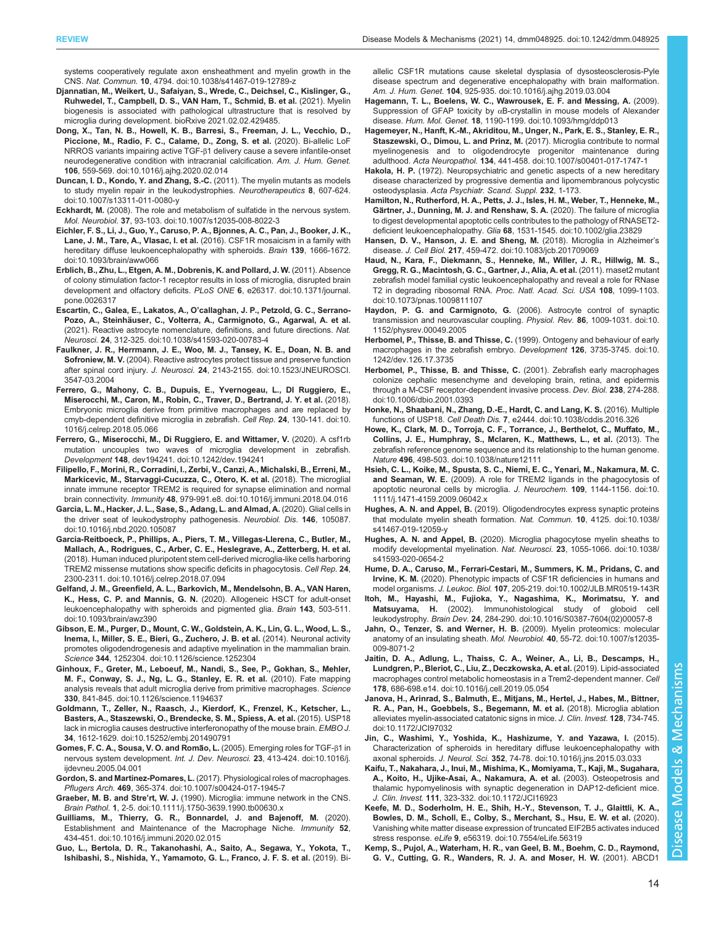<span id="page-13-0"></span>[systems cooperatively regulate axon ensheathment and myelin growth in the](https://doi.org/10.1038/s41467-019-12789-z) CNS. Nat. Commun. 10[, 4794. doi:10.1038/s41467-019-12789-z](https://doi.org/10.1038/s41467-019-12789-z)

- Djannatian, M., Weikert, U., Safaiyan, S., Wrede, C., Deichsel, C., Kislinger, G., Ruhwedel, T., Campbell, D. S., VAN Ham, T., Schmid, B. et al. (2021). Myelin biogenesis is associated with pathological ultrastructure that is resolved by microglia during development. bioRxive 2021.02.02.429485.
- [Dong, X., Tan, N. B., Howell, K. B., Barresi, S., Freeman, J. L., Vecchio, D.,](https://doi.org/10.1016/j.ajhg.2020.02.014) [Piccione, M., Radio, F. C., Calame, D., Zong, S. et al.](https://doi.org/10.1016/j.ajhg.2020.02.014) (2020). Bi-allelic LoF NRROS variants impairing active TGF-β[1 delivery cause a severe infantile-onset](https://doi.org/10.1016/j.ajhg.2020.02.014) [neurodegenerative condition with intracranial calcification.](https://doi.org/10.1016/j.ajhg.2020.02.014) Am. J. Hum. Genet. 106[, 559-569. doi:10.1016/j.ajhg.2020.02.014](https://doi.org/10.1016/j.ajhg.2020.02.014)
- [Duncan, I. D., Kondo, Y. and Zhang, S.-C.](https://doi.org/10.1007/s13311-011-0080-y) (2011). The myelin mutants as models [to study myelin repair in the leukodystrophies.](https://doi.org/10.1007/s13311-011-0080-y) Neurotherapeutics 8, 607-624. [doi:10.1007/s13311-011-0080-y](https://doi.org/10.1007/s13311-011-0080-y)
- Eckhardt, M. [\(2008\). The role and metabolism of sulfatide in the nervous system.](https://doi.org/10.1007/s12035-008-8022-3) Mol. Neurobiol. 37[, 93-103. doi:10.1007/s12035-008-8022-3](https://doi.org/10.1007/s12035-008-8022-3)
- [Eichler, F. S., Li, J., Guo, Y., Caruso, P. A., Bjonnes, A. C., Pan, J., Booker, J. K.,](https://doi.org/10.1093/brain/aww066) Lane, J. M., Tare, A., Vlasac, I. et al. [\(2016\). CSF1R mosaicism in a family with](https://doi.org/10.1093/brain/aww066) [hereditary diffuse leukoencephalopathy with spheroids.](https://doi.org/10.1093/brain/aww066) Brain 139, 1666-1672. [doi:10.1093/brain/aww066](https://doi.org/10.1093/brain/aww066)
- [Erblich, B., Zhu, L., Etgen, A. M., Dobrenis, K. and Pollard, J. W.](https://doi.org/10.1371/journal.pone.0026317) (2011). Absence [of colony stimulation factor-1 receptor results in loss of microglia, disrupted brain](https://doi.org/10.1371/journal.pone.0026317) [development and olfactory deficits.](https://doi.org/10.1371/journal.pone.0026317) PLoS ONE 6, e26317. doi:10.1371/journal. [pone.0026317](https://doi.org/10.1371/journal.pone.0026317)
- Escartin, C., Galea, E., Lakatos, A., O'[callaghan, J. P., Petzold, G. C., Serrano](https://doi.org/10.1038/s41593-020-00783-4)Pozo, A., Steinhä[user, C., Volterra, A., Carmignoto, G., Agarwal, A. et al.](https://doi.org/10.1038/s41593-020-00783-4) [\(2021\). Reactive astrocyte nomenclature, definitions, and future directions.](https://doi.org/10.1038/s41593-020-00783-4) Nat. Neurosci. 24[, 312-325. doi:10.1038/s41593-020-00783-4](https://doi.org/10.1038/s41593-020-00783-4)
- [Faulkner, J. R., Herrmann, J. E., Woo, M. J., Tansey, K. E., Doan, N. B. and](https://doi.org/10.1523/JNEUROSCI.3547-03.2004) Sofroniew, M. V. [\(2004\). Reactive astrocytes protect tissue and preserve function](https://doi.org/10.1523/JNEUROSCI.3547-03.2004) after spinal cord injury. J. Neurosci. 24[, 2143-2155. doi:10.1523/JNEUROSCI.](https://doi.org/10.1523/JNEUROSCI.3547-03.2004) [3547-03.2004](https://doi.org/10.1523/JNEUROSCI.3547-03.2004)
- [Ferrero, G., Mahony, C. B., Dupuis, E., Yvernogeau, L., DI Ruggiero, E.,](https://doi.org/10.1016/j.celrep.2018.05.066) [Miserocchi, M., Caron, M., Robin, C., Traver, D., Bertrand, J. Y. et al.](https://doi.org/10.1016/j.celrep.2018.05.066) (2018). [Embryonic microglia derive from primitive macrophages and are replaced by](https://doi.org/10.1016/j.celrep.2018.05.066) [cmyb-dependent definitive microglia in zebrafish.](https://doi.org/10.1016/j.celrep.2018.05.066) Cell Rep. 24, 130-141. doi:10. [1016/j.celrep.2018.05.066](https://doi.org/10.1016/j.celrep.2018.05.066)
- [Ferrero, G., Miserocchi, M., Di Ruggiero, E. and Wittamer, V.](https://doi.org/10.1242/dev.194241) (2020). A csf1rb [mutation uncouples two waves of microglia development in zebrafish.](https://doi.org/10.1242/dev.194241) Development 148[, dev194241. doi:10.1242/dev.194241](https://doi.org/10.1242/dev.194241)
- [Filipello, F., Morini, R., Corradini, I., Zerbi, V., Canzi, A., Michalski, B., Erreni, M.,](https://doi.org/10.1016/j.immuni.2018.04.016) [Markicevic, M., Starvaggi-Cucuzza, C., Otero, K. et al.](https://doi.org/10.1016/j.immuni.2018.04.016) (2018). The microglial [innate immune receptor TREM2 is required for synapse elimination and normal](https://doi.org/10.1016/j.immuni.2018.04.016) brain connectivity. Immunity 48[, 979-991.e8. doi:10.1016/j.immuni.2018.04.016](https://doi.org/10.1016/j.immuni.2018.04.016)
- [Garcia, L. M., Hacker, J. L., Sase, S., Adang, L. and Almad, A.](https://doi.org/10.1016/j.nbd.2020.105087) (2020). Glial cells in [the driver seat of leukodystrophy pathogenesis.](https://doi.org/10.1016/j.nbd.2020.105087) Neurobiol. Dis. 146, 105087. [doi:10.1016/j.nbd.2020.105087](https://doi.org/10.1016/j.nbd.2020.105087)
- [Garcia-Reitboeck, P., Phillips, A., Piers, T. M., Villegas-Llerena, C., Butler, M.,](https://doi.org/10.1016/j.celrep.2018.07.094) [Mallach, A., Rodrigues, C., Arber, C. E., Heslegrave, A., Zetterberg, H. et al.](https://doi.org/10.1016/j.celrep.2018.07.094) [\(2018\). Human induced pluripotent stem cell-derived microglia-like cells harboring](https://doi.org/10.1016/j.celrep.2018.07.094) [TREM2 missense mutations show specific deficits in phagocytosis.](https://doi.org/10.1016/j.celrep.2018.07.094) Cell Rep. 24, [2300-2311. doi:10.1016/j.celrep.2018.07.094](https://doi.org/10.1016/j.celrep.2018.07.094)
- [Gelfand, J. M., Greenfield, A. L., Barkovich, M., Mendelsohn, B. A., VAN Haren,](https://doi.org/10.1093/brain/awz390) K., Hess, C. P. and Mannis, G. N. [\(2020\). Allogeneic HSCT for adult-onset](https://doi.org/10.1093/brain/awz390) [leukoencephalopathy with spheroids and pigmented glia.](https://doi.org/10.1093/brain/awz390) Brain 143, 503-511. [doi:10.1093/brain/awz390](https://doi.org/10.1093/brain/awz390)
- [Gibson, E. M., Purger, D., Mount, C. W., Goldstein, A. K., Lin, G. L., Wood, L. S.,](https://doi.org/10.1126/science.1252304) [Inema, I., Miller, S. E., Bieri, G., Zuchero, J. B. et al.](https://doi.org/10.1126/science.1252304) (2014). Neuronal activity [promotes oligodendrogenesis and adaptive myelination in the mammalian brain.](https://doi.org/10.1126/science.1252304) Science 344[, 1252304. doi:10.1126/science.1252304](https://doi.org/10.1126/science.1252304)
- [Ginhoux, F., Greter, M., Leboeuf, M., Nandi, S., See, P., Gokhan, S., Mehler,](https://doi.org/10.1126/science.1194637) [M. F., Conway, S. J., Ng, L. G., Stanley, E. R. et al.](https://doi.org/10.1126/science.1194637) (2010). Fate mapping [analysis reveals that adult microglia derive from primitive macrophages.](https://doi.org/10.1126/science.1194637) Science 330[, 841-845. doi:10.1126/science.1194637](https://doi.org/10.1126/science.1194637)
- [Goldmann, T., Zeller, N., Raasch, J., Kierdorf, K., Frenzel, K., Ketscher, L.,](https://doi.org/10.15252/embj.201490791) [Basters, A., Staszewski, O., Brendecke, S. M., Spiess, A. et al.](https://doi.org/10.15252/embj.201490791) (2015). USP18 [lack in microglia causes destructive interferonopathy of the mouse brain.](https://doi.org/10.15252/embj.201490791) EMBO J. 34[, 1612-1629. doi:10.15252/embj.201490791](https://doi.org/10.15252/embj.201490791)
- **Gomes, F. C. A., Sousa, V. O. and Romão, L.** (2005). Emerging roles for TGF-β1 in nervous system development. Int. J. Dev. Neurosci. 23[, 413-424. doi:10.1016/j.](https://doi.org/10.1016/j.ijdevneu.2005.04.001) [ijdevneu.2005.04.001](https://doi.org/10.1016/j.ijdevneu.2005.04.001)
- Gordon, S. and Martinez-Pomares, L. [\(2017\). Physiological roles of macrophages.](https://doi.org/10.1007/s00424-017-1945-7) Pflugers Arch. 469[, 365-374. doi:10.1007/s00424-017-1945-7](https://doi.org/10.1007/s00424-017-1945-7)
- Graeber, M. B. and Stre'rt, W. J. [\(1990\). Microglia: immune network in the CNS.](https://doi.org/10.1111/j.1750-3639.1990.tb00630.x) Brain Pathol. 1[, 2-5. doi:10.1111/j.1750-3639.1990.tb00630.x](https://doi.org/10.1111/j.1750-3639.1990.tb00630.x)
- [Guilliams, M., Thierry, G. R., Bonnardel, J. and Bajenoff, M.](https://doi.org/10.1016/j.immuni.2020.02.015) (2020). [Establishment and Maintenance of the Macrophage Niche.](https://doi.org/10.1016/j.immuni.2020.02.015) Immunity 52, [434-451. doi:10.1016/j.immuni.2020.02.015](https://doi.org/10.1016/j.immuni.2020.02.015)
- [Guo, L., Bertola, D. R., Takanohashi, A., Saito, A., Segawa, Y., Yokota, T.,](https://doi.org/10.1016/j.ajhg.2019.03.004) [Ishibashi, S., Nishida, Y., Yamamoto, G. L., Franco, J. F. S. et al.](https://doi.org/10.1016/j.ajhg.2019.03.004) (2019). Bi-

[allelic CSF1R mutations cause skeletal dysplasia of dysosteosclerosis-Pyle](https://doi.org/10.1016/j.ajhg.2019.03.004) [disease spectrum and degenerative encephalopathy with brain malformation.](https://doi.org/10.1016/j.ajhg.2019.03.004) Am. J. Hum. Genet. 104[, 925-935. doi:10.1016/j.ajhg.2019.03.004](https://doi.org/10.1016/j.ajhg.2019.03.004)

- [Hagemann, T. L., Boelens, W. C., Wawrousek, E. F. and Messing, A.](https://doi.org/10.1093/hmg/ddp013) (2009). Suppression of GFAP toxicity by α[B-crystallin in mouse models of Alexander](https://doi.org/10.1093/hmg/ddp013) disease. Hum. Mol. Genet. 18[, 1190-1199. doi:10.1093/hmg/ddp013](https://doi.org/10.1093/hmg/ddp013)
- [Hagemeyer, N., Hanft, K.-M., Akriditou, M., Unger, N., Park, E. S., Stanley, E. R.,](https://doi.org/10.1007/s00401-017-1747-1) [Staszewski, O., Dimou, L. and Prinz, M.](https://doi.org/10.1007/s00401-017-1747-1) (2017). Microglia contribute to normal [myelinogenesis and to oligodendrocyte progenitor maintenance during](https://doi.org/10.1007/s00401-017-1747-1) adulthood. Acta Neuropathol. 134[, 441-458. doi:10.1007/s00401-017-1747-1](https://doi.org/10.1007/s00401-017-1747-1)
- Hakola, H. P. (1972). Neuropsychiatric and genetic aspects of a new hereditary disease characterized by progressive dementia and lipomembranous polycystic osteodysplasia. Acta Psychiatr. Scand. Suppl. 232, 1-173.
- [Hamilton, N., Rutherford, H. A., Petts, J. J., Isles, H. M., Weber, T., Henneke, M.,](https://doi.org/10.1002/glia.23829) Gä[rtner, J., Dunning, M. J. and Renshaw, S. A.](https://doi.org/10.1002/glia.23829) (2020). The failure of microglia [to digest developmental apoptotic cells contributes to the pathology of RNASET2](https://doi.org/10.1002/glia.23829) deficient leukoencephalopathy. Glia 68[, 1531-1545. doi:10.1002/glia.23829](https://doi.org/10.1002/glia.23829)
- [Hansen, D. V., Hanson, J. E. and Sheng, M.](https://doi.org/10.1083/jcb.201709069) (2018). Microglia in Alzheimer's disease. J. Cell Biol. 217[, 459-472. doi:10.1083/jcb.201709069](https://doi.org/10.1083/jcb.201709069)
- [Haud, N., Kara, F., Diekmann, S., Henneke, M., Willer, J. R., Hillwig, M. S.,](https://doi.org/10.1073/pnas.1009811107) [Gregg, R. G., Macintosh, G. C., Gartner, J., Alia, A. et al.](https://doi.org/10.1073/pnas.1009811107) (2011). rnaset2 mutant [zebrafish model familial cystic leukoencephalopathy and reveal a role for RNase](https://doi.org/10.1073/pnas.1009811107) [T2 in degrading ribosomal RNA.](https://doi.org/10.1073/pnas.1009811107) Proc. Natl. Acad. Sci. USA 108, 1099-1103. [doi:10.1073/pnas.1009811107](https://doi.org/10.1073/pnas.1009811107)
- [Haydon, P. G. and Carmignoto, G.](https://doi.org/10.1152/physrev.00049.2005) (2006). Astrocyte control of synaptic [transmission and neurovascular coupling.](https://doi.org/10.1152/physrev.00049.2005) Physiol. Rev. 86, 1009-1031. doi:10. [1152/physrev.00049.2005](https://doi.org/10.1152/physrev.00049.2005)
- [Herbomel, P., Thisse, B. and Thisse, C.](https://doi.org/10.1242/dev.126.17.3735) (1999). Ontogeny and behaviour of early [macrophages in the zebrafish embryo.](https://doi.org/10.1242/dev.126.17.3735) Development 126, 3735-3745. doi:10. [1242/dev.126.17.3735](https://doi.org/10.1242/dev.126.17.3735)
- [Herbomel, P., Thisse, B. and Thisse, C.](https://doi.org/10.1006/dbio.2001.0393) (2001). Zebrafish early macrophages [colonize cephalic mesenchyme and developing brain, retina, and epidermis](https://doi.org/10.1006/dbio.2001.0393) [through a M-CSF receptor-dependent invasive process.](https://doi.org/10.1006/dbio.2001.0393) Dev. Biol. 238, 274-288. [doi:10.1006/dbio.2001.0393](https://doi.org/10.1006/dbio.2001.0393)
- [Honke, N., Shaabani, N., Zhang, D.-E., Hardt, C. and Lang, K. S.](https://doi.org/10.1038/cddis.2016.326) (2016). Multiple functions of USP18. Cell Death Dis. 7[, e2444. doi:10.1038/cddis.2016.326](https://doi.org/10.1038/cddis.2016.326)
- [Howe, K., Clark, M. D., Torroja, C. F., Torrance, J., Berthelot, C., Muffato, M.,](https://doi.org/10.1038/nature12111) [Collins, J. E., Humphray, S., Mclaren, K., Matthews, L., et al.](https://doi.org/10.1038/nature12111) (2013). The [zebrafish reference genome sequence and its relationship to the human genome.](https://doi.org/10.1038/nature12111) Nature 496[, 498-503. doi:10.1038/nature12111](https://doi.org/10.1038/nature12111)
- [Hsieh, C. L., Koike, M., Spusta, S. C., Niemi, E. C., Yenari, M., Nakamura, M. C.](https://doi.org/10.1111/j.1471-4159.2009.06042.x) and Seaman, W. E. [\(2009\). A role for TREM2 ligands in the phagocytosis of](https://doi.org/10.1111/j.1471-4159.2009.06042.x) [apoptotic neuronal cells by microglia.](https://doi.org/10.1111/j.1471-4159.2009.06042.x) J. Neurochem. 109, 1144-1156. doi:10. [1111/j.1471-4159.2009.06042.x](https://doi.org/10.1111/j.1471-4159.2009.06042.x)
- Hughes, A. N. and Appel, B. [\(2019\). Oligodendrocytes express synaptic proteins](https://doi.org/10.1038/s41467-019-12059-y) [that modulate myelin sheath formation.](https://doi.org/10.1038/s41467-019-12059-y) Nat. Commun. 10, 4125. doi:10.1038/ [s41467-019-12059-y](https://doi.org/10.1038/s41467-019-12059-y)
- Hughes, A. N. and Appel, B. [\(2020\). Microglia phagocytose myelin sheaths to](https://doi.org/10.1038/s41593-020-0654-2) [modify developmental myelination.](https://doi.org/10.1038/s41593-020-0654-2) Nat. Neurosci. 23, 1055-1066. doi:10.1038/ [s41593-020-0654-2](https://doi.org/10.1038/s41593-020-0654-2)
- [Hume, D. A., Caruso, M., Ferrari-Cestari, M., Summers, K. M., Pridans, C. and](https://doi.org/10.1002/JLB.MR0519-143R) Irvine, K. M. [\(2020\). Phenotypic impacts of CSF1R deficiencies in humans and](https://doi.org/10.1002/JLB.MR0519-143R) model organisms. J. Leukoc. Biol. 107[, 205-219. doi:10.1002/JLB.MR0519-143R](https://doi.org/10.1002/JLB.MR0519-143R)
- [Itoh, M., Hayashi, M., Fujioka, Y., Nagashima, K., Morimatsu, Y. and](https://doi.org/10.1016/S0387-7604(02)00057-8) Matsuyama, H. [\(2002\). Immunohistological study of globoid cell](https://doi.org/10.1016/S0387-7604(02)00057-8)
- leukodystrophy. Brain Dev. 24[, 284-290. doi:10.1016/S0387-7604\(02\)00057-8](https://doi.org/10.1016/S0387-7604(02)00057-8) [Jahn, O., Tenzer, S. and Werner, H. B.](https://doi.org/10.1007/s12035-009-8071-2) (2009). Myelin proteomics: molecular [anatomy of an insulating sheath.](https://doi.org/10.1007/s12035-009-8071-2) Mol. Neurobiol. 40, 55-72. doi:10.1007/s12035- [009-8071-2](https://doi.org/10.1007/s12035-009-8071-2)
- [Jaitin, D. A., Adlung, L., Thaiss, C. A., Weiner, A., Li, B., Descamps, H.,](https://doi.org/10.1016/j.cell.2019.05.054) [Lundgren, P., Bleriot, C., Liu, Z., Deczkowska, A. et al.](https://doi.org/10.1016/j.cell.2019.05.054) (2019). Lipid-associated [macrophages control metabolic homeostasis in a Trem2-dependent manner.](https://doi.org/10.1016/j.cell.2019.05.054) Cell 178[, 686-698.e14. doi:10.1016/j.cell.2019.05.054](https://doi.org/10.1016/j.cell.2019.05.054)
- [Janova, H., Arinrad, S., Balmuth, E., Mitjans, M., Hertel, J., Habes, M., Bittner,](https://doi.org/10.1172/JCI97032) [R. A., Pan, H., Goebbels, S., Begemann, M. et al.](https://doi.org/10.1172/JCI97032) (2018). Microglia ablation [alleviates myelin-associated catatonic signs in mice.](https://doi.org/10.1172/JCI97032) J. Clin. Invest. 128, 734-745. [doi:10.1172/JCI97032](https://doi.org/10.1172/JCI97032)
- [Jin, C., Washimi, Y., Yoshida, K., Hashizume, Y. and Yazawa, I.](https://doi.org/10.1016/j.jns.2015.03.033) (2015). [Characterization of spheroids in hereditary diffuse leukoencephalopathy with](https://doi.org/10.1016/j.jns.2015.03.033) axonal spheroids. J. Neurol. Sci. 352[, 74-78. doi:10.1016/j.jns.2015.03.033](https://doi.org/10.1016/j.jns.2015.03.033)
- [Kaifu, T., Nakahara, J., Inui, M., Mishima, K., Momiyama, T., Kaji, M., Sugahara,](https://doi.org/10.1172/JCI16923) [A., Koito, H., Ujike-Asai, A., Nakamura, A. et al.](https://doi.org/10.1172/JCI16923) (2003). Osteopetrosis and [thalamic hypomyelinosis with synaptic degeneration in DAP12-deficient mice.](https://doi.org/10.1172/JCI16923) J. Clin. Invest. 111[, 323-332. doi:10.1172/JCI16923](https://doi.org/10.1172/JCI16923)
- [Keefe, M. D., Soderholm, H. E., Shih, H.-Y., Stevenson, T. J., Glaittli, K. A.,](https://doi.org/10.7554/eLife.56319) [Bowles, D. M., Scholl, E., Colby, S., Merchant, S., Hsu, E. W. et al.](https://doi.org/10.7554/eLife.56319) (2020). [Vanishing white matter disease expression of truncated EIF2B5 activates induced](https://doi.org/10.7554/eLife.56319) stress response. eLife 9[, e56319. doi:10.7554/eLife.56319](https://doi.org/10.7554/eLife.56319)
- [Kemp, S., Pujol, A., Waterham, H. R., van Geel, B. M., Boehm, C. D., Raymond,](https://doi.org/10.1002/humu.1227) [G. V., Cutting, G. R., Wanders, R. J. A. and Moser, H. W.](https://doi.org/10.1002/humu.1227) (2001). ABCD1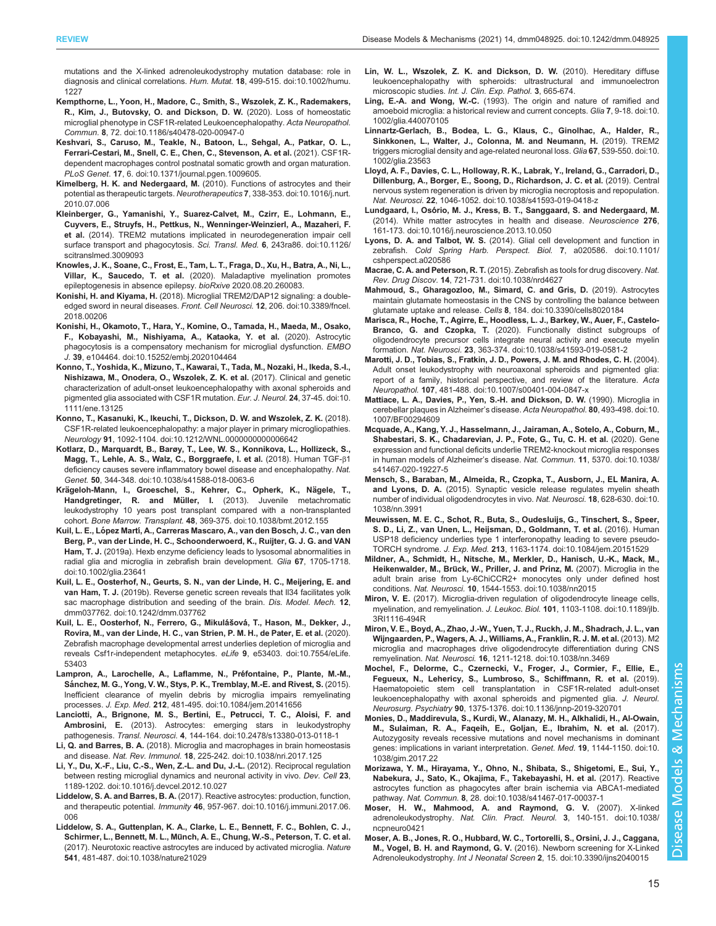<span id="page-14-0"></span>[mutations and the X-linked adrenoleukodystrophy mutation database: role in](https://doi.org/10.1002/humu.1227) [diagnosis and clinical correlations.](https://doi.org/10.1002/humu.1227) Hum. Mutat. 18, 499-515. doi:10.1002/humu. [1227](https://doi.org/10.1002/humu.1227)

- [Kempthorne, L., Yoon, H., Madore, C., Smith, S., Wszolek, Z. K., Rademakers,](https://doi.org/10.1186/s40478-020-00947-0) [R., Kim, J., Butovsky, O. and Dickson, D. W.](https://doi.org/10.1186/s40478-020-00947-0) (2020). Loss of homeostatic [microglial phenotype in CSF1R-related Leukoencephalopathy.](https://doi.org/10.1186/s40478-020-00947-0) Acta Neuropathol. Commun. 8[, 72. doi:10.1186/s40478-020-00947-0](https://doi.org/10.1186/s40478-020-00947-0)
- [Keshvari, S., Caruso, M., Teakle, N., Batoon, L., Sehgal, A., Patkar, O. L.,](https://doi.org/10.1371/journal.pgen.1009605) [Ferrari-Cestari, M., Snell, C. E., Chen, C., Stevenson, A. et al.](https://doi.org/10.1371/journal.pgen.1009605) (2021). CSF1R[dependent macrophages control postnatal somatic growth and organ maturation.](https://doi.org/10.1371/journal.pgen.1009605) PLoS Genet. 17[, 6. doi:10.1371/journal.pgen.1009605.](https://doi.org/10.1371/journal.pgen.1009605)
- Kimelberg, H. K. and Nedergaard, M. [\(2010\). Functions of astrocytes and their](https://doi.org/10.1016/j.nurt.2010.07.006) [potential as therapeutic targets.](https://doi.org/10.1016/j.nurt.2010.07.006) Neurotherapeutics 7, 338-353. doi:10.1016/j.nurt. [2010.07.006](https://doi.org/10.1016/j.nurt.2010.07.006)
- [Kleinberger, G., Yamanishi, Y., Suarez-Calvet, M., Czirr, E., Lohmann, E.,](https://doi.org/10.1126/scitranslmed.3009093) [Cuyvers, E., Struyfs, H., Pettkus, N., Wenninger-Weinzierl, A., Mazaheri, F.](https://doi.org/10.1126/scitranslmed.3009093) et al. [\(2014\). TREM2 mutations implicated in neurodegeneration impair cell](https://doi.org/10.1126/scitranslmed.3009093) [surface transport and phagocytosis.](https://doi.org/10.1126/scitranslmed.3009093) Sci. Transl. Med. 6, 243ra86. doi:10.1126/ [scitranslmed.3009093](https://doi.org/10.1126/scitranslmed.3009093)
- Knowles, J. K., Soane, C., Frost, E., Tam, L. T., Fraga, D., Xu, H., Batra, A., Ni, L., Villar, K., Saucedo, T. et al. (2020). Maladaptive myelination promotes epileptogenesis in absence epilepsy. bioRxive 2020.08.20.260083.
- Konishi, H. and Kiyama, H. [\(2018\). Microglial TREM2/DAP12 signaling: a double](https://doi.org/10.3389/fncel.2018.00206)[edged sword in neural diseases.](https://doi.org/10.3389/fncel.2018.00206) Front. Cell Neurosci. 12, 206. doi:10.3389/fncel. [2018.00206](https://doi.org/10.3389/fncel.2018.00206)
- [Konishi, H., Okamoto, T., Hara, Y., Komine, O., Tamada, H., Maeda, M., Osako,](https://doi.org/10.15252/embj.2020104464) [F., Kobayashi, M., Nishiyama, A., Kataoka, Y. et al.](https://doi.org/10.15252/embj.2020104464) (2020). Astrocytic [phagocytosis is a compensatory mechanism for microglial dysfunction.](https://doi.org/10.15252/embj.2020104464) EMBO J. 39[, e104464. doi:10.15252/embj.2020104464](https://doi.org/10.15252/embj.2020104464)
- [Konno, T., Yoshida, K., Mizuno, T., Kawarai, T., Tada, M., Nozaki, H., Ikeda, S.-I.,](https://doi.org/10.1111/ene.13125) [Nishizawa, M., Onodera, O., Wszolek, Z. K. et al.](https://doi.org/10.1111/ene.13125) (2017). Clinical and genetic [characterization of adult-onset leukoencephalopathy with axonal spheroids and](https://doi.org/10.1111/ene.13125) [pigmented glia associated with CSF1R mutation.](https://doi.org/10.1111/ene.13125) Eur. J. Neurol. 24, 37-45. doi:10. [1111/ene.13125](https://doi.org/10.1111/ene.13125)
- [Konno, T., Kasanuki, K., Ikeuchi, T., Dickson, D. W. and Wszolek, Z. K.](https://doi.org/10.1212/WNL.0000000000006642) (2018). [CSF1R-related leukoencephalopathy: a major player in primary microgliopathies.](https://doi.org/10.1212/WNL.0000000000006642) Neurology 91[, 1092-1104. doi:10.1212/WNL.0000000000006642](https://doi.org/10.1212/WNL.0000000000006642)
- [Kotlarz, D., Marquardt, B., Barøy, T., Lee, W. S., Konnikova, L., Hollizeck, S.,](https://doi.org/10.1038/s41588-018-0063-6) [Magg, T., Lehle, A. S., Walz, C., Borggraefe, I. et al.](https://doi.org/10.1038/s41588-018-0063-6) (2018). Human TGF-β1 [deficiency causes severe inflammatory bowel disease and encephalopathy.](https://doi.org/10.1038/s41588-018-0063-6) Nat. Genet. 50[, 344-348. doi:10.1038/s41588-018-0063-6](https://doi.org/10.1038/s41588-018-0063-6)
- Krägeloh-Mann, I., Groeschel, S., Kehrer, C., Opherk, K., Nägele, T., Handgretinger, R. and Müller, I. [\(2013\). Juvenile metachromatic](https://doi.org/10.1038/bmt.2012.155) [leukodystrophy 10 years post transplant compared with a non-transplanted](https://doi.org/10.1038/bmt.2012.155) cohort. Bone Marrow. Transplant. 48[, 369-375. doi:10.1038/bmt.2012.155](https://doi.org/10.1038/bmt.2012.155)
- Kuil, L. E., López Martí[, A., Carreras Mascaro, A., van den Bosch, J. C., van den](https://doi.org/10.1002/glia.23641) [Berg, P., van der Linde, H. C., Schoonderwoerd, K., Ruijter, G. J. G. and VAN](https://doi.org/10.1002/glia.23641) Ham, T. J. [\(2019a\). Hexb enzyme deficiency leads to lysosomal abnormalities in](https://doi.org/10.1002/glia.23641) [radial glia and microglia in zebrafish brain development.](https://doi.org/10.1002/glia.23641) Glia 67, 1705-1718. [doi:10.1002/glia.23641](https://doi.org/10.1002/glia.23641)
- [Kuil, L. E., Oosterhof, N., Geurts, S. N., van der Linde, H. C., Meijering, E. and](https://doi.org/10.1242/dmm.037762) van Ham, T. J. [\(2019b\). Reverse genetic screen reveals that Il34 facilitates yolk](https://doi.org/10.1242/dmm.037762) [sac macrophage distribution and seeding of the brain.](https://doi.org/10.1242/dmm.037762) Dis. Model. Mech. 12, [dmm037762. doi:10.1242/dmm.037762](https://doi.org/10.1242/dmm.037762)
- [Kuil, L. E., Oosterhof, N., Ferrero, G., Mikula](https://doi.org/10.7554/eLife.53403)́šová, T., Hason, M., Dekker, J., [Rovira, M., van der Linde, H. C., van Strien, P. M. H., de Pater, E. et al.](https://doi.org/10.7554/eLife.53403) (2020). [Zebrafish macrophage developmental arrest underlies depletion of microglia and](https://doi.org/10.7554/eLife.53403) [reveals Csf1r-independent metaphocytes.](https://doi.org/10.7554/eLife.53403) eLife 9, e53403. doi:10.7554/eLife. [53403](https://doi.org/10.7554/eLife.53403)
- Lampron, A., Larochelle, A., Laflamme, N., Préfontaine, P., Plante, M.-M., Sá[nchez, M. G., Yong, V. W., Stys, P. K., Tremblay, M.-E. and Rivest, S.](https://doi.org/10.1084/jem.20141656) (2015). [Inefficient clearance of myelin debris by microglia impairs remyelinating](https://doi.org/10.1084/jem.20141656) processes. J. Exp. Med. 212[, 481-495. doi:10.1084/jem.20141656](https://doi.org/10.1084/jem.20141656)
- [Lanciotti, A., Brignone, M. S., Bertini, E., Petrucci, T. C., Aloisi, F. and](https://doi.org/10.2478/s13380-013-0118-1) Ambrosini, E. [\(2013\). Astrocytes: emerging stars in leukodystrophy](https://doi.org/10.2478/s13380-013-0118-1) pathogenesis. Transl. Neurosci. 4[, 144-164. doi:10.2478/s13380-013-0118-1](https://doi.org/10.2478/s13380-013-0118-1)
- Li, Q. and Barres, B. A. [\(2018\). Microglia and macrophages in brain homeostasis](https://doi.org/10.1038/nri.2017.125) and disease. Nat. Rev. Immunol. 18[, 225-242. doi:10.1038/nri.2017.125](https://doi.org/10.1038/nri.2017.125)
- [Li, Y., Du, X.-F., Liu, C.-S., Wen, Z.-L. and Du, J.-L.](https://doi.org/10.1016/j.devcel.2012.10.027) (2012). Reciprocal regulation [between resting microglial dynamics and neuronal activity in vivo.](https://doi.org/10.1016/j.devcel.2012.10.027) Dev. Cell 23, [1189-1202. doi:10.1016/j.devcel.2012.10.027](https://doi.org/10.1016/j.devcel.2012.10.027)
- Liddelow, S. A. and Barres, B. A. [\(2017\). Reactive astrocytes: production, function,](https://doi.org/10.1016/j.immuni.2017.06.006) and therapeutic potential. Immunity 46[, 957-967. doi:10.1016/j.immuni.2017.06.](https://doi.org/10.1016/j.immuni.2017.06.006) [006](https://doi.org/10.1016/j.immuni.2017.06.006)
- [Liddelow, S. A., Guttenplan, K. A., Clarke, L. E., Bennett, F. C., Bohlen, C. J.,](https://doi.org/10.1038/nature21029) Schirmer, L., Bennett, M. L., Mü[nch, A. E., Chung, W.-S., Peterson, T. C. et al.](https://doi.org/10.1038/nature21029) [\(2017\). Neurotoxic reactive astrocytes are induced by activated microglia.](https://doi.org/10.1038/nature21029) Nature 541[, 481-487. doi:10.1038/nature21029](https://doi.org/10.1038/nature21029)
- Lin, W. L., Wszolek, Z. K. and Dickson, D. W. (2010). Hereditary diffuse leukoencephalopathy with spheroids: ultrastructural and immunoelectron microscopic studies. Int. J. Clin. Exp. Pathol. 3, 665-674.
- Ling, E.-A. and Wong, W.-C. [\(1993\). The origin and nature of ramified and](https://doi.org/10.1002/glia.440070105) [amoeboid microglia: a historical review and current concepts.](https://doi.org/10.1002/glia.440070105) Glia 7, 9-18. doi:10. [1002/glia.440070105](https://doi.org/10.1002/glia.440070105)
- [Linnartz-Gerlach, B., Bodea, L. G., Klaus, C., Ginolhac, A., Halder, R.,](https://doi.org/10.1002/glia.23563) [Sinkkonen, L., Walter, J., Colonna, M. and Neumann, H.](https://doi.org/10.1002/glia.23563) (2019). TREM2 [triggers microglial density and age-related neuronal loss.](https://doi.org/10.1002/glia.23563) Glia 67, 539-550. doi:10. [1002/glia.23563](https://doi.org/10.1002/glia.23563)
- [Lloyd, A. F., Davies, C. L., Holloway, R. K., Labrak, Y., Ireland, G., Carradori, D.,](https://doi.org/10.1038/s41593-019-0418-z) [Dillenburg, A., Borger, E., Soong, D., Richardson, J. C. et al.](https://doi.org/10.1038/s41593-019-0418-z) (2019). Central [nervous system regeneration is driven by microglia necroptosis and repopulation.](https://doi.org/10.1038/s41593-019-0418-z) Nat. Neurosci. 22[, 1046-1052. doi:10.1038/s41593-019-0418-z](https://doi.org/10.1038/s41593-019-0418-z)
- Lundgaard, I., Osó[rio, M. J., Kress, B. T., Sanggaard, S. and Nedergaard, M.](https://doi.org/10.1016/j.neuroscience.2013.10.050) [\(2014\). White matter astrocytes in health and disease.](https://doi.org/10.1016/j.neuroscience.2013.10.050) Neuroscience 276, [161-173. doi:10.1016/j.neuroscience.2013.10.050](https://doi.org/10.1016/j.neuroscience.2013.10.050)
- Lyons, D. A. and Talbot, W. S. [\(2014\). Glial cell development and function in](https://doi.org/10.1101/cshperspect.a020586) zebrafish. [Cold Spring Harb. Perspect. Biol.](https://doi.org/10.1101/cshperspect.a020586) 7, a020586. doi:10.1101/ [cshperspect.a020586](https://doi.org/10.1101/cshperspect.a020586)
- Macrae, C. A. and Peterson, R. T. [\(2015\). Zebrafish as tools for drug discovery.](https://doi.org/10.1038/nrd4627) Nat. Rev. Drug Discov. 14[, 721-731. doi:10.1038/nrd4627](https://doi.org/10.1038/nrd4627)
- [Mahmoud, S., Gharagozloo, M., Simard, C. and Gris, D.](https://doi.org/10.3390/cells8020184) (2019). Astrocytes [maintain glutamate homeostasis in the CNS by controlling the balance between](https://doi.org/10.3390/cells8020184) glutamate uptake and release. Cells 8[, 184. doi:10.3390/cells8020184](https://doi.org/10.3390/cells8020184)
- [Marisca, R., Hoche, T., Agirre, E., Hoodless, L. J., Barkey, W., Auer, F., Castelo-](https://doi.org/10.1038/s41593-019-0581-2)Branco, G. and Czopka, T. [\(2020\). Functionally distinct subgroups of](https://doi.org/10.1038/s41593-019-0581-2) [oligodendrocyte precursor cells integrate neural activity and execute myelin](https://doi.org/10.1038/s41593-019-0581-2) formation. Nat. Neurosci. 23[, 363-374. doi:10.1038/s41593-019-0581-2](https://doi.org/10.1038/s41593-019-0581-2)
- [Marotti, J. D., Tobias, S., Fratkin, J. D., Powers, J. M. and Rhodes, C. H.](https://doi.org/10.1007/s00401-004-0847-x) (2004). [Adult onset leukodystrophy with neuroaxonal spheroids and pigmented glia:](https://doi.org/10.1007/s00401-004-0847-x) [report of a family, historical perspective, and review of the literature.](https://doi.org/10.1007/s00401-004-0847-x) Acta Neuropathol. 107[, 481-488. doi:10.1007/s00401-004-0847-x](https://doi.org/10.1007/s00401-004-0847-x)
- [Mattiace, L. A., Davies, P., Yen, S.-H. and Dickson, D. W.](https://doi.org/10.1007/BF00294609) (1990). Microglia in [cerebellar plaques in Alzheimer](https://doi.org/10.1007/BF00294609)'s disease. Acta Neuropathol. 80, 493-498. doi:10. [1007/BF00294609](https://doi.org/10.1007/BF00294609)
- [Mcquade, A., Kang, Y. J., Hasselmann, J., Jairaman, A., Sotelo, A., Coburn, M.,](https://doi.org/10.1038/s41467-020-19227-5) [Shabestari, S. K., Chadarevian, J. P., Fote, G., Tu, C. H. et al.](https://doi.org/10.1038/s41467-020-19227-5) (2020). Gene [expression and functional deficits underlie TREM2-knockout microglia responses](https://doi.org/10.1038/s41467-020-19227-5) [in human models of Alzheimer](https://doi.org/10.1038/s41467-020-19227-5)'s disease. Nat. Commun. 11, 5370. doi:10.1038/ [s41467-020-19227-5](https://doi.org/10.1038/s41467-020-19227-5)
- [Mensch, S., Baraban, M., Almeida, R., Czopka, T., Ausborn, J., EL Manira, A.](https://doi.org/10.1038/nn.3991) and Lyons, D. A. [\(2015\). Synaptic vesicle release regulates myelin sheath](https://doi.org/10.1038/nn.3991) [number of individual oligodendrocytes in vivo.](https://doi.org/10.1038/nn.3991) Nat. Neurosci. 18, 628-630. doi:10. [1038/nn.3991](https://doi.org/10.1038/nn.3991)
- [Meuwissen, M. E. C., Schot, R., Buta, S., Oudesluijs, G., Tinschert, S., Speer,](https://doi.org/10.1084/jem.20151529) [S. D., Li, Z., van Unen, L., Heijsman, D., Goldmann, T. et al.](https://doi.org/10.1084/jem.20151529) (2016). Human [USP18 deficiency underlies type 1 interferonopathy leading to severe pseudo-](https://doi.org/10.1084/jem.20151529)TORCH syndrome. J. Exp. Med. 213[, 1163-1174. doi:10.1084/jem.20151529](https://doi.org/10.1084/jem.20151529)
- [Mildner, A., Schmidt, H., Nitsche, M., Merkler, D., Hanisch, U.-K., Mack, M.,](https://doi.org/10.1038/nn2015) Heikenwalder, M., Brü[ck, W., Priller, J. and Prinz, M.](https://doi.org/10.1038/nn2015) (2007). Microglia in the [adult brain arise from Ly-6ChiCCR2+ monocytes only under defined host](https://doi.org/10.1038/nn2015) conditions. Nat. Neurosci. 10[, 1544-1553. doi:10.1038/nn2015](https://doi.org/10.1038/nn2015)
- Miron, V. E. [\(2017\). Microglia-driven regulation of oligodendrocyte lineage cells,](https://doi.org/10.1189/jlb.3RI1116-494R) [myelination, and remyelination.](https://doi.org/10.1189/jlb.3RI1116-494R) J. Leukoc. Biol. 101, 1103-1108. doi:10.1189/jlb. [3RI1116-494R](https://doi.org/10.1189/jlb.3RI1116-494R)
- [Miron, V. E., Boyd, A., Zhao, J.-W., Yuen, T. J., Ruckh, J. M., Shadrach, J. L., van](https://doi.org/10.1038/nn.3469) [Wijngaarden, P., Wagers, A. J., Williams, A., Franklin, R. J. M. et al.](https://doi.org/10.1038/nn.3469) (2013). M2 [microglia and macrophages drive oligodendrocyte differentiation during CNS](https://doi.org/10.1038/nn.3469) remyelination. Nat. Neurosci. 16[, 1211-1218. doi:10.1038/nn.3469](https://doi.org/10.1038/nn.3469)
- [Mochel, F., Delorme, C., Czernecki, V., Froger, J., Cormier, F., Ellie, E.,](https://doi.org/10.1136/jnnp-2019-320701) [Fegueux, N., Lehericy, S., Lumbroso, S., Schiffmann, R. et al.](https://doi.org/10.1136/jnnp-2019-320701) (2019). [Haematopoietic stem cell transplantation in CSF1R-related adult-onset](https://doi.org/10.1136/jnnp-2019-320701) [leukoencephalopathy with axonal spheroids and pigmented glia.](https://doi.org/10.1136/jnnp-2019-320701) J. Neurol. Neurosurg. Psychiatry 90[, 1375-1376. doi:10.1136/jnnp-2019-320701](https://doi.org/10.1136/jnnp-2019-320701)
- [Monies, D., Maddirevula, S., Kurdi, W., Alanazy, M. H., Alkhalidi, H., Al-Owain,](https://doi.org/10.1038/gim.2017.22) [M., Sulaiman, R. A., Faqeih, E., Goljan, E., Ibrahim, N. et al.](https://doi.org/10.1038/gim.2017.22) (2017). [Autozygosity reveals recessive mutations and novel mechanisms in dominant](https://doi.org/10.1038/gim.2017.22) [genes: implications in variant interpretation.](https://doi.org/10.1038/gim.2017.22) Genet. Med. 19, 1144-1150. doi:10. [1038/gim.2017.22](https://doi.org/10.1038/gim.2017.22)
- [Morizawa, Y. M., Hirayama, Y., Ohno, N., Shibata, S., Shigetomi, E., Sui, Y.,](https://doi.org/10.1038/s41467-017-00037-1) [Nabekura, J., Sato, K., Okajima, F., Takebayashi, H. et al.](https://doi.org/10.1038/s41467-017-00037-1) (2017). Reactive [astrocytes function as phagocytes after brain ischemia via ABCA1-mediated](https://doi.org/10.1038/s41467-017-00037-1) pathway. Nat. Commun. 8[, 28. doi:10.1038/s41467-017-00037-1](https://doi.org/10.1038/s41467-017-00037-1)
- [Moser, H. W., Mahmood, A. and Raymond, G. V.](https://doi.org/10.1038/ncpneuro0421) (2007). X-linked adrenoleukodystrophy. [Nat. Clin. Pract. Neurol.](https://doi.org/10.1038/ncpneuro0421) 3, 140-151. doi:10.1038/ [ncpneuro0421](https://doi.org/10.1038/ncpneuro0421)
- [Moser, A. B., Jones, R. O., Hubbard, W. C., Tortorelli, S., Orsini, J. J., Caggana,](https://doi.org/10.3390/ijns2040015) M., Vogel, B. H. and Raymond, G. V. [\(2016\). Newborn screening for X-Linked](https://doi.org/10.3390/ijns2040015) Adrenoleukodystrophy. Int J Neonatal Screen 2[, 15. doi:10.3390/ijns2040015](https://doi.org/10.3390/ijns2040015)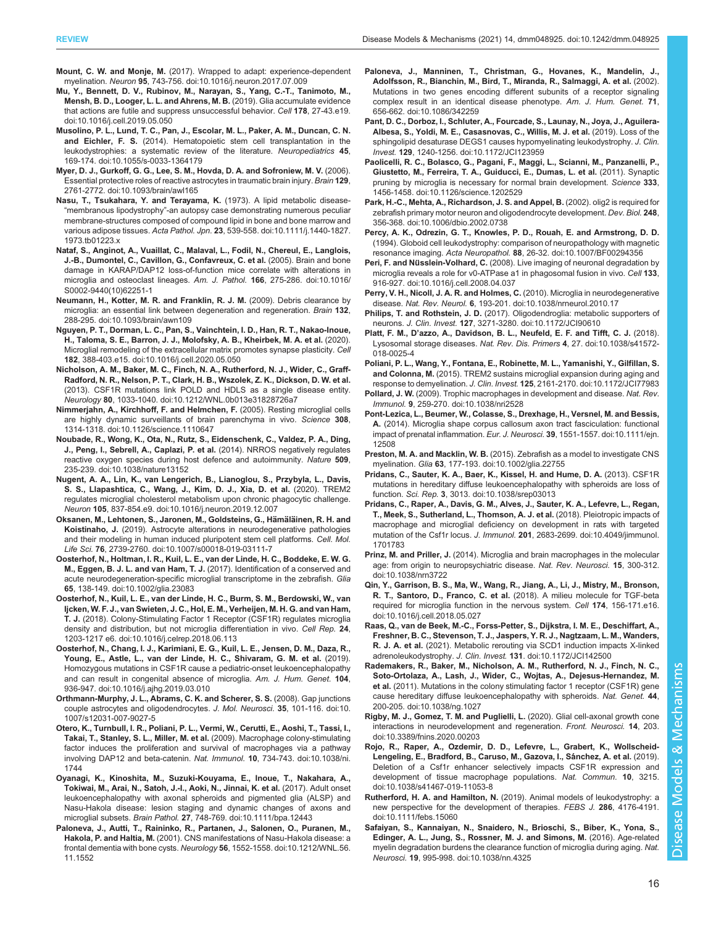- <span id="page-15-0"></span>[Mu, Y., Bennett, D. V., Rubinov, M., Narayan, S., Yang, C.-T., Tanimoto, M.,](https://doi.org/10.1016/j.cell.2019.05.050) [Mensh, B. D., Looger, L. L. and Ahrens, M. B.](https://doi.org/10.1016/j.cell.2019.05.050) (2019). Glia accumulate evidence [that actions are futile and suppress unsuccessful behavior.](https://doi.org/10.1016/j.cell.2019.05.050) Cell 178, 27-43.e19. [doi:10.1016/j.cell.2019.05.050](https://doi.org/10.1016/j.cell.2019.05.050)
- [Musolino, P. L., Lund, T. C., Pan, J., Escolar, M. L., Paker, A. M., Duncan, C. N.](https://doi.org/10.1055/s-0033-1364179) and Eichler, F. S. [\(2014\). Hematopoietic stem cell transplantation in the](https://doi.org/10.1055/s-0033-1364179) leukodystrophies: a [systematic review of the literature.](https://doi.org/10.1055/s-0033-1364179) Neuropediatrics 45, [169-174. doi:10.1055/s-0033-1364179](https://doi.org/10.1055/s-0033-1364179)
- [Myer, D. J., Gurkoff, G. G., Lee, S. M., Hovda, D. A. and Sofroniew, M. V.](https://doi.org/10.1093/brain/awl165) (2006). [Essential protective roles of reactive astrocytes in traumatic brain injury.](https://doi.org/10.1093/brain/awl165) Brain 129, [2761-2772. doi:10.1093/brain/awl165](https://doi.org/10.1093/brain/awl165)
- [Nasu, T., Tsukahara, Y. and Terayama, K.](https://doi.org/10.1111/j.1440-1827.1973.tb01223.x) (1973). A lipid metabolic disease- "membranous lipodystrophy"[-an autopsy case demonstrating numerous peculiar](https://doi.org/10.1111/j.1440-1827.1973.tb01223.x) [membrane-structures composed of compound lipid in bone and bone marrow and](https://doi.org/10.1111/j.1440-1827.1973.tb01223.x) various adipose tissues. Acta Pathol. Jpn. 23[, 539-558. doi:10.1111/j.1440-1827.](https://doi.org/10.1111/j.1440-1827.1973.tb01223.x) [1973.tb01223.x](https://doi.org/10.1111/j.1440-1827.1973.tb01223.x)
- [Nataf, S., Anginot, A., Vuaillat, C., Malaval, L., Fodil, N., Chereul, E., Langlois,](https://doi.org/10.1016/S0002-9440(10)62251-1) [J.-B., Dumontel, C., Cavillon, G., Confavreux, C. et al.](https://doi.org/10.1016/S0002-9440(10)62251-1) (2005). Brain and bone [damage in KARAP/DAP12 loss-of-function mice correlate with alterations in](https://doi.org/10.1016/S0002-9440(10)62251-1) [microglia and osteoclast lineages.](https://doi.org/10.1016/S0002-9440(10)62251-1) Am. J. Pathol. 166, 275-286. doi:10.1016/ [S0002-9440\(10\)62251-1](https://doi.org/10.1016/S0002-9440(10)62251-1)
- [Neumann, H., Kotter, M. R. and Franklin, R. J. M.](https://doi.org/10.1093/brain/awn109) (2009). Debris clearance by [microglia: an essential link between degeneration and regeneration.](https://doi.org/10.1093/brain/awn109) Brain 132, [288-295. doi:10.1093/brain/awn109](https://doi.org/10.1093/brain/awn109)
- [Nguyen, P. T., Dorman, L. C., Pan, S., Vainchtein, I. D., Han, R. T., Nakao-Inoue,](https://doi.org/10.1016/j.cell.2020.05.050) [H., Taloma, S. E., Barron, J. J., Molofsky, A. B., Kheirbek, M. A. et al.](https://doi.org/10.1016/j.cell.2020.05.050) (2020). [Microglial remodeling of the extracellular matrix promotes synapse plasticity.](https://doi.org/10.1016/j.cell.2020.05.050) Cell 182[, 388-403.e15. doi:10.1016/j.cell.2020.05.050](https://doi.org/10.1016/j.cell.2020.05.050)
- [Nicholson, A. M., Baker, M. C., Finch, N. A., Rutherford, N. J., Wider, C., Graff-](https://doi.org/10.1212/WNL.0b013e31828726a7)[Radford, N. R., Nelson, P. T., Clark, H. B., Wszolek, Z. K., Dickson, D. W. et al.](https://doi.org/10.1212/WNL.0b013e31828726a7) [\(2013\). CSF1R mutations link POLD and HDLS as a single disease entity.](https://doi.org/10.1212/WNL.0b013e31828726a7) Neurology 80[, 1033-1040. doi:10.1212/WNL.0b013e31828726a7](https://doi.org/10.1212/WNL.0b013e31828726a7)
- [Nimmerjahn, A., Kirchhoff, F. and Helmchen, F.](https://doi.org/10.1126/science.1110647) (2005). Resting microglial cells [are highly dynamic surveillants of brain parenchyma in vivo.](https://doi.org/10.1126/science.1110647) Science 308, [1314-1318. doi:10.1126/science.1110647](https://doi.org/10.1126/science.1110647)
- [Noubade, R., Wong, K., Ota, N., Rutz, S., Eidenschenk, C., Valdez, P. A., Ding,](https://doi.org/10.1038/nature13152) [J., Peng, I., Sebrell, A., Caplazi, P. et al.](https://doi.org/10.1038/nature13152) (2014). NRROS negatively regulates [reactive oxygen species during host defence and autoimmunity.](https://doi.org/10.1038/nature13152) Nature 509, [235-239. doi:10.1038/nature13152](https://doi.org/10.1038/nature13152)
- [Nugent, A. A., Lin, K., van Lengerich, B., Lianoglou, S., Przybyla, L., Davis,](https://doi.org/10.1016/j.neuron.2019.12.007) [S. S., Llapashtica, C., Wang, J., Kim, D. J., Xia, D. et al.](https://doi.org/10.1016/j.neuron.2019.12.007) (2020). TREM2 [regulates microglial cholesterol metabolism upon chronic phagocytic challenge.](https://doi.org/10.1016/j.neuron.2019.12.007) Neuron 105[, 837-854.e9. doi:10.1016/j.neuron.2019.12.007](https://doi.org/10.1016/j.neuron.2019.12.007)
- Oksanen, M., Lehtonen, S., Jaronen, M., Goldsteins, G., Hämäläinen, R. H. and Koistinaho, J. [\(2019\). Astrocyte alterations in neurodegenerative pathologies](https://doi.org/10.1007/s00018-019-03111-7) [and their modeling in human induced pluripotent stem cell platforms.](https://doi.org/10.1007/s00018-019-03111-7) Cell. Mol. Life Sci. 76[, 2739-2760. doi:10.1007/s00018-019-03111-7](https://doi.org/10.1007/s00018-019-03111-7)
- [Oosterhof, N., Holtman, I. R., Kuil, L. E., van der Linde, H. C., Boddeke, E. W. G.](https://doi.org/10.1002/glia.23083) M., Eggen, B. J. L. and van Ham, T. J. [\(2017\). Identification of a conserved and](https://doi.org/10.1002/glia.23083) [acute neurodegeneration-specific microglial transcriptome in the zebrafish.](https://doi.org/10.1002/glia.23083) Glia 65[, 138-149. doi:10.1002/glia.23083](https://doi.org/10.1002/glia.23083)
- [Oosterhof, N., Kuil, L. E., van der Linde, H. C., Burm, S. M., Berdowski, W., van](https://doi.org/10.1016/j.celrep.2018.06.113) [Ijcken, W. F. J., van Swieten, J. C., Hol, E. M., Verheijen, M. H. G. and van Ham,](https://doi.org/10.1016/j.celrep.2018.06.113) T. J. [\(2018\). Colony-Stimulating Factor 1 Receptor \(CSF1R\) regulates microglia](https://doi.org/10.1016/j.celrep.2018.06.113) [density and distribution, but not microglia differentiation in vivo.](https://doi.org/10.1016/j.celrep.2018.06.113) Cell Rep. 24, [1203-1217 e6. doi:10.1016/j.celrep.2018.06.113](https://doi.org/10.1016/j.celrep.2018.06.113)
- [Oosterhof, N., Chang, I. J., Karimiani, E. G., Kuil, L. E., Jensen, D. M., Daza, R.,](https://doi.org/10.1016/j.ajhg.2019.03.010) [Young, E., Astle, L., van der Linde, H. C., Shivaram, G. M. et al.](https://doi.org/10.1016/j.ajhg.2019.03.010) (2019). [Homozygous mutations in CSF1R cause a pediatric-onset leukoencephalopathy](https://doi.org/10.1016/j.ajhg.2019.03.010) [and can result in congenital absence of microglia.](https://doi.org/10.1016/j.ajhg.2019.03.010) Am. J. Hum. Genet. 104, [936-947. doi:10.1016/j.ajhg.2019.03.010](https://doi.org/10.1016/j.ajhg.2019.03.010)
- [Orthmann-Murphy, J. L., Abrams, C. K. and Scherer, S. S.](https://doi.org/10.1007/s12031-007-9027-5) (2008). Gap junctions [couple astrocytes and oligodendrocytes.](https://doi.org/10.1007/s12031-007-9027-5) J. Mol. Neurosci. 35, 101-116. doi:10. [1007/s12031-007-9027-5](https://doi.org/10.1007/s12031-007-9027-5)
- [Otero, K., Turnbull, I. R., Poliani, P. L., Vermi, W., Cerutti, E., Aoshi, T., Tassi, I.,](https://doi.org/10.1038/ni.1744) [Takai, T., Stanley, S. L., Miller, M. et al.](https://doi.org/10.1038/ni.1744) (2009). Macrophage colony-stimulating [factor induces the proliferation and survival of macrophages via a pathway](https://doi.org/10.1038/ni.1744) [involving DAP12 and beta-catenin.](https://doi.org/10.1038/ni.1744) Nat. Immunol. 10, 734-743. doi:10.1038/ni. [1744](https://doi.org/10.1038/ni.1744)
- [Oyanagi, K., Kinoshita, M., Suzuki-Kouyama, E., Inoue, T., Nakahara, A.,](https://doi.org/10.1111/bpa.12443) [Tokiwai, M., Arai, N., Satoh, J.-I., Aoki, N., Jinnai, K. et al.](https://doi.org/10.1111/bpa.12443) (2017). Adult onset [leukoencephalopathy with axonal spheroids and pigmented glia \(ALSP\) and](https://doi.org/10.1111/bpa.12443) [Nasu-Hakola disease: lesion staging and dynamic changes of axons and](https://doi.org/10.1111/bpa.12443) microglial subsets. Brain Pathol. 27[, 748-769. doi:10.1111/bpa.12443](https://doi.org/10.1111/bpa.12443)
- [Paloneva, J., Autti, T., Raininko, R., Partanen, J., Salonen, O., Puranen, M.,](https://doi.org/10.1212/WNL.56.11.1552) Hakola, P. and Haltia, M. [\(2001\). CNS manifestations of Nasu-Hakola disease: a](https://doi.org/10.1212/WNL.56.11.1552) frontal dementia with bone cysts. Neurology 56[, 1552-1558. doi:10.1212/WNL.56.](https://doi.org/10.1212/WNL.56.11.1552) [11.1552](https://doi.org/10.1212/WNL.56.11.1552)
- [Paloneva, J., Manninen, T., Christman, G., Hovanes, K., Mandelin, J.,](https://doi.org/10.1086/342259) [Adolfsson, R., Bianchin, M., Bird, T., Miranda, R., Salmaggi, A. et al.](https://doi.org/10.1086/342259) (2002). [Mutations in two genes encoding different subunits of a receptor signaling](https://doi.org/10.1086/342259) [complex result in an identical disease phenotype.](https://doi.org/10.1086/342259) Am. J. Hum. Genet. 71, [656-662. doi:10.1086/342259](https://doi.org/10.1086/342259)
- [Pant, D. C., Dorboz, I., Schluter, A., Fourcade, S., Launay, N., Joya, J., Aguilera-](https://doi.org/10.1172/JCI123959)[Albesa, S., Yoldi, M. E., Casasnovas, C., Willis, M. J. et al.](https://doi.org/10.1172/JCI123959) (2019). Loss of the [sphingolipid desaturase DEGS1 causes hypomyelinating leukodystrophy.](https://doi.org/10.1172/JCI123959) J. Clin. Invest. 129[, 1240-1256. doi:10.1172/JCI123959](https://doi.org/10.1172/JCI123959)
- [Paolicelli, R. C., Bolasco, G., Pagani, F., Maggi, L., Scianni, M., Panzanelli, P.,](https://doi.org/10.1126/science.1202529) [Giustetto, M., Ferreira, T. A., Guiducci, E., Dumas, L. et al.](https://doi.org/10.1126/science.1202529) (2011). Synaptic [pruning by microglia is necessary for normal brain development.](https://doi.org/10.1126/science.1202529) Science 333, [1456-1458. doi:10.1126/science.1202529](https://doi.org/10.1126/science.1202529)
- [Park, H.-C., Mehta, A., Richardson, J. S. and Appel, B.](https://doi.org/10.1006/dbio.2002.0738) (2002). olig2 is required for [zebrafish primary motor neuron and oligodendrocyte development.](https://doi.org/10.1006/dbio.2002.0738) Dev. Biol. 248, [356-368. doi:10.1006/dbio.2002.0738](https://doi.org/10.1006/dbio.2002.0738)
- [Percy, A. K., Odrezin, G. T., Knowles, P. D., Rouah, E. and Armstrong, D. D.](https://doi.org/10.1007/BF00294356) [\(1994\). Globoid cell leukodystrophy: comparison of neuropathology with magnetic](https://doi.org/10.1007/BF00294356) resonance imaging. Acta Neuropathol. 88[, 26-32. doi:10.1007/BF00294356](https://doi.org/10.1007/BF00294356)
- Peri, F. and Nüsslein-Volhard, C. [\(2008\). Live imaging of neuronal degradation by](https://doi.org/10.1016/j.cell.2008.04.037) [microglia reveals a role for v0-ATPase a1 in phagosomal fusion in vivo.](https://doi.org/10.1016/j.cell.2008.04.037) Cell 133, [916-927. doi:10.1016/j.cell.2008.04.037](https://doi.org/10.1016/j.cell.2008.04.037)
- [Perry, V. H., Nicoll, J. A. R. and Holmes, C.](https://doi.org/10.1038/nrneurol.2010.17) (2010). Microglia in neurodegenerative disease. Nat. Rev. Neurol. 6[, 193-201. doi:10.1038/nrneurol.2010.17](https://doi.org/10.1038/nrneurol.2010.17)
- Philips, T. and Rothstein, J. D. [\(2017\). Oligodendroglia: metabolic supporters of](https://doi.org/10.1172/JCI90610) neurons. J. Clin. Invest. 127[, 3271-3280. doi:10.1172/JCI90610](https://doi.org/10.1172/JCI90610)
- Platt, F. M., D'[azzo, A., Davidson, B. L., Neufeld, E. F. and Tifft, C. J.](https://doi.org/10.1038/s41572-018-0025-4) (2018). [Lysosomal storage diseases.](https://doi.org/10.1038/s41572-018-0025-4) Nat. Rev. Dis. Primers 4, 27. doi:10.1038/s41572- [018-0025-4](https://doi.org/10.1038/s41572-018-0025-4)
- [Poliani, P. L., Wang, Y., Fontana, E., Robinette, M. L., Yamanishi, Y., Gilfillan, S.](https://doi.org/10.1172/JCI77983) and Colonna, M. [\(2015\). TREM2 sustains microglial expansion during aging and](https://doi.org/10.1172/JCI77983) response to demyelination. J. Clin. Invest. 125[, 2161-2170. doi:10.1172/JCI77983](https://doi.org/10.1172/JCI77983)
- Pollard, J. W. [\(2009\). Trophic macrophages in development and disease.](https://doi.org/10.1038/nri2528) Nat. Rev. Immunol. 9[, 259-270. doi:10.1038/nri2528](https://doi.org/10.1038/nri2528)
- [Pont-Lezica, L., Beumer, W., Colasse, S., Drexhage, H., Versnel, M. and Bessis,](https://doi.org/10.1111/ejn.12508) A. [\(2014\). Microglia shape corpus callosum axon tract fasciculation: functional](https://doi.org/10.1111/ejn.12508) [impact of prenatal inflammation.](https://doi.org/10.1111/ejn.12508) Eur. J. Neurosci. 39, 1551-1557. doi:10.1111/ejn. [12508](https://doi.org/10.1111/ejn.12508)
- Preston, M. A. and Macklin, W. B. [\(2015\). Zebrafish as a model to investigate CNS](https://doi.org/10.1002/glia.22755) myelination. Glia 63[, 177-193. doi:10.1002/glia.22755](https://doi.org/10.1002/glia.22755)
- [Pridans, C., Sauter, K. A., Baer, K., Kissel, H. and Hume, D. A.](https://doi.org/10.1038/srep03013) (2013). CSF1R [mutations in hereditary diffuse leukoencephalopathy with spheroids are loss of](https://doi.org/10.1038/srep03013) function. Sci. Rep. 3[, 3013. doi:10.1038/srep03013](https://doi.org/10.1038/srep03013)
- [Pridans, C., Raper, A., Davis, G. M., Alves, J., Sauter, K. A., Lefevre, L., Regan,](https://doi.org/10.4049/jimmunol.1701783) [T., Meek, S., Sutherland, L., Thomson, A. J. et al.](https://doi.org/10.4049/jimmunol.1701783) (2018). Pleiotropic impacts of [macrophage and microglial deficiency on development in rats with targeted](https://doi.org/10.4049/jimmunol.1701783) mutation of the Csf1r locus. J. Immunol. 201[, 2683-2699. doi:10.4049/jimmunol.](https://doi.org/10.4049/jimmunol.1701783) [1701783](https://doi.org/10.4049/jimmunol.1701783)
- Prinz, M. and Priller, J. [\(2014\). Microglia and brain macrophages in the molecular](https://doi.org/10.1038/nrn3722) [age: from origin to neuropsychiatric disease.](https://doi.org/10.1038/nrn3722) Nat. Rev. Neurosci. 15, 300-312. [doi:10.1038/nrn3722](https://doi.org/10.1038/nrn3722)
- [Qin, Y., Garrison, B. S., Ma, W., Wang, R., Jiang, A., Li, J., Mistry, M., Bronson,](https://doi.org/10.1016/j.cell.2018.05.027) R. T., Santoro, D., Franco, C. et al. [\(2018\). A milieu molecule for TGF-beta](https://doi.org/10.1016/j.cell.2018.05.027) [required for microglia function in the nervous system.](https://doi.org/10.1016/j.cell.2018.05.027) Cell 174, 156-171.e16. [doi:10.1016/j.cell.2018.05.027](https://doi.org/10.1016/j.cell.2018.05.027)
- [Raas, Q., van de Beek, M.-C., Forss-Petter, S., Dijkstra, I. M. E., Deschiffart, A.,](https://doi.org/10.1172/JCI142500) [Freshner, B. C., Stevenson, T. J., Jaspers, Y. R. J., Nagtzaam, L. M., Wanders,](https://doi.org/10.1172/JCI142500) R. J. A. et al. [\(2021\). Metabolic rerouting via SCD1 induction impacts X-linked](https://doi.org/10.1172/JCI142500) adrenoleukodystrophy. J. Clin. Invest. 131[. doi:10.1172/JCI142500](https://doi.org/10.1172/JCI142500)
- [Rademakers, R., Baker, M., Nicholson, A. M., Rutherford, N. J., Finch, N. C.,](https://doi.org/10.1038/ng.1027) [Soto-Ortolaza, A., Lash, J., Wider, C., Wojtas, A., Dejesus-Hernandez, M.](https://doi.org/10.1038/ng.1027) et al. [\(2011\). Mutations in the colony stimulating factor 1 receptor \(CSF1R\) gene](https://doi.org/10.1038/ng.1027) [cause hereditary diffuse leukoencephalopathy with spheroids.](https://doi.org/10.1038/ng.1027) Nat. Genet. 44, [200-205. doi:10.1038/ng.1027](https://doi.org/10.1038/ng.1027)
- [Rigby, M. J., Gomez, T. M. and Puglielli, L.](https://doi.org/10.3389/fnins.2020.00203) (2020). Glial cell-axonal growth cone [interactions in neurodevelopment and regeneration.](https://doi.org/10.3389/fnins.2020.00203) Front. Neurosci. 14, 203. [doi:10.3389/fnins.2020.00203](https://doi.org/10.3389/fnins.2020.00203)
- [Rojo, R., Raper, A., Ozdemir, D. D., Lefevre, L., Grabert, K., Wollscheid-](https://doi.org/10.1038/s41467-019-11053-8)Lengeling, E., Bradford, B., Caruso, M., Gazova, I., Sánchez, A. et al. (2019). [Deletion of a Csf1r enhancer selectively impacts CSF1R expression and](https://doi.org/10.1038/s41467-019-11053-8) [development of tissue macrophage populations.](https://doi.org/10.1038/s41467-019-11053-8) Nat. Commun. 10, 3215. [doi:10.1038/s41467-019-11053-8](https://doi.org/10.1038/s41467-019-11053-8)
- Rutherford, H. A. and Hamilton, N. [\(2019\). Animal models of leukodystrophy: a](https://doi.org/10.1111/febs.15060) [new perspective for the development of therapies.](https://doi.org/10.1111/febs.15060) FEBS J. 286, 4176-4191. [doi:10.1111/febs.15060](https://doi.org/10.1111/febs.15060)
- [Safaiyan, S., Kannaiyan, N., Snaidero, N., Brioschi, S., Biber, K., Yona, S.,](https://doi.org/10.1038/nn.4325) [Edinger, A. L., Jung, S., Rossner, M. J. and Simons, M.](https://doi.org/10.1038/nn.4325) (2016). Age-related [myelin degradation burdens the clearance function of microglia during aging.](https://doi.org/10.1038/nn.4325) Nat. Neurosci. 19[, 995-998. doi:10.1038/nn.4325](https://doi.org/10.1038/nn.4325)

Disease Models & Mechanisms

**Models** 

**Isease** 

≪

Mechanisms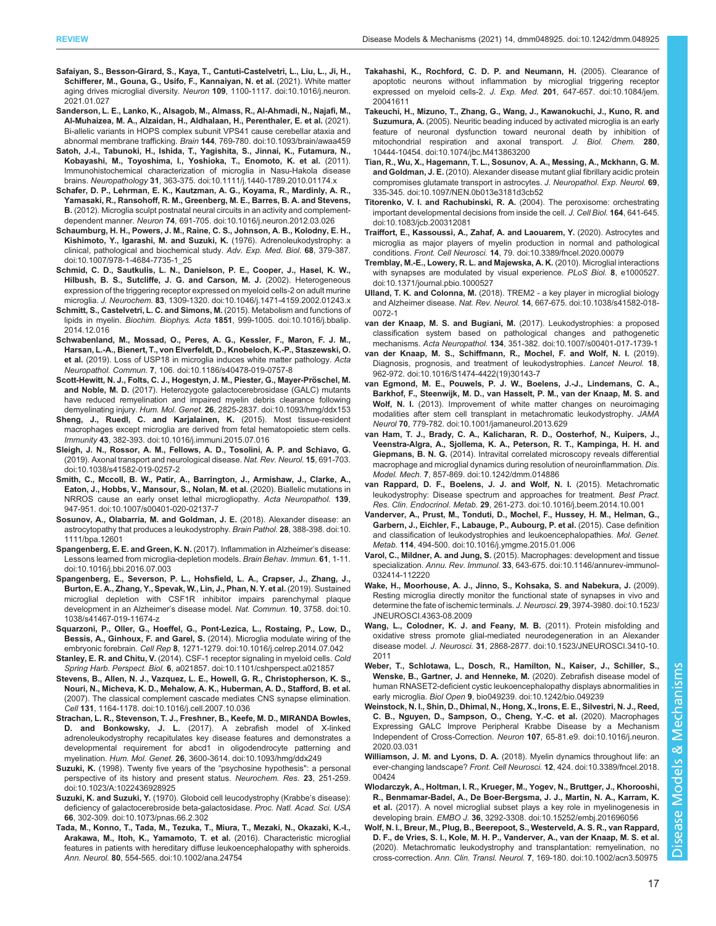- <span id="page-16-0"></span>[Safaiyan, S., Besson-Girard, S., Kaya, T., Cantuti-Castelvetri, L., Liu, L., Ji, H.,](https://doi.org/10.1016/j.neuron.2021.01.027) [Schifferer, M., Gouna, G., Usifo, F., Kannaiyan, N. et al.](https://doi.org/10.1016/j.neuron.2021.01.027) (2021). White matter aging drives microglial diversity. Neuron 109[, 1100-1117. doi:10.1016/j.neuron.](https://doi.org/10.1016/j.neuron.2021.01.027) [2021.01.027](https://doi.org/10.1016/j.neuron.2021.01.027)
- [Sanderson, L. E., Lanko, K., Alsagob, M., Almass, R., Al-Ahmadi, N., Najafi, M.,](https://doi.org/10.1093/brain/awaa459) [Al-Muhaizea, M. A., Alzaidan, H., Aldhalaan, H., Perenthaler, E. et al.](https://doi.org/10.1093/brain/awaa459) (2021). [Bi-allelic variants in HOPS complex subunit VPS41 cause cerebellar ataxia and](https://doi.org/10.1093/brain/awaa459) abnormal membrane trafficking. Brain 144[, 769-780. doi:10.1093/brain/awaa459](https://doi.org/10.1093/brain/awaa459)
- [Satoh, J.-I., Tabunoki, H., Ishida, T., Yagishita, S., Jinnai, K., Futamura, N.,](https://doi.org/10.1111/j.1440-1789.2010.01174.x) [Kobayashi, M., Toyoshima, I., Yoshioka, T., Enomoto, K. et al.](https://doi.org/10.1111/j.1440-1789.2010.01174.x) (2011). [Immunohistochemical characterization of microglia in Nasu-Hakola disease](https://doi.org/10.1111/j.1440-1789.2010.01174.x) brains. Neuropathology 31[, 363-375. doi:10.1111/j.1440-1789.2010.01174.x](https://doi.org/10.1111/j.1440-1789.2010.01174.x)
- [Schafer, D. P., Lehrman, E. K., Kautzman, A. G., Koyama, R., Mardinly, A. R.,](https://doi.org/10.1016/j.neuron.2012.03.026) [Yamasaki, R., Ransohoff, R. M., Greenberg, M. E., Barres, B. A. and Stevens,](https://doi.org/10.1016/j.neuron.2012.03.026) B. [\(2012\). Microglia sculpt postnatal neural circuits in an activity and complement](https://doi.org/10.1016/j.neuron.2012.03.026)dependent manner. Neuron 74[, 691-705. doi:10.1016/j.neuron.2012.03.026](https://doi.org/10.1016/j.neuron.2012.03.026)
- [Schaumburg, H. H., Powers, J. M., Raine, C. S., Johnson, A. B., Kolodny, E. H.,](https://doi.org/10.1007/978-1-4684-7735-1_25) [Kishimoto, Y., Igarashi, M. and Suzuki, K.](https://doi.org/10.1007/978-1-4684-7735-1_25) (1976). Adrenoleukodystrophy: a [clinical, pathological and biochemical study.](https://doi.org/10.1007/978-1-4684-7735-1_25) Adv. Exp. Med. Biol. 68, 379-387. [doi:10.1007/978-1-4684-7735-1\\_25](https://doi.org/10.1007/978-1-4684-7735-1_25)
- [Schmid, C. D., Sautkulis, L. N., Danielson, P. E., Cooper, J., Hasel, K. W.,](https://doi.org/10.1046/j.1471-4159.2002.01243.x) [Hilbush, B. S., Sutcliffe, J. G. and Carson, M. J.](https://doi.org/10.1046/j.1471-4159.2002.01243.x) (2002). Heterogeneous [expression of the triggering receptor expressed on myeloid cells-2 on adult murine](https://doi.org/10.1046/j.1471-4159.2002.01243.x) microglia. J. Neurochem. 83[, 1309-1320. doi:10.1046/j.1471-4159.2002.01243.x](https://doi.org/10.1046/j.1471-4159.2002.01243.x)
- [Schmitt, S., Castelvetri, L. C. and Simons, M.](https://doi.org/10.1016/j.bbalip.2014.12.016) (2015). Metabolism and functions of lipids in myelin. Biochim. Biophys. Acta 1851[, 999-1005. doi:10.1016/j.bbalip.](https://doi.org/10.1016/j.bbalip.2014.12.016) [2014.12.016](https://doi.org/10.1016/j.bbalip.2014.12.016)
- [Schwabenland, M., Mossad, O., Peres, A. G., Kessler, F., Maron, F. J. M.,](https://doi.org/10.1186/s40478-019-0757-8) [Harsan, L.-A., Bienert, T., von Elverfeldt, D., Knobeloch, K.-P., Staszewski, O.](https://doi.org/10.1186/s40478-019-0757-8) et al. [\(2019\). Loss of USP18 in microglia induces white matter pathology.](https://doi.org/10.1186/s40478-019-0757-8) Acta Neuropathol. Commun. 7[, 106. doi:10.1186/s40478-019-0757-8](https://doi.org/10.1186/s40478-019-0757-8)
- Scott-Hewitt, N. J., Folts, C. J., Hogestyn, J. M., Piester, G., Mayer-Pröschel, M. and Noble, M. D. [\(2017\). Heterozygote galactocerebrosidase \(GALC\) mutants](https://doi.org/10.1093/hmg/ddx153) [have reduced remyelination and impaired myelin debris clearance following](https://doi.org/10.1093/hmg/ddx153) demyelinating injury. Hum. Mol. Genet. 26[, 2825-2837. doi:10.1093/hmg/ddx153](https://doi.org/10.1093/hmg/ddx153)
- [Sheng, J., Ruedl, C. and Karjalainen, K.](https://doi.org/10.1016/j.immuni.2015.07.016) (2015). Most tissue-resident [macrophages except microglia are derived from fetal hematopoietic stem cells.](https://doi.org/10.1016/j.immuni.2015.07.016) Immunity 43[, 382-393. doi:10.1016/j.immuni.2015.07.016](https://doi.org/10.1016/j.immuni.2015.07.016)
- [Sleigh, J. N., Rossor, A. M., Fellows, A. D., Tosolini, A. P. and Schiavo, G.](https://doi.org/10.1038/s41582-019-0257-2) [\(2019\). Axonal transport and neurological disease.](https://doi.org/10.1038/s41582-019-0257-2) Nat. Rev. Neurol. 15, 691-703. [doi:10.1038/s41582-019-0257-2](https://doi.org/10.1038/s41582-019-0257-2)
- [Smith, C., Mccoll, B. W., Patir, A., Barrington, J., Armishaw, J., Clarke, A.,](https://doi.org/10.1007/s00401-020-02137-7) [Eaton, J., Hobbs, V., Mansour, S., Nolan, M. et al.](https://doi.org/10.1007/s00401-020-02137-7) (2020). Biallelic mutations in [NRROS cause an early onset lethal microgliopathy.](https://doi.org/10.1007/s00401-020-02137-7) Acta Neuropathol. 139, [947-951. doi:10.1007/s00401-020-02137-7](https://doi.org/10.1007/s00401-020-02137-7)
- [Sosunov, A., Olabarria, M. and Goldman, J. E.](https://doi.org/10.1111/bpa.12601) (2018). Alexander disease: an [astrocytopathy that produces a leukodystrophy.](https://doi.org/10.1111/bpa.12601) Brain Pathol. 28, 388-398. doi:10. [1111/bpa.12601](https://doi.org/10.1111/bpa.12601)
- [Spangenberg, E. E. and Green, K. N.](https://doi.org/10.1016/j.bbi.2016.07.003) (2017). Inflammation in Alzheimer's disease: [Lessons learned from microglia-depletion models.](https://doi.org/10.1016/j.bbi.2016.07.003) Brain Behav. Immun. 61, 1-11. [doi:10.1016/j.bbi.2016.07.003](https://doi.org/10.1016/j.bbi.2016.07.003)
- [Spangenberg, E., Severson, P. L., Hohsfield, L. A., Crapser, J., Zhang, J.,](https://doi.org/10.1038/s41467-019-11674-z) [Burton, E. A., Zhang, Y., Spevak, W., Lin, J., Phan, N. Y. et al.](https://doi.org/10.1038/s41467-019-11674-z) (2019). Sustained [microglial depletion with CSF1R inhibitor impairs parenchymal plaque](https://doi.org/10.1038/s41467-019-11674-z) [development in an Alzheimer](https://doi.org/10.1038/s41467-019-11674-z)'s disease model. Nat. Commun. 10, 3758. doi:10. [1038/s41467-019-11674-z](https://doi.org/10.1038/s41467-019-11674-z)
- [Squarzoni, P., Oller, G., Hoeffel, G., Pont-Lezica, L., Rostaing, P., Low, D.,](https://doi.org/10.1016/j.celrep.2014.07.042) Bessis, A., Ginhoux, F. and Garel, S. [\(2014\). Microglia modulate wiring of the](https://doi.org/10.1016/j.celrep.2014.07.042) embryonic forebrain. Cell Rep 8[, 1271-1279. doi:10.1016/j.celrep.2014.07.042](https://doi.org/10.1016/j.celrep.2014.07.042)
- Stanley, E. R. and Chitu, V. [\(2014\). CSF-1 receptor signaling in myeloid cells.](https://doi.org/10.1101/cshperspect.a021857) Cold Spring Harb. Perspect. Biol. 6[, a021857. doi:10.1101/cshperspect.a021857](https://doi.org/10.1101/cshperspect.a021857)
- [Stevens, B., Allen, N. J., Vazquez, L. E., Howell, G. R., Christopherson, K. S.,](https://doi.org/10.1016/j.cell.2007.10.036) [Nouri, N., Micheva, K. D., Mehalow, A. K., Huberman, A. D., Stafford, B. et al.](https://doi.org/10.1016/j.cell.2007.10.036) [\(2007\). The classical complement cascade mediates CNS synapse elimination.](https://doi.org/10.1016/j.cell.2007.10.036) Cell 131[, 1164-1178. doi:10.1016/j.cell.2007.10.036](https://doi.org/10.1016/j.cell.2007.10.036)
- [Strachan, L. R., Stevenson, T. J., Freshner, B., Keefe, M. D., MIRANDA Bowles,](https://doi.org/10.1093/hmg/ddx249) D. and Bonkowsky, J. L. [\(2017\). A zebrafish model of X-linked](https://doi.org/10.1093/hmg/ddx249) [adrenoleukodystrophy recapitulates key disease features and demonstrates a](https://doi.org/10.1093/hmg/ddx249) [developmental requirement for abcd1 in oligodendrocyte patterning and](https://doi.org/10.1093/hmg/ddx249) myelination. Hum. Mol. Genet. 26[, 3600-3614. doi:10.1093/hmg/ddx249](https://doi.org/10.1093/hmg/ddx249)
- Suzuki, K. (1998). Twenty five years of the "[psychosine hypothesis": a personal](https://doi.org/10.1023/A:1022436928925) [perspective of its history and present status.](https://doi.org/10.1023/A:1022436928925) Neurochem. Res. 23, 251-259. [doi:10.1023/A:1022436928925](https://doi.org/10.1023/A:1022436928925)
- Suzuki, K. and Suzuki, Y. [\(1970\). Globoid cell leucodystrophy \(Krabbe](https://doi.org/10.1073/pnas.66.2.302)'s disease): [deficiency of galactocerebroside beta-galactosidase.](https://doi.org/10.1073/pnas.66.2.302) Proc. Natl. Acad. Sci. USA 66[, 302-309. doi:10.1073/pnas.66.2.302](https://doi.org/10.1073/pnas.66.2.302)
- [Tada, M., Konno, T., Tada, M., Tezuka, T., Miura, T., Mezaki, N., Okazaki, K.-I.,](https://doi.org/10.1002/ana.24754) [Arakawa, M., Itoh, K., Yamamoto, T. et al.](https://doi.org/10.1002/ana.24754) (2016). Characteristic microglial [features in patients with hereditary diffuse leukoencephalopathy with spheroids.](https://doi.org/10.1002/ana.24754) Ann. Neurol. 80[, 554-565. doi:10.1002/ana.24754](https://doi.org/10.1002/ana.24754)
- [Takahashi, K., Rochford, C. D. P. and Neumann, H.](https://doi.org/10.1084/jem.20041611) (2005). Clearance of [apoptotic neurons without inflammation by microglial triggering receptor](https://doi.org/10.1084/jem.20041611) [expressed on myeloid cells-2.](https://doi.org/10.1084/jem.20041611) J. Exp. Med. 201, 647-657. doi:10.1084/jem. [20041611](https://doi.org/10.1084/jem.20041611)
- [Takeuchi, H., Mizuno, T., Zhang, G., Wang, J., Kawanokuchi, J., Kuno, R. and](https://doi.org/10.1074/jbc.M413863200) Suzumura, A. [\(2005\). Neuritic beading induced by activated microglia is an early](https://doi.org/10.1074/jbc.M413863200) [feature of neuronal dysfunction toward neuronal death by inhibition of](https://doi.org/10.1074/jbc.M413863200) [mitochondrial respiration and axonal transport.](https://doi.org/10.1074/jbc.M413863200) J. Biol. Chem. 280, [10444-10454. doi:10.1074/jbc.M413863200](https://doi.org/10.1074/jbc.M413863200)
- [Tian, R., Wu, X., Hagemann, T. L., Sosunov, A. A., Messing, A., Mckhann, G. M.](https://doi.org/10.1097/NEN.0b013e3181d3cb52) and Goldman, J. E. [\(2010\). Alexander disease mutant glial fibrillary acidic protein](https://doi.org/10.1097/NEN.0b013e3181d3cb52) [compromises glutamate transport in astrocytes.](https://doi.org/10.1097/NEN.0b013e3181d3cb52) J. Neuropathol. Exp. Neurol. 69, [335-345. doi:10.1097/NEN.0b013e3181d3cb52](https://doi.org/10.1097/NEN.0b013e3181d3cb52)
- [Titorenko, V. I. and Rachubinski, R. A.](https://doi.org/10.1083/jcb.200312081) (2004). The peroxisome: orchestrating [important developmental decisions from inside the cell.](https://doi.org/10.1083/jcb.200312081) J. Cell Biol. 164, 641-645. [doi:10.1083/jcb.200312081](https://doi.org/10.1083/jcb.200312081)
- [Traiffort, E., Kassoussi, A., Zahaf, A. and Laouarem, Y.](https://doi.org/10.3389/fncel.2020.00079) (2020). Astrocytes and [microglia as major players of myelin production in normal and pathological](https://doi.org/10.3389/fncel.2020.00079) conditions. Front. Cell Neurosci. 14[, 79. doi:10.3389/fncel.2020.00079](https://doi.org/10.3389/fncel.2020.00079)
- [Tremblay, M.-E., Lowery, R. L. and Majewska, A. K.](https://doi.org/10.1371/journal.pbio.1000527) (2010). Microglial interactions [with synapses are modulated by visual experience.](https://doi.org/10.1371/journal.pbio.1000527) PLoS Biol. 8, e1000527. [doi:10.1371/journal.pbio.1000527](https://doi.org/10.1371/journal.pbio.1000527)
- Ulland, T. K. and Colonna, M. [\(2018\). TREM2 a key player in microglial biology](https://doi.org/10.1038/s41582-018-0072-1) and Alzheimer disease. Nat. Rev. Neurol. 14[, 667-675. doi:10.1038/s41582-018-](https://doi.org/10.1038/s41582-018-0072-1) [0072-1](https://doi.org/10.1038/s41582-018-0072-1)
- [van der Knaap, M. S. and Bugiani, M.](https://doi.org/10.1007/s00401-017-1739-1) (2017). Leukodystrophies: a proposed classification [system based on pathological changes and pathogenetic](https://doi.org/10.1007/s00401-017-1739-1) mechanisms. Acta Neuropathol. 134[, 351-382. doi:10.1007/s00401-017-1739-1](https://doi.org/10.1007/s00401-017-1739-1)
- [van der Knaap, M. S., Schiffmann, R., Mochel, F. and Wolf, N. I.](https://doi.org/10.1016/S1474-4422(19)30143-7) (2019). [Diagnosis, prognosis, and treatment of leukodystrophies.](https://doi.org/10.1016/S1474-4422(19)30143-7) Lancet Neurol. 18, [962-972. doi:10.1016/S1474-4422\(19\)30143-7](https://doi.org/10.1016/S1474-4422(19)30143-7)
- [van Egmond, M. E., Pouwels, P. J. W., Boelens, J.-J., Lindemans, C. A.,](https://doi.org/10.1001/jamaneurol.2013.629) [Barkhof, F., Steenwijk, M. D., van Hasselt, P. M., van der Knaap, M. S. and](https://doi.org/10.1001/jamaneurol.2013.629) Wolf, N. I. [\(2013\). Improvement of white matter changes on neuroimaging](https://doi.org/10.1001/jamaneurol.2013.629) [modalities after stem cell transplant in metachromatic leukodystrophy.](https://doi.org/10.1001/jamaneurol.2013.629) JAMA Neurol 70[, 779-782. doi:10.1001/jamaneurol.2013.629](https://doi.org/10.1001/jamaneurol.2013.629)
- [van Ham, T. J., Brady, C. A., Kalicharan, R. D., Oosterhof, N., Kuipers, J.,](https://doi.org/10.1242/dmm.014886) [Veenstra-Algra, A., Sjollema, K. A., Peterson, R. T., Kampinga, H. H. and](https://doi.org/10.1242/dmm.014886) Giepmans, B. N. G. [\(2014\). Intravital correlated microscopy reveals differential](https://doi.org/10.1242/dmm.014886) [macrophage and microglial dynamics during resolution of neuroinflammation.](https://doi.org/10.1242/dmm.014886) Dis. Model. Mech. 7[, 857-869. doi:10.1242/dmm.014886](https://doi.org/10.1242/dmm.014886)
- [van Rappard, D. F., Boelens, J. J. and Wolf, N. I.](https://doi.org/10.1016/j.beem.2014.10.001) (2015). Metachromatic [leukodystrophy: Disease spectrum and approaches for treatment.](https://doi.org/10.1016/j.beem.2014.10.001) Best Pract. Res. Clin. Endocrinol. Metab. 29[, 261-273. doi:10.1016/j.beem.2014.10.001](https://doi.org/10.1016/j.beem.2014.10.001)
- [Vanderver, A., Prust, M., Tonduti, D., Mochel, F., Hussey, H. M., Helman, G.,](https://doi.org/10.1016/j.ymgme.2015.01.006) [Garbern, J., Eichler, F., Labauge, P., Aubourg, P. et al.](https://doi.org/10.1016/j.ymgme.2015.01.006) (2015). Case definition [and classification of leukodystrophies and leukoencephalopathies.](https://doi.org/10.1016/j.ymgme.2015.01.006) Mol. Genet. Metab. 114[, 494-500. doi:10.1016/j.ymgme.2015.01.006](https://doi.org/10.1016/j.ymgme.2015.01.006)
- Varol, C., Mildner, A. and Jung, S. [\(2015\). Macrophages: development and tissue](https://doi.org/10.1146/annurev-immunol-032414-112220) specialization. Annu. Rev. Immunol. 33[, 643-675. doi:10.1146/annurev-immunol-](https://doi.org/10.1146/annurev-immunol-032414-112220)[032414-112220](https://doi.org/10.1146/annurev-immunol-032414-112220)
- [Wake, H., Moorhouse, A. J., Jinno, S., Kohsaka, S. and Nabekura, J.](https://doi.org/10.1523/JNEUROSCI.4363-08.2009) (2009). [Resting microglia directly monitor the functional state of synapses in vivo and](https://doi.org/10.1523/JNEUROSCI.4363-08.2009) [determine the fate of ischemic terminals.](https://doi.org/10.1523/JNEUROSCI.4363-08.2009) J. Neurosci. 29, 3974-3980. doi:10.1523/ [JNEUROSCI.4363-08.2009](https://doi.org/10.1523/JNEUROSCI.4363-08.2009)
- [Wang, L., Colodner, K. J. and Feany, M. B.](https://doi.org/10.1523/JNEUROSCI.3410-10.2011) (2011). Protein misfolding and [oxidative stress promote glial-mediated neurodegeneration in an Alexander](https://doi.org/10.1523/JNEUROSCI.3410-10.2011) disease model. J. Neurosci. 31[, 2868-2877. doi:10.1523/JNEUROSCI.3410-10.](https://doi.org/10.1523/JNEUROSCI.3410-10.2011) [2011](https://doi.org/10.1523/JNEUROSCI.3410-10.2011)
- [Weber, T., Schlotawa, L., Dosch, R., Hamilton, N., Kaiser, J., Schiller, S.,](https://doi.org/10.1242/bio.049239) [Wenske, B., Gartner, J. and Henneke, M.](https://doi.org/10.1242/bio.049239) (2020). Zebrafish disease model of [human RNASET2-deficient cystic leukoencephalopathy displays abnormalities in](https://doi.org/10.1242/bio.049239) early microglia. Biol Open 9[, bio049239. doi:10.1242/bio.049239](https://doi.org/10.1242/bio.049239)
- [Weinstock, N. I., Shin, D., Dhimal, N., Hong, X., Irons, E. E., Silvestri, N. J., Reed,](https://doi.org/10.1016/j.neuron.2020.03.031) [C. B., Nguyen, D., Sampson, O., Cheng, Y.-C. et al.](https://doi.org/10.1016/j.neuron.2020.03.031) (2020). Macrophages [Expressing GALC Improve Peripheral Krabbe Disease by a Mechanism](https://doi.org/10.1016/j.neuron.2020.03.031) [Independent of Cross-Correction.](https://doi.org/10.1016/j.neuron.2020.03.031) Neuron 107, 65-81.e9. doi:10.1016/j.neuron. [2020.03.031](https://doi.org/10.1016/j.neuron.2020.03.031)
- Williamson, J. M. and Lyons, D. A. [\(2018\). Myelin dynamics throughout life: an](https://doi.org/10.3389/fncel.2018.00424) ever-changing landscape? Front. Cell Neurosci. 12[, 424. doi:10.3389/fncel.2018.](https://doi.org/10.3389/fncel.2018.00424) [00424](https://doi.org/10.3389/fncel.2018.00424)
- [Wlodarczyk, A., Holtman, I. R., Krueger, M., Yogev, N., Bruttger, J., Khorooshi,](https://doi.org/10.15252/embj.201696056) [R., Benmamar-Badel, A., De Boer-Bergsma, J. J., Martin, N. A., Karram, K.](https://doi.org/10.15252/embj.201696056) et al. [\(2017\). A novel microglial subset plays a key role in myelinogenesis in](https://doi.org/10.15252/embj.201696056) developing brain. EMBO J. 36[, 3292-3308. doi:10.15252/embj.201696056](https://doi.org/10.15252/embj.201696056)
- [Wolf, N. I., Breur, M., Plug, B., Beerepoot, S., Westerveld, A. S. R., van Rappard,](https://doi.org/10.1002/acn3.50975) [D. F., de Vries, S. I., Kole, M. H. P., Vanderver, A., van der Knaap, M. S. et al.](https://doi.org/10.1002/acn3.50975) [\(2020\). Metachromatic leukodystrophy and transplantation: remyelination, no](https://doi.org/10.1002/acn3.50975) cross-correction. Ann. Clin. Transl. Neurol. 7[, 169-180. doi:10.1002/acn3.50975](https://doi.org/10.1002/acn3.50975)